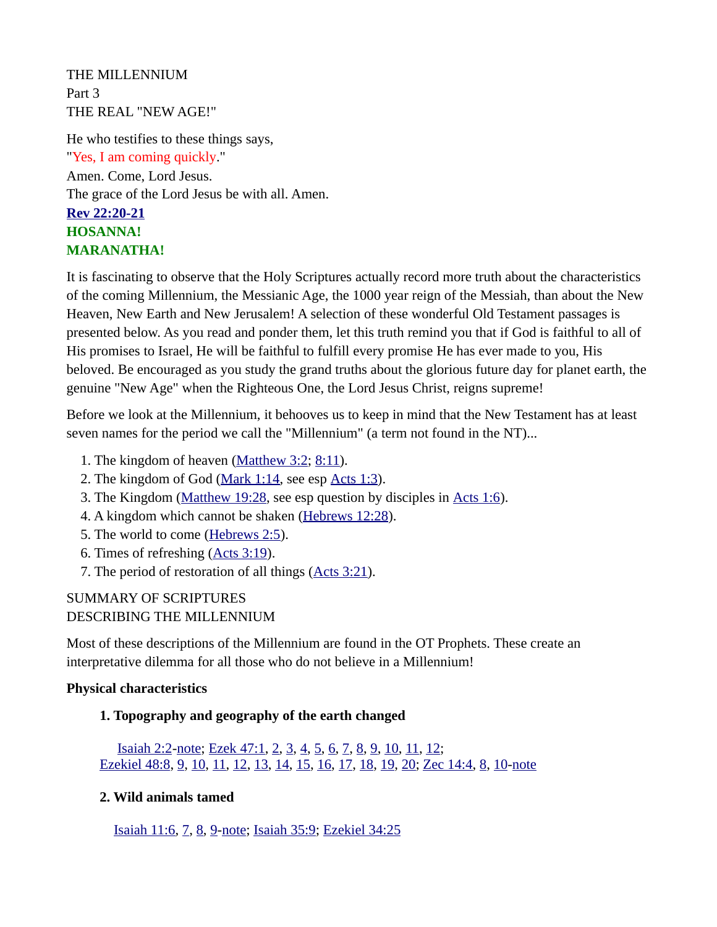THE MILLENNIUM Part 3 THE REAL "NEW AGE!"

He who testifies to these things says, "Yes, I am coming quickly." Amen. Come, Lord Jesus. The grace of the Lord Jesus be with all. Amen. **[Rev 22:20-21](https://biblia.com/bible/niv/Rev%2022.20-21) HOSANNA! MARANATHA!**

It is fascinating to observe that the Holy Scriptures actually record more truth about the characteristics of the coming Millennium, the Messianic Age, the 1000 year reign of the Messiah, than about the New Heaven, New Earth and New Jerusalem! A selection of these wonderful Old Testament passages is presented below. As you read and ponder them, let this truth remind you that if God is faithful to all of His promises to Israel, He will be faithful to fulfill every promise He has ever made to you, His beloved. Be encouraged as you study the grand truths about the glorious future day for planet earth, the genuine "New Age" when the Righteous One, the Lord Jesus Christ, reigns supreme!

Before we look at the Millennium, it behooves us to keep in mind that the New Testament has at least seven names for the period we call the "Millennium" (a term not found in the NT)...

- 1. The kingdom of heaven ([Matthew 3:2;](https://biblia.com/bible/niv/Matt%203.2) [8:11](https://biblia.com/bible/niv/Matthew%208.11)).
- 2. The kingdom of God [\(Mark 1:14](https://biblia.com/bible/niv/Mark%201.14), see esp [Acts 1:3\)](https://biblia.com/bible/niv/Acts%201.3).
- 3. The Kingdom [\(Matthew 19:28,](https://biblia.com/bible/niv/Matt%2019.28) see esp question by disciples in [Acts 1:6](https://biblia.com/bible/niv/Acts%201.6)).
- 4. A kingdom which cannot be shaken ([Hebrews 12:28\)](https://biblia.com/bible/niv/Heb%2012.28).
- 5. The world to come [\(Hebrews 2:5\)](https://biblia.com/bible/niv/Heb%202.5).
- 6. Times of refreshing ([Acts 3:19](https://biblia.com/bible/niv/Acts%203.19)).
- 7. The period of restoration of all things [\(Acts 3:21\)](https://biblia.com/bible/niv/Acts%203.21).

# SUMMARY OF SCRIPTURES DESCRIBING THE MILLENNIUM

Most of these descriptions of the Millennium are found in the OT Prophets. These create an interpretative dilemma for all those who do not believe in a Millennium!

#### **Physical characteristics**

#### **1. Topography and geography of the earth changed**

 [Isaiah 2:2](https://biblia.com/bible/niv/Isa%202.2)[-note;](https://www.preceptaustin.org/isaiah_21-4_commentary#2:2) [Ezek 47:1](https://biblia.com/bible/niv/Ezek%2047.1), [2](https://biblia.com/bible/niv/Ezek%2047.2), [3](https://biblia.com/bible/niv/Ezek%2047.3), [4](https://biblia.com/bible/niv/Ezek%2047.4), [5](https://biblia.com/bible/niv/Ezek%2047.5), [6](https://biblia.com/bible/niv/Ezek%2047.6), [7](https://biblia.com/bible/niv/Ezek%2047.7), [8](https://biblia.com/bible/niv/Ezek%2047.8), [9](https://biblia.com/bible/niv/Ezek%2047.9), [10](https://biblia.com/bible/niv/Ezek%2047.10), [11](https://biblia.com/bible/niv/Ezek%2047.11), [12](https://biblia.com/bible/niv/Ezek%2047.12);  [Ezekiel 48:8](https://biblia.com/bible/niv/Ezek%2048.8), [9](https://biblia.com/bible/niv/Ezekiel%2048.9), [10](https://biblia.com/bible/niv/Ezekiel%2048.10), [11](https://biblia.com/bible/niv/Ezekiel%2048.11), [12](https://biblia.com/bible/niv/Ezekiel%2048.12), [13](https://biblia.com/bible/niv/Ezekiel%2048.13), [14](https://biblia.com/bible/niv/Ezekiel%2048.14), [15](https://biblia.com/bible/niv/Ezekiel%2048.15), [16](https://biblia.com/bible/niv/Ezekiel%2048.16), [17](https://biblia.com/bible/niv/Ezekiel%2048.17), [18](https://biblia.com/bible/niv/Ezekiel%2048.18), [19](https://biblia.com/bible/niv/Ezekiel%2048.19), [20](https://biblia.com/bible/niv/Ezekiel%2048.20); [Zec 14:4,](https://biblia.com/bible/niv/Zech%2014.4) [8,](https://biblia.com/bible/niv/Zec%2014.8) [10-](https://biblia.com/bible/niv/Zec%2014.10)[note](https://www.preceptaustin.org/zechariah-14-commentary#14:4)

#### **2. Wild animals tamed**

[Isaiah 11:6,](https://biblia.com/bible/niv/Isa%2011.6) [7,](https://biblia.com/bible/niv/Isaiah%2011.7) [8,](https://biblia.com/bible/niv/Isaiah%2011.8) [9-](https://biblia.com/bible/niv/Isaiah%2011.9)[note](https://www.preceptaustin.org/isaiah_11_commentary#11:6); [Isaiah 35:9;](https://biblia.com/bible/niv/Isa%2035.9) [Ezekiel 34:25](https://biblia.com/bible/niv/Ezek%2034.25)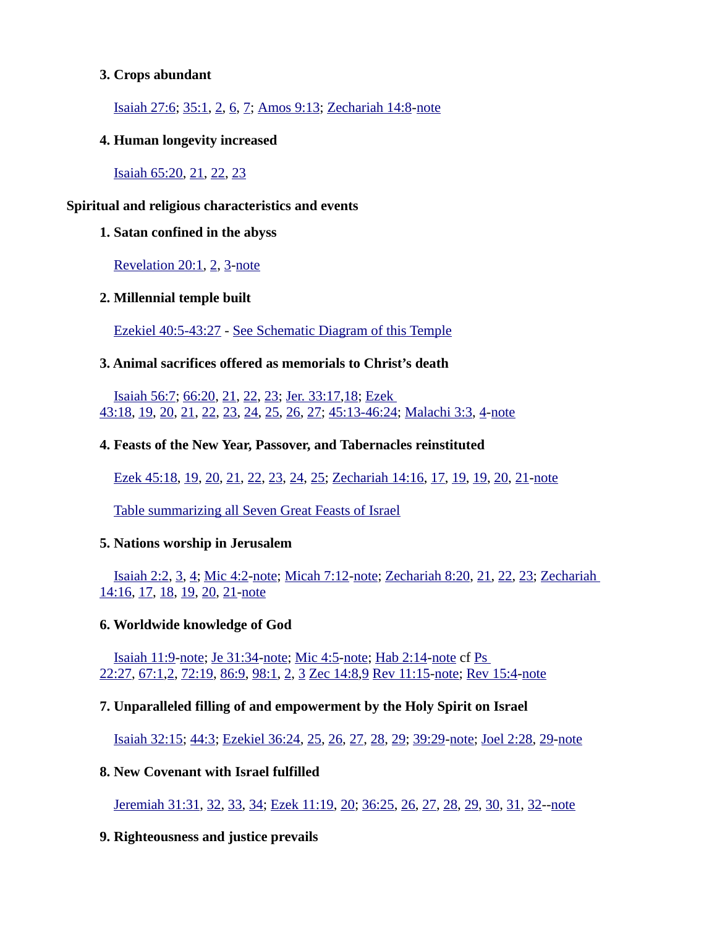#### **3. Crops abundant**

[Isaiah 27:6](https://biblia.com/bible/niv/Isa%2027.6); [35:1,](https://biblia.com/bible/niv/Isaiah%2035.1) [2,](https://biblia.com/bible/niv/Isaiah%2035.2) [6,](https://biblia.com/bible/niv/Isaiah%2035.6) [7;](https://biblia.com/bible/niv/Isaiah%2035.7) [Amos 9:13](https://biblia.com/bible/niv/Amos%209.13); [Zechariah 14:8-](https://biblia.com/bible/niv/Zech%2014.8)[note](https://www.preceptaustin.org/zechariah-14-commentary#14:8)

**4. Human longevity increased**

[Isaiah 65:20](https://biblia.com/bible/niv/Isa%2065.20), [21](https://biblia.com/bible/niv/Isaiah%2065.21), [22](https://biblia.com/bible/niv/Isaiah%2065.22), [23](https://biblia.com/bible/niv/Isaiah%2065.23)

#### **Spiritual and religious characteristics and events**

#### **1. Satan confined in the abyss**

[Revelation 20:1](https://biblia.com/bible/niv/Rev%2020.1), [2](https://biblia.com/bible/niv/Revelation%2020.2), [3](https://biblia.com/bible/niv/Revelation%2020.3)[-note](http://www.spiritandtruth.org/id/revc.htm?20:1)

# **2. Millennial temple built**

 [Ezekiel 40:5-43:27](https://biblia.com/bible/niv/Ezek%2040.5-43.27) - [See Schematic Diagram of this Temple](https://www.esv.org/resources/esv-global-study-bible/chart-26-temple-plan/)

# **3. Animal sacrifices offered as memorials to Christ's death**

[Isaiah 56:7](https://biblia.com/bible/niv/Isa%2056.7); [66:20,](https://biblia.com/bible/niv/Isaiah%2066.20) [21,](https://biblia.com/bible/niv/Isaiah%2066.21) [22,](https://biblia.com/bible/niv/Isaiah%2066.22) [23;](https://biblia.com/bible/niv/Isaiah%2066.23) [Jer. 33:17,](https://biblia.com/bible/niv/Jer.%2033.17)[18;](https://biblia.com/bible/niv/Jer%2033.18) [Ezek](https://biblia.com/bible/niv/Ezek%2043.18)  [43:18](https://biblia.com/bible/niv/Ezek%2043.18), [19](https://biblia.com/bible/niv/Ezek%2043.19), [20](https://biblia.com/bible/niv/Ezek%2043.20), [21](https://biblia.com/bible/niv/Ezek%2043.21), [22](https://biblia.com/bible/niv/Ezek%2043.22), [23](https://biblia.com/bible/niv/Ezek%2043.23), [24](https://biblia.com/bible/niv/Ezek%2043.24), [25](https://biblia.com/bible/niv/Ezek%2043.25), [26](https://biblia.com/bible/niv/Ezek%2043.26), [27](https://biblia.com/bible/niv/Ezek%2043.27); [45:13-46:24](https://biblia.com/bible/niv/Ezek%2045.13-46.24); [Malachi 3:3](https://biblia.com/bible/niv/Mal%203.3), [4](https://biblia.com/bible/niv/Malachi%203.4)[-note](https://www.preceptaustin.org/_commentary#)

# **4. Feasts of the New Year, Passover, and Tabernacles reinstituted**

[Ezek 45:18](https://biblia.com/bible/niv/Ezek%2045.18), [19](https://biblia.com/bible/niv/Ezek%2045.19), [20](https://biblia.com/bible/niv/Ezek%2045.20), [21](https://biblia.com/bible/niv/Ezek%2045.21), [22](https://biblia.com/bible/niv/Ezek%2045.22), [23](https://biblia.com/bible/niv/Ezek%2045.23), [24](https://biblia.com/bible/niv/Ezek%2045.24), [25](https://biblia.com/bible/niv/Ezek%2045.25); [Zechariah 14:16](https://biblia.com/bible/niv/Zech%2014.16), [17](https://biblia.com/bible/niv/Zechariah%2014.17), [19](https://biblia.com/bible/niv/Zechariah%2014.19), [19](https://biblia.com/bible/niv/Zechariah%2014.19), [20](https://biblia.com/bible/niv/Zechariah%2014.20), [21](https://biblia.com/bible/niv/Zechariah%2014.21)[-note](https://www.preceptaustin.org/zechariah-14-commentary#14:16)

[Table summarizing all Seven Great Feasts of Israel](https://www.preceptaustin.org/leviticus_23_commentary#t)

#### **5. Nations worship in Jerusalem**

[Isaiah 2:2](https://biblia.com/bible/niv/Isa%202.2), [3](https://biblia.com/bible/niv/Isaiah%202.3), [4](https://biblia.com/bible/niv/Isaiah%202.4); [Mic 4:2](https://biblia.com/bible/niv/Micah%204.2)[-note;](https://www.preceptaustin.org/micah_4_commentary#4:2) [Micah 7:12](https://biblia.com/bible/niv/Micah%207.12)[-note;](https://www.preceptaustin.org/micah_7_commentary#7:12) [Zechariah 8:20](https://biblia.com/bible/niv/Zech%208.20), [21](https://biblia.com/bible/niv/Zechariah%208.21), [22](https://biblia.com/bible/niv/Zechariah%208.22), [23](https://biblia.com/bible/niv/Zechariah%208.23); [Zechariah](https://biblia.com/bible/niv/Zech%2014.16)  [14:16](https://biblia.com/bible/niv/Zech%2014.16), [17](https://biblia.com/bible/niv/Zechariah%2014.17), [18](https://biblia.com/bible/niv/Zechariah%2014.18), [19](https://biblia.com/bible/niv/Zechariah%2014.19), [20](https://biblia.com/bible/niv/Zechariah%2014.20), [21](https://biblia.com/bible/niv/Zechariah%2014.21)[-note](https://www.preceptaustin.org/zechariah-14-commentary#14:16)

#### **6. Worldwide knowledge of God**

[Isaiah 11:9-](https://biblia.com/bible/niv/Isa%2011.9)[note](https://www.preceptaustin.org/isaiah_11_commentary#11:9); [Je 31:34](https://biblia.com/bible/niv/Jer%2031.34)[-note;](https://www.preceptaustin.org/jeremiah_31_commentary#31:34) [Mic 4:5-](https://biblia.com/bible/niv/Micah%204.5)[note](https://www.preceptaustin.org/micah_4_commentary#4:5); [Hab 2:14](https://biblia.com/bible/niv/Hab%202.14)[-note](https://www.preceptaustin.org/habakkuk_2_commentary#2:4) cf [Ps](https://biblia.com/bible/niv/Ps%2022.27)  [22:27](https://biblia.com/bible/niv/Ps%2022.27), [67:1,](https://biblia.com/bible/niv/Ps%2067.1)[2,](https://biblia.com/bible/niv/Ps%2067.2) [72:19](https://biblia.com/bible/niv/Ps%2072.19), [86:9,](https://biblia.com/bible/niv/Ps%2086.9) [98:1,](https://biblia.com/bible/niv/Ps%2098.1) [2,](https://biblia.com/bible/niv/Ps%2098.2) [3](https://biblia.com/bible/niv/Ps%2098.3) [Zec 14:8](https://biblia.com/bible/niv/Zech%2014.8)[,9](https://biblia.com/bible/niv/Zec%2014.9) [Rev 11:15](https://biblia.com/bible/niv/Rev%2011.15)[-note](http://www.spiritandtruth.org/id/revc.htm?11:15); [Rev 15:4](https://biblia.com/bible/niv/Rev%2015.4)[-note](http://www.spiritandtruth.org/id/revc.htm?15:4)

#### **7. Unparalleled filling of and empowerment by the Holy Spirit on Israel**

[Isaiah 32:15](https://biblia.com/bible/niv/Isa%2032.15); [44:3;](https://biblia.com/bible/niv/Isaiah%2044.3) [Ezekiel 36:24,](https://biblia.com/bible/niv/Ezek%2036.24) [25,](https://biblia.com/bible/niv/Ezekiel%2036.25) [26,](https://biblia.com/bible/niv/Ezekiel%2036.26) [27,](https://biblia.com/bible/niv/Ezekiel%2036.27) [28,](https://biblia.com/bible/niv/Ezekiel%2036.28) [29;](https://biblia.com/bible/niv/Ezekiel%2036.29) [39:29](https://biblia.com/bible/niv/Ezekiel%2039.29)[-note;](https://www.preceptaustin.org/exekiel_36_commentary#36:24) [Joel 2:28,](https://biblia.com/bible/niv/Joel%202.28) [29-](https://biblia.com/bible/niv/Joel%202.29)[note](https://www.preceptaustin.org/joel-2-commentary#2:28)

#### **8. New Covenant with Israel fulfilled**

 [Jeremiah 31:31,](https://biblia.com/bible/niv/Jer%2031.31) [32,](https://biblia.com/bible/niv/Jeremiah%2031.32) [33,](https://biblia.com/bible/niv/Jeremiah%2031.33) [34;](https://biblia.com/bible/niv/Jeremiah%2031.34) [Ezek 11:19](https://biblia.com/bible/niv/Ezek%2011.19), [20](https://biblia.com/bible/niv/Ezek%2011.20); [36:25,](https://biblia.com/bible/niv/Ezek%2036.25) [26,](https://biblia.com/bible/niv/Ezek%2036.26) [27,](https://biblia.com/bible/niv/Ezek%2036.27) [28,](https://biblia.com/bible/niv/Ezek%2036.28) [29,](https://biblia.com/bible/niv/Ezek%2036.29) [30,](https://biblia.com/bible/niv/Ezek%2036.30) [31,](https://biblia.com/bible/niv/Ezek%2036.31) [32-](https://biblia.com/bible/niv/Ezek%2036.32)-[note](https://www.preceptaustin.org/ezekiel_11_commentary#11:19)

#### **9. Righteousness and justice prevails**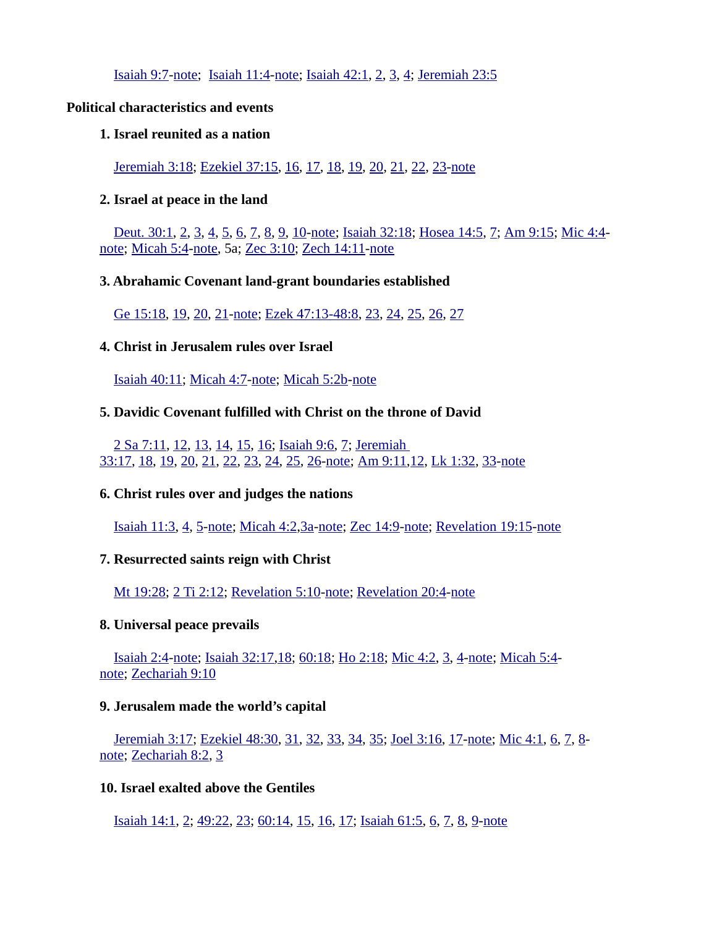[Isaiah 9:7](https://biblia.com/bible/niv/Isa%209.7)[-note;](https://www.preceptaustin.org/isaiah_9_commentary#9:7) [Isaiah 11:4-](https://biblia.com/bible/niv/Isa%2011.4)[note](https://www.preceptaustin.org/isaiah_11_commentary#11:4); [Isaiah 42:1,](https://biblia.com/bible/niv/Isa%2042.1) [2,](https://biblia.com/bible/niv/Isaiah%2042.2) [3,](https://biblia.com/bible/niv/Isaiah%2042.3) [4;](https://biblia.com/bible/niv/Isaiah%2042.4) [Jeremiah 23:5](https://biblia.com/bible/niv/Jer%2023.5)

#### **Political characteristics and events**

#### **1. Israel reunited as a nation**

 [Jeremiah 3:18;](https://biblia.com/bible/niv/Jer%203.18) [Ezekiel 37:15](https://biblia.com/bible/niv/Ezek%2037.15), [16](https://biblia.com/bible/niv/Ezekiel%2037.16), [17](https://biblia.com/bible/niv/Ezekiel%2037.17), [18](https://biblia.com/bible/niv/Ezekiel%2037.18), [19](https://biblia.com/bible/niv/Ezekiel%2037.19), [20](https://biblia.com/bible/niv/Ezekiel%2037.20), [21](https://biblia.com/bible/niv/Ezekiel%2037.21), [22](https://biblia.com/bible/niv/Ezekiel%2037.22), [23](https://biblia.com/bible/niv/Ezekiel%2037.23)[-note](https://www.preceptaustin.org/ezekiel_37_commentary#37:15)

#### **2. Israel at peace in the land**

[Deut. 30:1,](https://biblia.com/bible/niv/Deut.%2030.1) [2,](https://biblia.com/bible/niv/Deut%2030.2) [3,](https://biblia.com/bible/niv/Deut%2030.3) [4,](https://biblia.com/bible/niv/Deut%2030.4) [5,](https://biblia.com/bible/niv/Deut%2030.5) [6,](https://biblia.com/bible/niv/Deut%2030.6) [7,](https://biblia.com/bible/niv/Deut%2030.7) [8,](https://biblia.com/bible/niv/Deut%2030.8) [9,](https://biblia.com/bible/niv/Deut%2030.9) [10-](https://biblia.com/bible/niv/Deut%2030.10)[note](https://www.preceptaustin.org/deuteronomy-30-commentary#30:1); [Isaiah 32:18;](https://biblia.com/bible/niv/Isa%2032.18) [Hosea 14:5](https://biblia.com/bible/niv/Hos%2014.5), [7](https://biblia.com/bible/niv/Hosea%2014.7); [Am 9:15](https://biblia.com/bible/niv/Amos%209.15); [Mic 4:4](https://biblia.com/bible/niv/Micah%204.4) [note;](https://www.preceptaustin.org/micah_4_commentary#4:4) [Micah 5:4](https://biblia.com/bible/niv/Micah%205.4)[-note,](https://www.preceptaustin.org/micah_5_commentary#5:4) 5a; [Zec 3:10;](https://biblia.com/bible/niv/Zech%203.10) [Zech 14:11](https://biblia.com/bible/niv/Zech%2014.11)-[note](https://www.preceptaustin.org/zechariah-14-commentary#14:11)

#### **3. Abrahamic Covenant land-grant boundaries established**

[Ge 15:18](https://biblia.com/bible/niv/Gen%2015.18), [19](https://biblia.com/bible/niv/Ge%2015.19), [20](https://biblia.com/bible/niv/Ge%2015.20), [21](https://biblia.com/bible/niv/Ge%2015.21)[-note](https://www.preceptaustin.org/genesis-15-commentary#15:18); [Ezek 47:13-48:8](https://biblia.com/bible/niv/Ezek%2047.13-48.8), [23](https://biblia.com/bible/niv/Ezek%2047.23), [24](https://biblia.com/bible/niv/Ezek%2047.24), [25](https://biblia.com/bible/niv/Ezek%2047.25), [26](https://biblia.com/bible/niv/Ezek%2047.26), [27](https://biblia.com/bible/niv/Ezek%2047.27)

#### **4. Christ in Jerusalem rules over Israel**

[Isaiah 40:11;](https://biblia.com/bible/niv/Isa%2040.11) [Micah 4:7](https://biblia.com/bible/niv/Micah%204.7)[-note;](https://www.preceptaustin.org/micah_4_commentary#4:7) [Micah 5:2b](https://biblia.com/bible/niv/Micah%205.2b)[-note](https://www.preceptaustin.org/micah_5_commentary#5:2)

#### **5. Davidic Covenant fulfilled with Christ on the throne of David**

[2 Sa 7:11](https://biblia.com/bible/niv/2%20Sam%207.11), [12](https://biblia.com/bible/niv/2%20Sa%207.12), [13](https://biblia.com/bible/niv/2%20Sa%207.13), [14](https://biblia.com/bible/niv/2%20Sa%207.14), [15](https://biblia.com/bible/niv/2%20Sa%207.15), [16](https://biblia.com/bible/niv/2%20Sa%207.16); [Isaiah 9:6](https://biblia.com/bible/niv/Isa%209.6), [7](https://biblia.com/bible/niv/Isaiah%209.7); [Jeremiah](https://biblia.com/bible/niv/Jer%2033.17)  [33:17](https://biblia.com/bible/niv/Jer%2033.17), [18](https://biblia.com/bible/niv/Jeremiah%2033.18), [19](https://biblia.com/bible/niv/Jeremiah%2033.19), [20](https://biblia.com/bible/niv/Jeremiah%2033.20), [21](https://biblia.com/bible/niv/Jeremiah%2033.21), [22](https://biblia.com/bible/niv/Jeremiah%2033.22), [23](https://biblia.com/bible/niv/Jeremiah%2033.23), [24](https://biblia.com/bible/niv/Jeremiah%2033.24), [25](https://biblia.com/bible/niv/Jeremiah%2033.25), [26](https://biblia.com/bible/niv/Jeremiah%2033.26)[-note](https://www.preceptaustin.org/jeremiah_33_commentary#33:17); [Am 9:11](https://biblia.com/bible/niv/Amos%209.11)[,12](https://biblia.com/bible/niv/Am%209.12), [Lk 1:32](https://biblia.com/bible/niv/Luke%201.32), [33](https://biblia.com/bible/niv/Lk%201.33)[-note](https://www.preceptaustin.org/luke-1-commentary#1:32)

#### **6. Christ rules over and judges the nations**

[Isaiah 11:3,](https://biblia.com/bible/niv/Isa%2011.3) [4,](https://biblia.com/bible/niv/Isaiah%2011.4) [5-](https://biblia.com/bible/niv/Isaiah%2011.5)[note](https://www.preceptaustin.org/isaiah_11_commentary#11:3); [Micah 4:2,](https://biblia.com/bible/niv/Micah%204.2)[3a](https://biblia.com/bible/niv/Micah%204.3a)[-note;](https://www.preceptaustin.org/micah_4_commentary#4:2) [Zec 14:9](https://biblia.com/bible/niv/Zech%2014.9)[-note](https://www.preceptaustin.org/zechariah-14-commentary#14:9); [Revelation 19:15-](https://biblia.com/bible/niv/Rev%2019.15)[note](http://www.spiritandtruth.org/id/revc.htm?19:15)

#### **7. Resurrected saints reign with Christ**

[Mt 19:28](https://biblia.com/bible/niv/Matt%2019.28); [2 Ti 2:12](https://biblia.com/bible/niv/2%20Tim%202.12); [Revelation 5:10-](https://biblia.com/bible/niv/Rev%205.10)[note;](http://www.spiritandtruth.org/id/revc.htm?5:10) [Revelation 20:4](https://biblia.com/bible/niv/Rev%2020.4)[-note](http://www.spiritandtruth.org/id/revc.htm?20:4)

#### **8. Universal peace prevails**

[Isaiah 2:4](https://biblia.com/bible/niv/Isa%202.4)[-note;](https://www.preceptaustin.org/isaiah_21-4_commentary#2:4) [Isaiah 32:17](https://biblia.com/bible/niv/Isa%2032.17)[,18](https://biblia.com/bible/niv/Isaiah%2032.18); [60:18;](https://biblia.com/bible/niv/Isaiah%2060.18) [Ho 2:18](https://biblia.com/bible/niv/Hos%202.18); [Mic 4:2](https://biblia.com/bible/niv/Micah%204.2), [3](https://biblia.com/bible/niv/Mic%204.3), [4](https://biblia.com/bible/niv/Mic%204.4)[-note;](https://www.preceptaustin.org/micah_4_commentary#4:2) [Micah 5:4](https://biblia.com/bible/niv/Micah%205.4) [note;](https://www.preceptaustin.org/micah_5_commentary#5:4) [Zechariah 9:10](https://biblia.com/bible/niv/Zech%209.10)

#### **9. Jerusalem made the world's capital**

[Jeremiah 3:17;](https://biblia.com/bible/niv/Jer%203.17) [Ezekiel 48:30](https://biblia.com/bible/niv/Ezek%2048.30), [31](https://biblia.com/bible/niv/Ezekiel%2048.31), [32](https://biblia.com/bible/niv/Ezekiel%2048.32), [33](https://biblia.com/bible/niv/Ezekiel%2048.33), [34](https://biblia.com/bible/niv/Ezekiel%2048.34), [35](https://biblia.com/bible/niv/Ezekiel%2048.35); [Joel 3:16](https://biblia.com/bible/niv/Joel%203.16), [17](https://biblia.com/bible/niv/Joel%203.17)[-note](https://www.preceptaustin.org/joel-3-commentary#3:16); [Mic 4:1](https://biblia.com/bible/niv/Micah%204.1), [6](https://biblia.com/bible/niv/Mic%204.6), [7](https://biblia.com/bible/niv/Mic%204.7), [8](https://biblia.com/bible/niv/Mic%204.8) [note;](https://www.preceptaustin.org/micah_4_commentary#4:1) [Zechariah 8:2](https://biblia.com/bible/niv/Zech%208.2), [3](https://biblia.com/bible/niv/Zechariah%208.3)

#### **10. Israel exalted above the Gentiles**

[Isaiah 14:1](https://biblia.com/bible/niv/Isa%2014.1), [2](https://biblia.com/bible/niv/Isaiah%2014.2); [49:22,](https://biblia.com/bible/niv/Isaiah%2049.22) [23;](https://biblia.com/bible/niv/Isaiah%2049.23) [60:14,](https://biblia.com/bible/niv/Isaiah%2060.14) [15,](https://biblia.com/bible/niv/Isaiah%2060.15) [16,](https://biblia.com/bible/niv/Isaiah%2060.16) [17;](https://biblia.com/bible/niv/Isaiah%2060.17) [Isaiah 61:5,](https://biblia.com/bible/niv/Isa%2061.5) [6,](https://biblia.com/bible/niv/Isaiah%2061.6) [7,](https://biblia.com/bible/niv/Isaiah%2061.7) [8,](https://biblia.com/bible/niv/Isaiah%2061.8) [9-](https://biblia.com/bible/niv/Isaiah%2061.9)[note](https://www.preceptaustin.org/isaiah-61-commentary#61:5)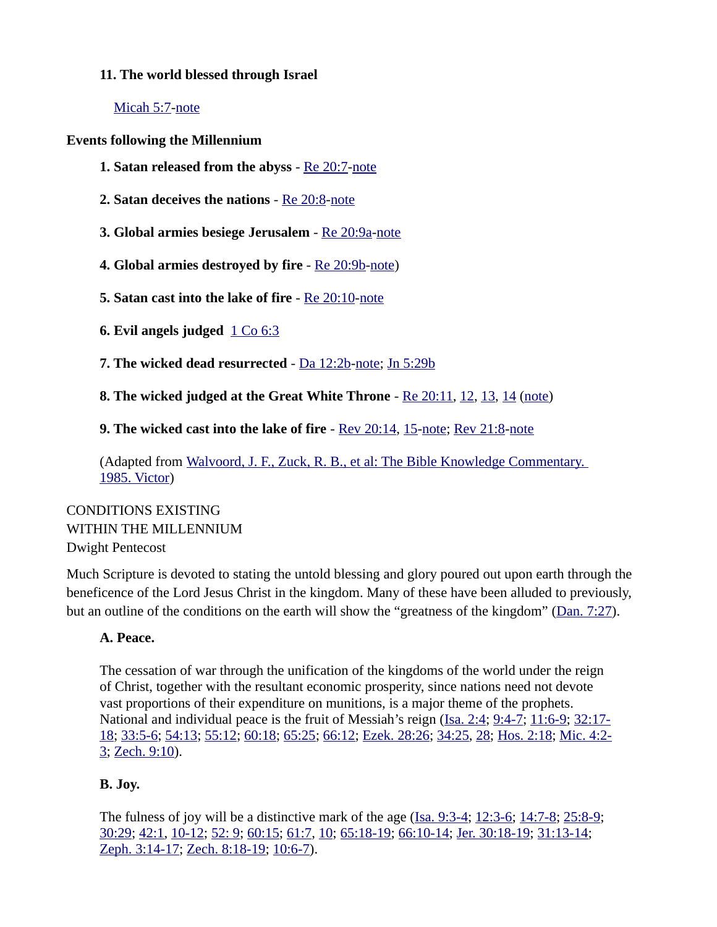#### **11. The world blessed through Israel**

 [Micah 5:7](https://biblia.com/bible/niv/Micah%205.7)[-note](https://www.preceptaustin.org/micah_5_commentary#5:7)

**Events following the Millennium**

- **1. Satan released from the abyss** - [Re 20:7](https://biblia.com/bible/niv/Rev%2020.7)[-note](http://www.spiritandtruth.org/id/revc.htm?20:7)
- **2. Satan deceives the nations** [Re 20:8](https://biblia.com/bible/niv/Rev%2020.8)[-note](http://www.spiritandtruth.org/id/revc.htm?20:8)
- **3. Global armies besiege Jerusalem** [Re 20:9a-](https://biblia.com/bible/niv/Rev%2020.9a)[note](http://www.spiritandtruth.org/id/revc.htm?20:9)
- **4. Global armies destroyed by fire** [Re 20:9b](https://biblia.com/bible/niv/Rev%2020.9b)[-note](http://www.spiritandtruth.org/id/revc.htm?20:9))
- **5. Satan cast into the lake of fire** - [Re 20:10](https://biblia.com/bible/niv/Rev%2020.10)[-note](http://www.spiritandtruth.org/id/revc.htm?20:10)
- **6. Evil angels judged**  $1 \text{ Co } 6:3$
- **7. The wicked dead resurrected** - [Da 12:2b-](https://biblia.com/bible/niv/Dan%2012.2b)[note](https://www.preceptaustin.org/daniel_12_commentary#12:2); [Jn 5:29b](https://biblia.com/bible/niv/John%205.29b)
- **8. The wicked judged at the Great White Throne** [Re 20:11](https://biblia.com/bible/niv/Rev%2020.11), [12](https://biblia.com/bible/niv/Re%2020.12), [13](https://biblia.com/bible/niv/Re%2020.13), [14](https://biblia.com/bible/niv/Re%2020.14) ([note\)](http://www.spiritandtruth.org/id/revc.htm?20:11)

**9. The wicked cast into the lake of fire** - [Rev 20:14,](https://biblia.com/bible/niv/Rev%2020.14) [15-](https://biblia.com/bible/niv/Rev%2020.15)[note](http://www.spiritandtruth.org/id/revc.htm?20:14); [Rev 21:8](https://biblia.com/bible/niv/Rev%2021.8)[-note](http://www.spiritandtruth.org/id/revc.htm?21:8)

(Adapted from Walvoord, J. F., Zuck, R. B., et al: The Bible Knowledge Commentary. [1985. Victor\)](https://www.amazon.com/exec/obidos/tg/detail/-/089693800X?v=glance)

CONDITIONS EXISTING WITHIN THE MILLENNIUM Dwight Pentecost

Much Scripture is devoted to stating the untold blessing and glory poured out upon earth through the beneficence of the Lord Jesus Christ in the kingdom. Many of these have been alluded to previously, but an outline of the conditions on the earth will show the "greatness of the kingdom" [\(Dan. 7:27\)](https://biblia.com/bible/niv/Dan.%207.27).

# **A. Peace.**

The cessation of war through the unification of the kingdoms of the world under the reign of Christ, together with the resultant economic prosperity, since nations need not devote vast proportions of their expenditure on munitions, is a major theme of the prophets. National and individual peace is the fruit of Messiah's reign ([Isa. 2:4](https://biblia.com/bible/niv/Isa.%202.4); [9:4-7;](https://biblia.com/bible/niv/Isa%209.4-7) [11:6-9](https://biblia.com/bible/niv/Isa%2011.6-9); [32:17-](https://biblia.com/bible/niv/Isa%2032.17-18) [18](https://biblia.com/bible/niv/Isa%2032.17-18); [33:5-6;](https://biblia.com/bible/niv/Isa%2033.5-6) [54:13;](https://biblia.com/bible/niv/Isa%2054.13) [55:12](https://biblia.com/bible/niv/Isa%2055.12); [60:18](https://biblia.com/bible/niv/Isa%2060.18); [65:25;](https://biblia.com/bible/niv/Isa%2065.25) [66:12](https://biblia.com/bible/niv/Isa%2066.12); [Ezek. 28:26](https://biblia.com/bible/niv/Ezek.%2028.26); [34:25,](https://biblia.com/bible/niv/Ezek%2034.25) [28;](https://biblia.com/bible/niv/Ezek%2034.28) [Hos. 2:18;](https://biblia.com/bible/niv/Hos.%202.18) [Mic. 4:2-](https://biblia.com/bible/niv/Micah.%204.2-3) [3](https://biblia.com/bible/niv/Micah.%204.2-3); [Zech. 9:10\)](https://biblia.com/bible/niv/Zech.%209.10).

# **B. Joy.**

The fulness of joy will be a distinctive mark of the age ( $Isa. 9:3-4$ ;  $12:3-6$ ;  $14:7-8$ ;  $25:8-9$ ; [30:29](https://biblia.com/bible/niv/Isa%2030.29); [42:1](https://biblia.com/bible/niv/Isa%2042.1), [10-12](https://biblia.com/bible/niv/Isa%2042.10-12); [52: 9;](https://biblia.com/bible/niv/Isa%2052.%209) [60:15;](https://biblia.com/bible/niv/Isa%2060.15) [61:7](https://biblia.com/bible/niv/Isa%2061.7), [10](https://biblia.com/bible/niv/Isa%2061.10); [65:18-19](https://biblia.com/bible/niv/Isa%2065.18-19); [66:10-14;](https://biblia.com/bible/niv/Isa%2066.10-14) [Jer. 30:18-19;](https://biblia.com/bible/niv/Jer.%2030.18-19) [31:13-14](https://biblia.com/bible/niv/Jer%2031.13-14); [Zeph. 3:14-17](https://biblia.com/bible/niv/Zeph.%203.14-17); [Zech. 8:18-19;](https://biblia.com/bible/niv/Zech.%208.18-19) [10:6-7](https://biblia.com/bible/niv/Zech%2010.6-7)).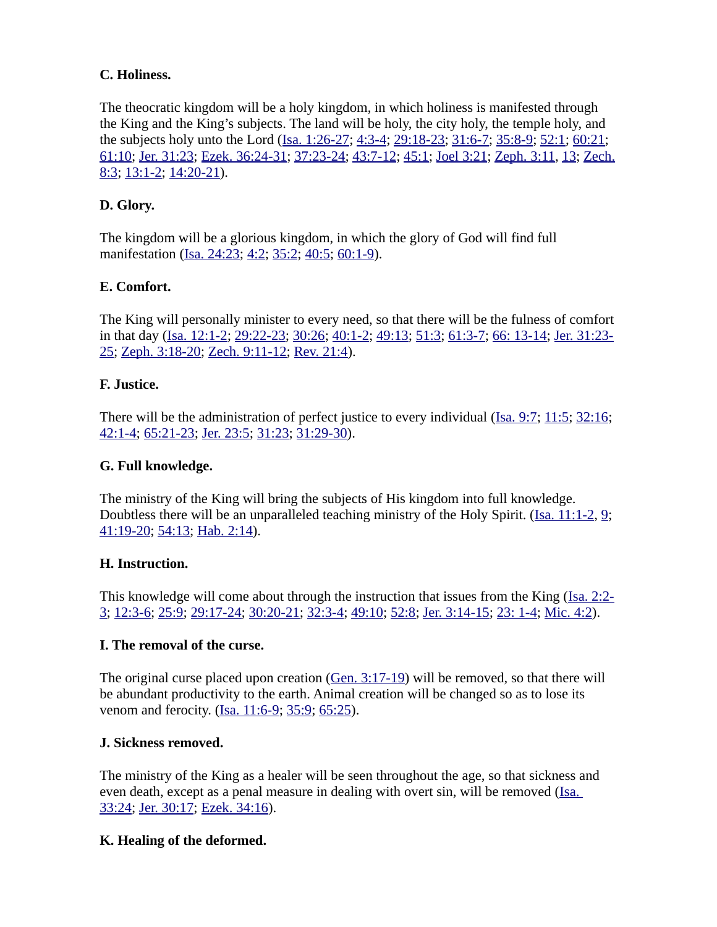# **C. Holiness.**

The theocratic kingdom will be a holy kingdom, in which holiness is manifested through the King and the King's subjects. The land will be holy, the city holy, the temple holy, and the subjects holy unto the Lord [\(Isa. 1:26-27](https://biblia.com/bible/niv/Isa.%201.26-27); [4:3-4](https://biblia.com/bible/niv/Isa%204.3-4); [29:18-23;](https://biblia.com/bible/niv/Isa%2029.18-23) [31:6-7;](https://biblia.com/bible/niv/Isa%2031.6-7) [35:8-9](https://biblia.com/bible/niv/Isa%2035.8-9); [52:1](https://biblia.com/bible/niv/Isa%2052.1); [60:21;](https://biblia.com/bible/niv/Isa%2060.21) [61:10](https://biblia.com/bible/niv/Isa%2061.10); [Jer. 31:23](https://biblia.com/bible/niv/Jer.%2031.23); [Ezek. 36:24-31](https://biblia.com/bible/niv/Ezek.%2036.24-31); [37:23-24;](https://biblia.com/bible/niv/Ezek%2037.23-24) [43:7-12;](https://biblia.com/bible/niv/Ezek%2043.7-12) [45:1](https://biblia.com/bible/niv/Ezek%2045.1); [Joel 3:21](https://biblia.com/bible/niv/Joel%203.21); [Zeph. 3:11](https://biblia.com/bible/niv/Zeph.%203.11), [13](https://biblia.com/bible/niv/Zeph%203.13); [Zech.](https://biblia.com/bible/niv/Zech.%208.3) [8:3](https://biblia.com/bible/niv/Zech.%208.3); [13:1-2](https://biblia.com/bible/niv/Zech%2013.1-2); [14:20-21\)](https://biblia.com/bible/niv/Zech%2014.20-21).

# **D. Glory.**

The kingdom will be a glorious kingdom, in which the glory of God will find full manifestation [\(Isa. 24:23;](https://biblia.com/bible/niv/Isa.%2024.23) [4:2](https://biblia.com/bible/niv/Isa%204.2); [35:2](https://biblia.com/bible/niv/Isa%2035.2); [40:5;](https://biblia.com/bible/niv/Isa%2040.5) [60:1-9\)](https://biblia.com/bible/niv/Isa%2060.1-9).

# **E. Comfort.**

The King will personally minister to every need, so that there will be the fulness of comfort in that day ([Isa. 12:1-2](https://biblia.com/bible/niv/Isa.%2012.1-2); [29:22-23;](https://biblia.com/bible/niv/Isa%2029.22-23) [30:26;](https://biblia.com/bible/niv/Isa%2030.26) [40:1-2](https://biblia.com/bible/niv/Isa%2040.1-2); [49:13](https://biblia.com/bible/niv/Isa%2049.13); [51:3;](https://biblia.com/bible/niv/Isa%2051.3) [61:3-7](https://biblia.com/bible/niv/Isa%2061.3-7); [66: 13-14](https://biblia.com/bible/niv/Isa%2066.%2013-14); [Jer. 31:23-](https://biblia.com/bible/niv/Jer.%2031.23-25) [25](https://biblia.com/bible/niv/Jer.%2031.23-25); [Zeph. 3:18-20](https://biblia.com/bible/niv/Zeph.%203.18-20); [Zech. 9:11-12;](https://biblia.com/bible/niv/Zech.%209.11-12) [Rev. 21:4](https://biblia.com/bible/niv/Rev.%2021.4)).

#### **F. Justice.**

There will be the administration of perfect justice to every individual [\(Isa. 9:7;](https://biblia.com/bible/niv/Isa.%209.7) [11:5](https://biblia.com/bible/niv/Isa%2011.5); [32:16;](https://biblia.com/bible/niv/Isa%2032.16) [42:1-4](https://biblia.com/bible/niv/Isa%2042.1-4); [65:21-23](https://biblia.com/bible/niv/Isa%2065.21-23); [Jer. 23:5](https://biblia.com/bible/niv/Jer.%2023.5); [31:23;](https://biblia.com/bible/niv/Jer%2031.23) [31:29-30\)](https://biblia.com/bible/niv/Jer%2031.29-30).

#### **G. Full knowledge.**

The ministry of the King will bring the subjects of His kingdom into full knowledge. Doubtless there will be an unparalleled teaching ministry of the Holy Spirit. ([Isa. 11:1-2,](https://biblia.com/bible/niv/Isa.%2011.1-2) [9;](https://biblia.com/bible/niv/Isa%2011.9) [41:19-20](https://biblia.com/bible/niv/Isa%2041.19-20); [54:13](https://biblia.com/bible/niv/Isa%2054.13); [Hab. 2:14\)](https://biblia.com/bible/niv/Hab.%202.14).

#### **H. Instruction.**

This knowledge will come about through the instruction that issues from the King [\(Isa. 2:2-](https://biblia.com/bible/niv/Isa.%202.2-3) [3](https://biblia.com/bible/niv/Isa.%202.2-3); [12:3-6;](https://biblia.com/bible/niv/Isa%2012.3-6) [25:9;](https://biblia.com/bible/niv/Isa%2025.9) [29:17-24](https://biblia.com/bible/niv/Isa%2029.17-24); [30:20-21](https://biblia.com/bible/niv/Isa%2030.20-21); [32:3-4;](https://biblia.com/bible/niv/Isa%2032.3-4) [49:10](https://biblia.com/bible/niv/Isa%2049.10); [52:8](https://biblia.com/bible/niv/Isa%2052.8); [Jer. 3:14-15](https://biblia.com/bible/niv/Jer.%203.14-15); [23: 1-4;](https://biblia.com/bible/niv/Jer%2023.%201-4) [Mic. 4:2\)](https://biblia.com/bible/niv/Micah.%204.2).

#### **I. The removal of the curse.**

The original curse placed upon creation [\(Gen. 3:17-19\)](https://biblia.com/bible/niv/Gen.%203.17-19) will be removed, so that there will be abundant productivity to the earth. Animal creation will be changed so as to lose its venom and ferocity. ([Isa. 11:6-9;](https://biblia.com/bible/niv/Isa.%2011.6-9) [35:9](https://biblia.com/bible/niv/Isa%2035.9); [65:25](https://biblia.com/bible/niv/Isa%2065.25)).

#### **J. Sickness removed.**

The ministry of the King as a healer will be seen throughout the age, so that sickness and even death, except as a penal measure in dealing with overt sin, will be removed (Isa. [33:24](https://biblia.com/bible/niv/Isa.%2033.24); [Jer. 30:17](https://biblia.com/bible/niv/Jer.%2030.17); [Ezek. 34:16](https://biblia.com/bible/niv/Ezek.%2034.16)).

#### **K. Healing of the deformed.**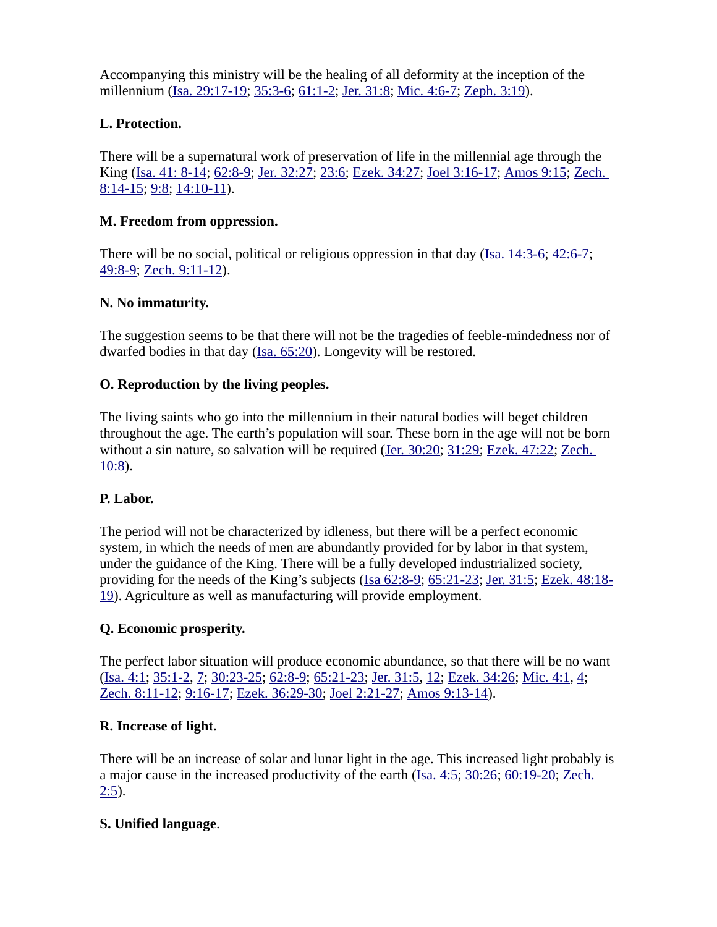Accompanying this ministry will be the healing of all deformity at the inception of the millennium [\(Isa. 29:17-19;](https://biblia.com/bible/niv/Isa.%2029.17-19) [35:3-6;](https://biblia.com/bible/niv/Isa%2035.3-6) [61:1-2](https://biblia.com/bible/niv/Isa%2061.1-2); [Jer. 31:8](https://biblia.com/bible/niv/Jer.%2031.8); [Mic. 4:6-7](https://biblia.com/bible/niv/Micah.%204.6-7); [Zeph. 3:19\)](https://biblia.com/bible/niv/Zeph.%203.19).

# **L. Protection.**

There will be a supernatural work of preservation of life in the millennial age through the King [\(Isa. 41: 8-14](https://biblia.com/bible/niv/Isa.%2041.%208-14); [62:8-9](https://biblia.com/bible/niv/Isa%2062.8-9); [Jer. 32:27](https://biblia.com/bible/niv/Jer.%2032.27); [23:6;](https://biblia.com/bible/niv/Jer%2023.6) [Ezek. 34:27;](https://biblia.com/bible/niv/Ezek.%2034.27) [Joel 3:16-17;](https://biblia.com/bible/niv/Joel%203.16-17) [Amos 9:15;](https://biblia.com/bible/niv/Amos%209.15) [Zech.](https://biblia.com/bible/niv/Zech.%208.14-15)  [8:14-15](https://biblia.com/bible/niv/Zech.%208.14-15); [9:8](https://biblia.com/bible/niv/Zech%209.8); [14:10-11](https://biblia.com/bible/niv/Zech%2014.10-11)).

# **M. Freedom from oppression.**

There will be no social, political or religious oppression in that day ([Isa. 14:3-6](https://biblia.com/bible/niv/Isa.%2014.3-6); [42:6-7](https://biblia.com/bible/niv/Isa%2042.6-7); [49:8-9](https://biblia.com/bible/niv/Isa%2049.8-9); [Zech. 9:11-12\)](https://biblia.com/bible/niv/Zech.%209.11-12).

# **N. No immaturity.**

The suggestion seems to be that there will not be the tragedies of feeble-mindedness nor of dwarfed bodies in that day [\(Isa. 65:20\)](https://biblia.com/bible/niv/Isa.%2065.20). Longevity will be restored.

# **O. Reproduction by the living peoples.**

The living saints who go into the millennium in their natural bodies will beget children throughout the age. The earth's population will soar. These born in the age will not be born without a sin nature, so salvation will be required [\(Jer. 30:20;](https://biblia.com/bible/niv/Jer.%2030.20) [31:29](https://biblia.com/bible/niv/Jer%2031.29); [Ezek. 47:22](https://biblia.com/bible/niv/Ezek.%2047.22); Zech. [10:8](https://biblia.com/bible/niv/Zech.%2010.8)).

#### **P. Labor.**

The period will not be characterized by idleness, but there will be a perfect economic system, in which the needs of men are abundantly provided for by labor in that system, under the guidance of the King. There will be a fully developed industrialized society, providing for the needs of the King's subjects [\(Isa 62:8-9](https://biblia.com/bible/niv/Isa%2062.8-9); [65:21-23](https://biblia.com/bible/niv/Isa%2065.21-23); [Jer. 31:5](https://biblia.com/bible/niv/Jer.%2031.5); [Ezek. 48:18-](https://biblia.com/bible/niv/Ezek.%2048.18-19) [19](https://biblia.com/bible/niv/Ezek.%2048.18-19)). Agriculture as well as manufacturing will provide employment.

# **Q. Economic prosperity.**

The perfect labor situation will produce economic abundance, so that there will be no want [\(Isa. 4:1](https://biblia.com/bible/niv/Isa.%204.1); [35:1-2](https://biblia.com/bible/niv/Isa%2035.1-2), [7](https://biblia.com/bible/niv/Isa%2035.7); [30:23-25;](https://biblia.com/bible/niv/Isa%2030.23-25) [62:8-9;](https://biblia.com/bible/niv/Isa%2062.8-9) [65:21-23](https://biblia.com/bible/niv/Isa%2065.21-23); [Jer. 31:5](https://biblia.com/bible/niv/Jer.%2031.5), [12](https://biblia.com/bible/niv/Jer%2031.12); [Ezek. 34:26](https://biblia.com/bible/niv/Ezek.%2034.26); [Mic. 4:1](https://biblia.com/bible/niv/Micah.%204.1), [4](https://biblia.com/bible/niv/Mic%204.4); [Zech. 8:11-12](https://biblia.com/bible/niv/Zech.%208.11-12); [9:16-17;](https://biblia.com/bible/niv/Zech%209.16-17) [Ezek. 36:29-30](https://biblia.com/bible/niv/Ezek.%2036.29-30); [Joel 2:21-27](https://biblia.com/bible/niv/Joel%202.21-27); [Amos 9:13-14\)](https://biblia.com/bible/niv/Amos%209.13-14).

# **R. Increase of light.**

There will be an increase of solar and lunar light in the age. This increased light probably is a major cause in the increased productivity of the earth ([Isa. 4:5](https://biblia.com/bible/niv/Isa.%204.5); [30:26;](https://biblia.com/bible/niv/Isa%2030.26) [60:19-20](https://biblia.com/bible/niv/Isa%2060.19-20); [Zech.](https://biblia.com/bible/niv/Zech.%202.5)   $2:5$ ).

# **S. Unified language**.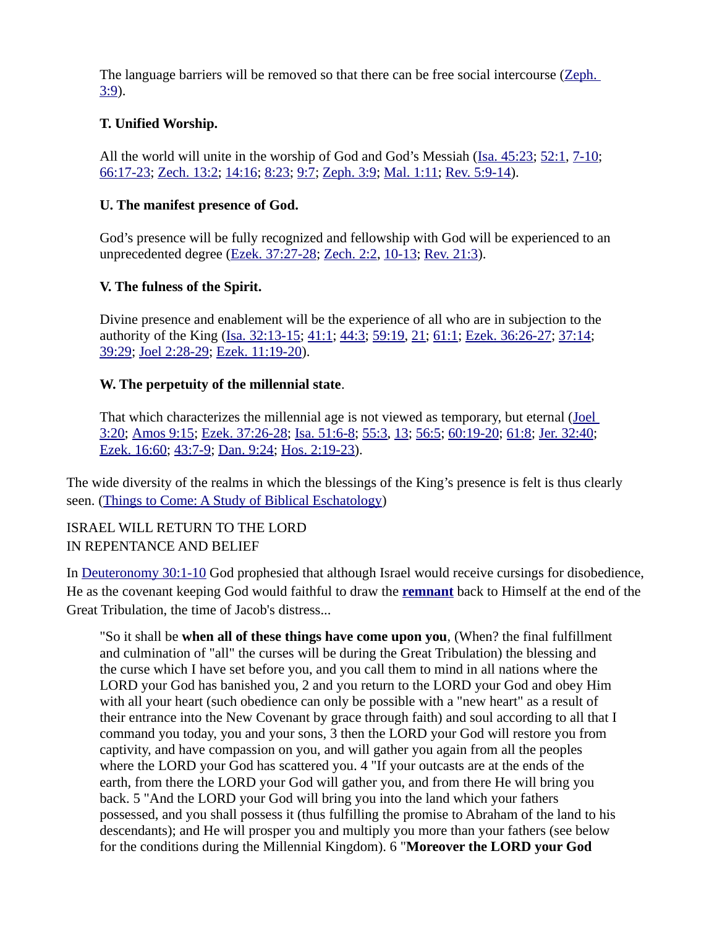The language barriers will be removed so that there can be free social intercourse (Zeph. [3:9](https://biblia.com/bible/niv/Zeph.%203.9)).

# **T. Unified Worship.**

All the world will unite in the worship of God and God's Messiah ([Isa. 45:23](https://biblia.com/bible/niv/Isa.%2045.23); [52:1](https://biblia.com/bible/niv/Isa%2052.1), [7-10](https://biblia.com/bible/niv/Isa%2052.7-10); [66:17-23](https://biblia.com/bible/niv/Isa%2066.17-23); [Zech. 13:2](https://biblia.com/bible/niv/Zech.%2013.2); [14:16;](https://biblia.com/bible/niv/Zech%2014.16) [8:23;](https://biblia.com/bible/niv/Zech%208.23) [9:7](https://biblia.com/bible/niv/Zech%209.7); [Zeph. 3:9;](https://biblia.com/bible/niv/Zeph.%203.9) [Mal. 1:11](https://biblia.com/bible/niv/Mal.%201.11); [Rev. 5:9-14](https://biblia.com/bible/niv/Rev.%205.9-14)).

#### **U. The manifest presence of God.**

God's presence will be fully recognized and fellowship with God will be experienced to an unprecedented degree [\(Ezek. 37:27-28](https://biblia.com/bible/niv/Ezek.%2037.27-28); [Zech. 2:2](https://biblia.com/bible/niv/Zech.%202.2), [10-13](https://biblia.com/bible/niv/Zech%202.10-13); [Rev. 21:3](https://biblia.com/bible/niv/Rev.%2021.3)).

# **V. The fulness of the Spirit.**

Divine presence and enablement will be the experience of all who are in subjection to the authority of the King [\(Isa. 32:13-15](https://biblia.com/bible/niv/Isa.%2032.13-15); [41:1](https://biblia.com/bible/niv/Isa%2041.1); [44:3;](https://biblia.com/bible/niv/Isa%2044.3) [59:19,](https://biblia.com/bible/niv/Isa%2059.19) [21;](https://biblia.com/bible/niv/Isa%2059.21) [61:1](https://biblia.com/bible/niv/Isa%2061.1); [Ezek. 36:26-27](https://biblia.com/bible/niv/Ezek.%2036.26-27); [37:14;](https://biblia.com/bible/niv/Ezek%2037.14) [39:29](https://biblia.com/bible/niv/Ezek%2039.29); [Joel 2:28-29](https://biblia.com/bible/niv/Joel%202.28-29); [Ezek. 11:19-20\)](https://biblia.com/bible/niv/Ezek.%2011.19-20).

# **W. The perpetuity of the millennial state**.

That which characterizes the millennial age is not viewed as temporary, but eternal (*Joel* [3:20](https://biblia.com/bible/niv/Joel%203.20); [Amos 9:15;](https://biblia.com/bible/niv/Amos%209.15) [Ezek. 37:26-28](https://biblia.com/bible/niv/Ezek.%2037.26-28); [Isa. 51:6-8](https://biblia.com/bible/niv/Isa.%2051.6-8); [55:3,](https://biblia.com/bible/niv/Isa%2055.3) [13;](https://biblia.com/bible/niv/Isa%2055.13) [56:5;](https://biblia.com/bible/niv/Isa%2056.5) [60:19-20](https://biblia.com/bible/niv/Isa%2060.19-20); [61:8](https://biblia.com/bible/niv/Isa%2061.8); [Jer. 32:40](https://biblia.com/bible/niv/Jer.%2032.40); [Ezek. 16:60](https://biblia.com/bible/niv/Ezek.%2016.60); [43:7-9](https://biblia.com/bible/niv/Ezek%2043.7-9); [Dan. 9:24;](https://biblia.com/bible/niv/Dan.%209.24) [Hos. 2:19-23\)](https://biblia.com/bible/niv/Hos.%202.19-23).

The wide diversity of the realms in which the blessings of the King's presence is felt is thus clearly seen. [\(Things to Come: A Study of Biblical Eschatology](https://www.amazon.com/dp/B000SELP1G/ref=dp-kindle-redirect?_encoding=UTF8&btkr=1))

# ISRAEL WILL RETURN TO THE LORD IN REPENTANCE AND BELIEF

In [Deuteronomy 30:1-10](https://biblia.com/bible/niv/Deut%2030.1-10) God prophesied that although Israel would receive cursings for disobedience, He as the covenant keeping God would faithful to draw the **[remnant](https://www.preceptaustin.org/remnant-of-israel)** back to Himself at the end of the Great Tribulation, the time of Jacob's distress...

"So it shall be **when all of these things have come upon you**, (When? the final fulfillment and culmination of "all" the curses will be during the Great Tribulation) the blessing and the curse which I have set before you, and you call them to mind in all nations where the LORD your God has banished you, 2 and you return to the LORD your God and obey Him with all your heart (such obedience can only be possible with a "new heart" as a result of their entrance into the New Covenant by grace through faith) and soul according to all that I command you today, you and your sons, 3 then the LORD your God will restore you from captivity, and have compassion on you, and will gather you again from all the peoples where the LORD your God has scattered you. 4 "If your outcasts are at the ends of the earth, from there the LORD your God will gather you, and from there He will bring you back. 5 "And the LORD your God will bring you into the land which your fathers possessed, and you shall possess it (thus fulfilling the promise to Abraham of the land to his descendants); and He will prosper you and multiply you more than your fathers (see below for the conditions during the Millennial Kingdom). 6 "**Moreover the LORD your God**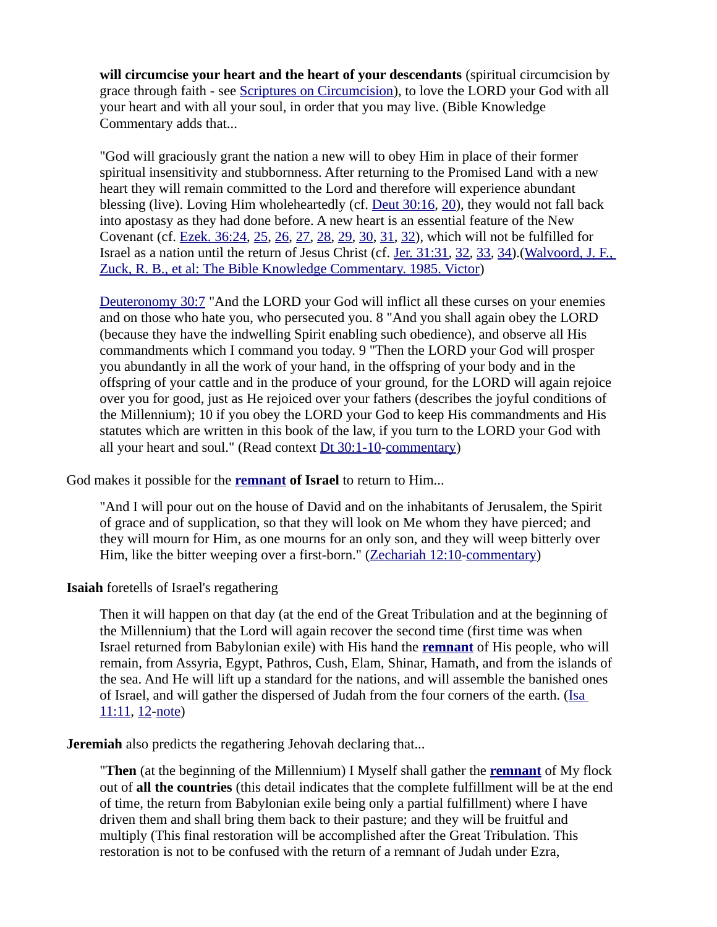**will circumcise your heart and the heart of your descendants** (spiritual circumcision by grace through faith - see [Scriptures on Circumcision](https://www.preceptaustin.org/covenant_solemn_and_binding#soc)), to love the LORD your God with all your heart and with all your soul, in order that you may live. (Bible Knowledge Commentary adds that...

"God will graciously grant the nation a new will to obey Him in place of their former spiritual insensitivity and stubbornness. After returning to the Promised Land with a new heart they will remain committed to the Lord and therefore will experience abundant blessing (live). Loving Him wholeheartedly (cf. [Deut 30:16](https://biblia.com/bible/niv/Deut%2030.16), [20](https://biblia.com/bible/niv/Deut%2030.20)), they would not fall back into apostasy as they had done before. A new heart is an essential feature of the New Covenant (cf. [Ezek. 36:24,](https://biblia.com/bible/niv/Ezek.%2036.24) [25,](https://biblia.com/bible/niv/Ezek%2036.25) [26,](https://biblia.com/bible/niv/Ezek%2036.26) [27,](https://biblia.com/bible/niv/Ezek%2036.27) [28,](https://biblia.com/bible/niv/Ezek%2036.28) [29,](https://biblia.com/bible/niv/Ezek%2036.29) [30,](https://biblia.com/bible/niv/Ezek%2036.30) [31,](https://biblia.com/bible/niv/Ezek%2036.31) [32\)](https://biblia.com/bible/niv/Ezek%2036.32), which will not be fulfilled for Israel as a nation until the return of Jesus Christ (cf. [Jer. 31:31](https://biblia.com/bible/niv/Jer.%2031.31), [32](https://biblia.com/bible/niv/Jer%2031.32), [33](https://biblia.com/bible/niv/Jer%2031.33), [34](https://biblia.com/bible/niv/Jer%2031.34)).[\(Walvoord, J. F.,](https://www.amazon.com/exec/obidos/tg/detail/-/089693800X?v=glance)  [Zuck, R. B., et al: The Bible Knowledge Commentary. 1985. Victor\)](https://www.amazon.com/exec/obidos/tg/detail/-/089693800X?v=glance)

[Deuteronomy 30:7](https://biblia.com/bible/niv/Deut%2030.7) "And the LORD your God will inflict all these curses on your enemies and on those who hate you, who persecuted you. 8 "And you shall again obey the LORD (because they have the indwelling Spirit enabling such obedience), and observe all His commandments which I command you today. 9 "Then the LORD your God will prosper you abundantly in all the work of your hand, in the offspring of your body and in the offspring of your cattle and in the produce of your ground, for the LORD will again rejoice over you for good, just as He rejoiced over your fathers (describes the joyful conditions of the Millennium); 10 if you obey the LORD your God to keep His commandments and His statutes which are written in this book of the law, if you turn to the LORD your God with all your heart and soul." (Read context [Dt 30:1-10-](https://biblia.com/bible/niv/Deut%2030.1-10)[commentary\)](https://www.preceptaustin.org/deuteronomy-30-commentary#30:7)

God makes it possible for the **[remnant](https://www.preceptaustin.org/remnant-of-israel) of Israel** to return to Him...

"And I will pour out on the house of David and on the inhabitants of Jerusalem, the Spirit of grace and of supplication, so that they will look on Me whom they have pierced; and they will mourn for Him, as one mourns for an only son, and they will weep bitterly over Him, like the bitter weeping over a first-born." ([Zechariah 12:10](https://biblia.com/bible/niv/Zech%2012.10)[-commentary](https://www.preceptaustin.org/zechariah-12-commentary#12:10))

#### **Isaiah** foretells of Israel's regathering

Then it will happen on that day (at the end of the Great Tribulation and at the beginning of the Millennium) that the Lord will again recover the second time (first time was when Israel returned from Babylonian exile) with His hand the **[remnant](https://www.preceptaustin.org/remnant-of-israel)** of His people, who will remain, from Assyria, Egypt, Pathros, Cush, Elam, Shinar, Hamath, and from the islands of the sea. And He will lift up a standard for the nations, and will assemble the banished ones of Israel, and will gather the dispersed of Judah from the four corners of the earth. (Isa [11:11,](https://biblia.com/bible/niv/Isa%2011.11) [12](https://biblia.com/bible/niv/Isa%2011.12)[-note](https://www.preceptaustin.org/isaiah_11_commentary#11:11))

**Jeremiah** also predicts the regathering Jehovah declaring that...

"**Then** (at the beginning of the Millennium) I Myself shall gather the **[remnant](https://www.preceptaustin.org/remnant-of-israel)** of My flock out of **all the countries** (this detail indicates that the complete fulfillment will be at the end of time, the return from Babylonian exile being only a partial fulfillment) where I have driven them and shall bring them back to their pasture; and they will be fruitful and multiply (This final restoration will be accomplished after the Great Tribulation. This restoration is not to be confused with the return of a remnant of Judah under Ezra,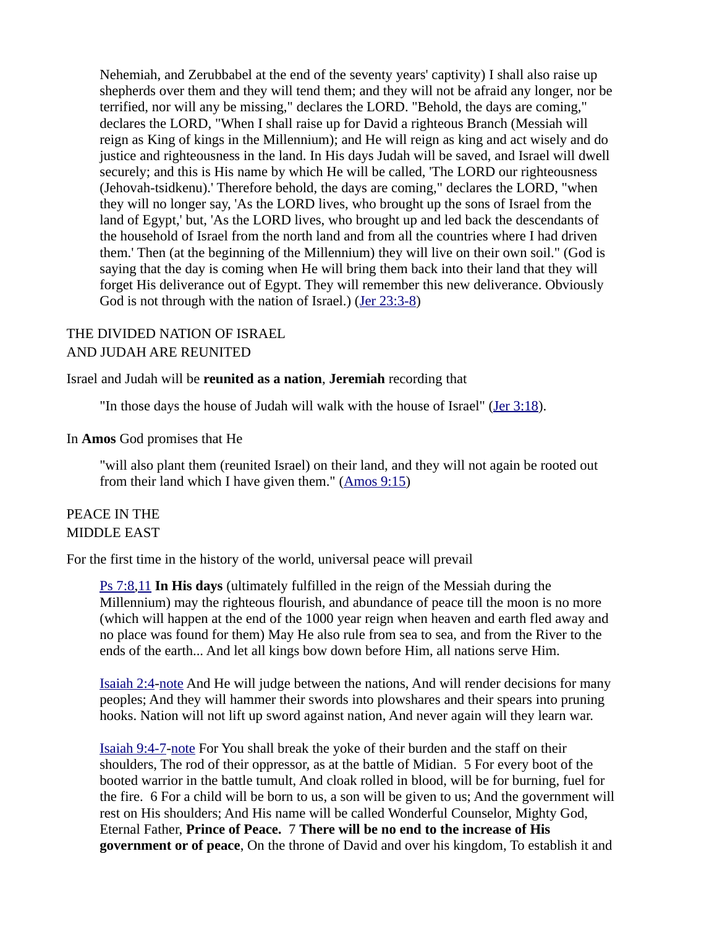Nehemiah, and Zerubbabel at the end of the seventy years' captivity) I shall also raise up shepherds over them and they will tend them; and they will not be afraid any longer, nor be terrified, nor will any be missing," declares the LORD. "Behold, the days are coming," declares the LORD, "When I shall raise up for David a righteous Branch (Messiah will reign as King of kings in the Millennium); and He will reign as king and act wisely and do justice and righteousness in the land. In His days Judah will be saved, and Israel will dwell securely; and this is His name by which He will be called, 'The LORD our righteousness (Jehovah-tsidkenu).' Therefore behold, the days are coming," declares the LORD, "when they will no longer say, 'As the LORD lives, who brought up the sons of Israel from the land of Egypt,' but, 'As the LORD lives, who brought up and led back the descendants of the household of Israel from the north land and from all the countries where I had driven them.' Then (at the beginning of the Millennium) they will live on their own soil." (God is saying that the day is coming when He will bring them back into their land that they will forget His deliverance out of Egypt. They will remember this new deliverance. Obviously God is not through with the nation of Israel.) [\(Jer 23:3-8](https://biblia.com/bible/niv/Jer%2023.3-8))

#### THE DIVIDED NATION OF ISRAEL AND JUDAH ARE REUNITED

#### Israel and Judah will be **reunited as a nation**, **Jeremiah** recording that

"In those days the house of Judah will walk with the house of Israel" [\(Jer 3:18\)](https://biblia.com/bible/niv/Jer%203.18).

#### In **Amos** God promises that He

"will also plant them (reunited Israel) on their land, and they will not again be rooted out from their land which I have given them." ([Amos 9:15\)](https://biblia.com/bible/niv/Amos%209.15)

#### PEACE IN THE MIDDLE EAST

For the first time in the history of the world, universal peace will prevail

[Ps 7:8,](https://biblia.com/bible/niv/Ps%207.8)[11](https://biblia.com/bible/niv/Ps%207.11) **In His days** (ultimately fulfilled in the reign of the Messiah during the Millennium) may the righteous flourish, and abundance of peace till the moon is no more (which will happen at the end of the 1000 year reign when heaven and earth fled away and no place was found for them) May He also rule from sea to sea, and from the River to the ends of the earth... And let all kings bow down before Him, all nations serve Him.

[Isaiah 2:4](https://biblia.com/bible/niv/Isa%202.4)[-note](https://www.preceptaustin.org/isaiah_21-4_commentary#2:4) And He will judge between the nations, And will render decisions for many peoples; And they will hammer their swords into plowshares and their spears into pruning hooks. Nation will not lift up sword against nation, And never again will they learn war.

[Isaiah 9:4-7](https://biblia.com/bible/niv/Isa%209.4-7)[-note](https://www.preceptaustin.org/isaiah_9_commentary#9:4) For You shall break the yoke of their burden and the staff on their shoulders, The rod of their oppressor, as at the battle of Midian. 5 For every boot of the booted warrior in the battle tumult, And cloak rolled in blood, will be for burning, fuel for the fire. 6 For a child will be born to us, a son will be given to us; And the government will rest on His shoulders; And His name will be called Wonderful Counselor, Mighty God, Eternal Father, **Prince of Peace.** 7 **There will be no end to the increase of His government or of peace**, On the throne of David and over his kingdom, To establish it and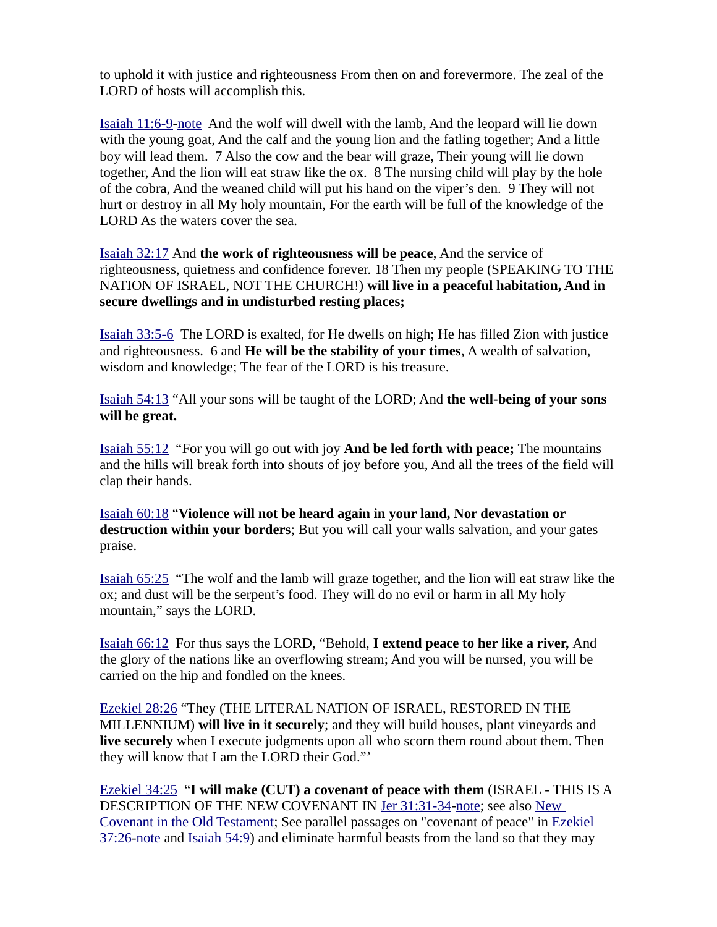to uphold it with justice and righteousness From then on and forevermore. The zeal of the LORD of hosts will accomplish this.

[Isaiah 11:6-9-](https://biblia.com/bible/niv/Isa%2011.6-9)[note](https://www.preceptaustin.org/isaiah_11_commentary#11:6) And the wolf will dwell with the lamb, And the leopard will lie down with the young goat, And the calf and the young lion and the fatling together; And a little boy will lead them. 7 Also the cow and the bear will graze, Their young will lie down together, And the lion will eat straw like the ox. 8 The nursing child will play by the hole of the cobra, And the weaned child will put his hand on the viper's den. 9 They will not hurt or destroy in all My holy mountain, For the earth will be full of the knowledge of the LORD As the waters cover the sea.

[Isaiah 32:17](https://biblia.com/bible/niv/Isa%2032.17) And **the work of righteousness will be peace**, And the service of righteousness, quietness and confidence forever. 18 Then my people (SPEAKING TO THE NATION OF ISRAEL, NOT THE CHURCH!) **will live in a peaceful habitation, And in secure dwellings and in undisturbed resting places;**

[Isaiah 33:5-6](https://biblia.com/bible/niv/Isa%2033.5-6) The LORD is exalted, for He dwells on high; He has filled Zion with justice and righteousness. 6 and **He will be the stability of your times**, A wealth of salvation, wisdom and knowledge; The fear of the LORD is his treasure.

[Isaiah 54:13](https://biblia.com/bible/niv/Isa%2054.13) "All your sons will be taught of the LORD; And **the well-being of your sons will be great.**

[Isaiah 55:12](https://biblia.com/bible/niv/Isa%2055.12) "For you will go out with joy **And be led forth with peace;** The mountains and the hills will break forth into shouts of joy before you, And all the trees of the field will clap their hands.

[Isaiah 60:18](https://biblia.com/bible/niv/Isa%2060.18) "**Violence will not be heard again in your land, Nor devastation or destruction within your borders**; But you will call your walls salvation, and your gates praise.

[Isaiah 65:25](https://biblia.com/bible/niv/Isa%2065.25) "The wolf and the lamb will graze together, and the lion will eat straw like the ox; and dust will be the serpent's food. They will do no evil or harm in all My holy mountain," says the LORD.

[Isaiah 66:12](https://biblia.com/bible/niv/Isa%2066.12) For thus says the LORD, "Behold, **I extend peace to her like a river,** And the glory of the nations like an overflowing stream; And you will be nursed, you will be carried on the hip and fondled on the knees.

[Ezekiel 28:26](https://biblia.com/bible/niv/Ezek%2028.26) "They (THE LITERAL NATION OF ISRAEL, RESTORED IN THE MILLENNIUM) **will live in it securely**; and they will build houses, plant vineyards and **live securely** when I execute judgments upon all who scorn them round about them. Then they will know that I am the LORD their God."'

[Ezekiel 34:25](https://biblia.com/bible/niv/Ezek%2034.25) "**I will make (CUT) a covenant of peace with them** (ISRAEL - THIS IS A DESCRIPTION OF THE NEW COVENANT IN [Jer 31:31-34](https://biblia.com/bible/niv/Jer%2031.31-34)[-note](https://www.preceptaustin.org/jeremiah_31_commentary#31:31); see also [New](https://www.preceptaustin.org/covenant_new_covenant_in_the_OT#nciot)  [Covenant in the Old Testament](https://www.preceptaustin.org/covenant_new_covenant_in_the_OT#nciot); See parallel passages on "covenant of peace" in [Ezekiel](https://biblia.com/bible/niv/Ezek%2037.26)  [37:26](https://biblia.com/bible/niv/Ezek%2037.26)[-note](https://www.preceptaustin.org/ezekiel_37_commentary#37:26) and [Isaiah 54:9](https://biblia.com/bible/niv/Isa%2054.9)) and eliminate harmful beasts from the land so that they may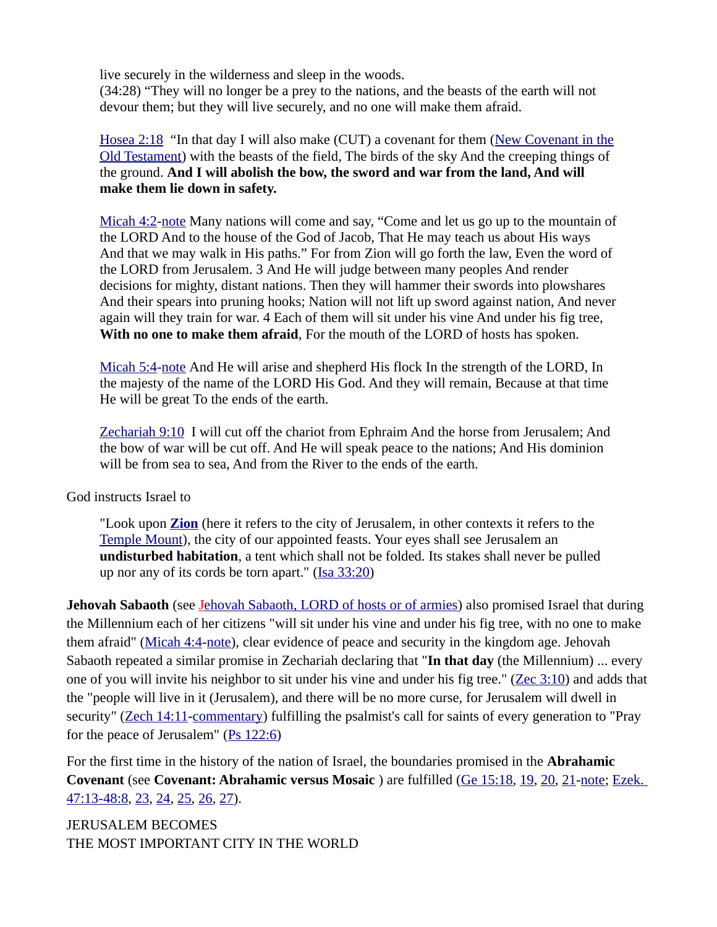live securely in the wilderness and sleep in the woods.

(34:28) "They will no longer be a prey to the nations, and the beasts of the earth will not devour them; but they will live securely, and no one will make them afraid.

[Hosea 2:18](https://biblia.com/bible/niv/Hos%202.18) "In that day I will also make (CUT) a covenant for them ([New Covenant in the](https://www.preceptaustin.org/covenant_new_covenant_in_the_OT#nciot) [Old Testament](https://www.preceptaustin.org/covenant_new_covenant_in_the_OT#nciot)) with the beasts of the field, The birds of the sky And the creeping things of the ground. **And I will abolish the bow, the sword and war from the land, And will make them lie down in safety.**

[Micah 4:2](https://biblia.com/bible/niv/Micah%204.2)[-note](https://www.preceptaustin.org/micah_4_commentary#4:2) Many nations will come and say, "Come and let us go up to the mountain of the LORD And to the house of the God of Jacob, That He may teach us about His ways And that we may walk in His paths." For from Zion will go forth the law, Even the word of the LORD from Jerusalem. 3 And He will judge between many peoples And render decisions for mighty, distant nations. Then they will hammer their swords into plowshares And their spears into pruning hooks; Nation will not lift up sword against nation, And never again will they train for war. 4 Each of them will sit under his vine And under his fig tree, **With no one to make them afraid**, For the mouth of the LORD of hosts has spoken.

[Micah 5:4](https://biblia.com/bible/niv/Micah%205.4)[-note](https://www.preceptaustin.org/micah_5_commentary#5:4) And He will arise and shepherd His flock In the strength of the LORD, In the majesty of the name of the LORD His God. And they will remain, Because at that time He will be great To the ends of the earth.

[Zechariah 9:10](https://biblia.com/bible/niv/Zech%209.10) I will cut off the chariot from Ephraim And the horse from Jerusalem; And the bow of war will be cut off. And He will speak peace to the nations; And His dominion will be from sea to sea, And from the River to the ends of the earth.

God instructs Israel to

"Look upon **[Zion](https://www.preceptaustin.org/joel-2-commentary#zion)** (here it refers to the city of Jerusalem, in other contexts it refers to the [Temple Mount](https://www.preceptaustin.org/zechariah-12-commentary#templemount)), the city of our appointed feasts. Your eyes shall see Jerusalem an **undisturbed habitation**, a tent which shall not be folded. Its stakes shall never be pulled up nor any of its cords be torn apart."  $(I<sub>Sa</sub> 33:20)$ 

**Jehovah Sabaoth** (see Jehovah Sabaoth, LORD of hosts or of armies) also promised Israel that during the Millennium each of her citizens "will sit under his vine and under his fig tree, with no one to make them afraid" ([Micah 4:4-](https://biblia.com/bible/niv/Micah%204.4)[note](https://www.preceptaustin.org/micah_4_commentary#4:4)), clear evidence of peace and security in the kingdom age. Jehovah Sabaoth repeated a similar promise in Zechariah declaring that "**In that day** (the Millennium) ... every one of you will invite his neighbor to sit under his vine and under his fig tree." [\(Zec 3:10\)](https://biblia.com/bible/niv/Zech%203.10) and adds that the "people will live in it (Jerusalem), and there will be no more curse, for Jerusalem will dwell in security" ([Zech 14:11](https://biblia.com/bible/niv/Zech%2014.11)[-commentary\)](https://www.preceptaustin.org/zechariah-14-commentary#14:11) fulfilling the psalmist's call for saints of every generation to "Pray for the peace of Jerusalem" ([Ps 122:6](https://biblia.com/bible/niv/Ps%20122.6))

For the first time in the history of the nation of Israel, the boundaries promised in the **Abrahamic Covenant** (see **Covenant: Abrahamic versus Mosaic** ) are fulfilled ([Ge 15:18](https://biblia.com/bible/niv/Gen%2015.18), [19](https://biblia.com/bible/niv/Ge%2015.19), [20](https://biblia.com/bible/niv/Ge%2015.20), [21](https://biblia.com/bible/niv/Ge%2015.21)[-note;](https://www.preceptaustin.org/genesis-15-commentary#15:18) [Ezek.](https://biblia.com/bible/niv/Ezek.%2047.13-48.8)  [47:13-48:8](https://biblia.com/bible/niv/Ezek.%2047.13-48.8), [23](https://biblia.com/bible/niv/Ezek%2047.23), [24](https://biblia.com/bible/niv/Ezek%2047.24), [25](https://biblia.com/bible/niv/Ezek%2047.25), [26](https://biblia.com/bible/niv/Ezek%2047.26), [27](https://biblia.com/bible/niv/Ezek%2047.27)).

JERUSALEM BECOMES THE MOST IMPORTANT CITY IN THE WORLD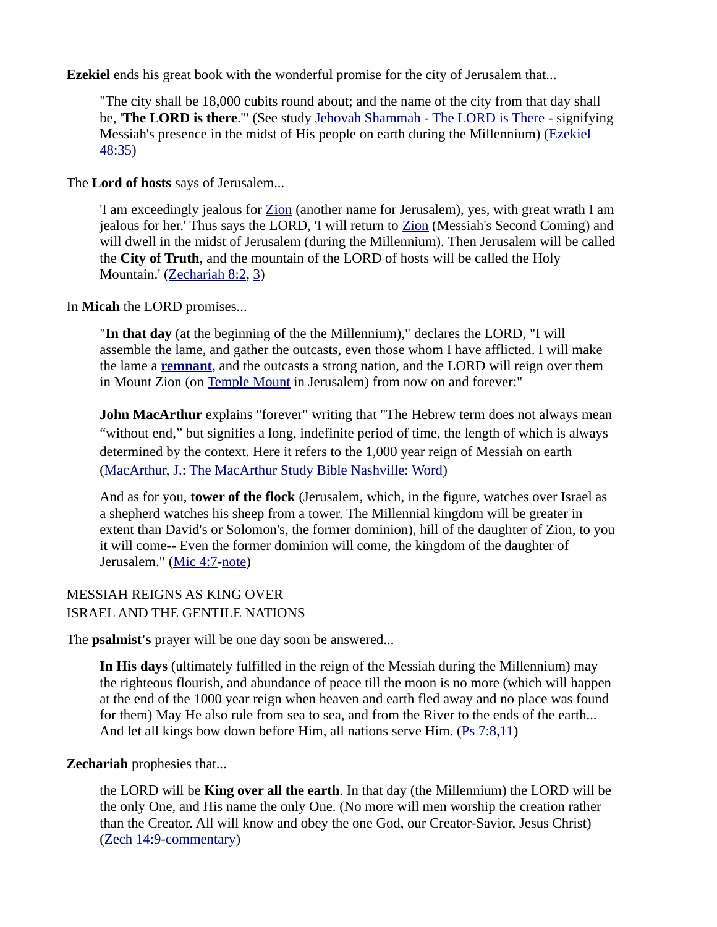**Ezekiel** ends his great book with the wonderful promise for the city of Jerusalem that...

"The city shall be 18,000 cubits round about; and the name of the city from that day shall be, '**The LORD is there**.'" (See study [Jehovah Shammah - The LORD is There](https://www.preceptaustin.org/jehovah_shammah-the_lord_is_there) - signifying Messiah's presence in the midst of His people on earth during the Millennium) ([Ezekiel](https://biblia.com/bible/niv/Ezek%2048.35)  [48:35](https://biblia.com/bible/niv/Ezek%2048.35))

The **Lord of hosts** says of Jerusalem...

'I am exceedingly jealous for [Zion](http://studylight.org/enc/isb/view.cgi?number=T9408) (another name for Jerusalem), yes, with great wrath I am jealous for her.' Thus says the LORD, 'I will return to [Zion](http://studylight.org/enc/isb/view.cgi?number=T9408) (Messiah's Second Coming) and will dwell in the midst of Jerusalem (during the Millennium). Then Jerusalem will be called the **City of Truth**, and the mountain of the LORD of hosts will be called the Holy Mountain.' ([Zechariah 8:2](https://biblia.com/bible/niv/Zech%208.2), [3](https://biblia.com/bible/niv/Zechariah%208.3))

In **Micah** the LORD promises...

"**In that day** (at the beginning of the the Millennium)," declares the LORD, "I will assemble the lame, and gather the outcasts, even those whom I have afflicted. I will make the lame a **[remnant](https://www.preceptaustin.org/remnant-of-israel)**, and the outcasts a strong nation, and the LORD will reign over them in Mount Zion (on [Temple Mount](https://www.preceptaustin.org/zechariah-12-commentary#templemount) in Jerusalem) from now on and forever:"

**John MacArthur** explains "forever" writing that "The Hebrew term does not always mean "without end," but signifies a long, indefinite period of time, the length of which is always determined by the context. Here it refers to the 1,000 year reign of Messiah on earth [\(MacArthur, J.: The MacArthur Study Bible Nashville: Word](https://www.amazon.com/exec/obidos/tg/detail/-/0849912229?v=glance))

And as for you, **tower of the flock** (Jerusalem, which, in the figure, watches over Israel as a shepherd watches his sheep from a tower. The Millennial kingdom will be greater in extent than David's or Solomon's, the former dominion), hill of the daughter of Zion, to you it will come-- Even the former dominion will come, the kingdom of the daughter of Jerusalem." [\(Mic 4:7-](https://biblia.com/bible/niv/Micah%204.7)[note](https://www.preceptaustin.org/micah_4_commentary#4:7))

#### MESSIAH REIGNS AS KING OVER ISRAEL AND THE GENTILE NATIONS

The **psalmist's** prayer will be one day soon be answered...

**In His days** (ultimately fulfilled in the reign of the Messiah during the Millennium) may the righteous flourish, and abundance of peace till the moon is no more (which will happen at the end of the 1000 year reign when heaven and earth fled away and no place was found for them) May He also rule from sea to sea, and from the River to the ends of the earth... And let all kings bow down before Him, all nations serve Him. [\(Ps 7:8](https://biblia.com/bible/niv/Ps%207.8)[,11\)](https://biblia.com/bible/niv/Ps%207.11)

#### **Zechariah** prophesies that...

the LORD will be **King over all the earth**. In that day (the Millennium) the LORD will be the only One, and His name the only One. (No more will men worship the creation rather than the Creator. All will know and obey the one God, our Creator-Savior, Jesus Christ) [\(Zech 14:9](https://biblia.com/bible/niv/Zech%2014.9)[-commentary](https://www.preceptaustin.org/zechariah-14-commentary#14:9))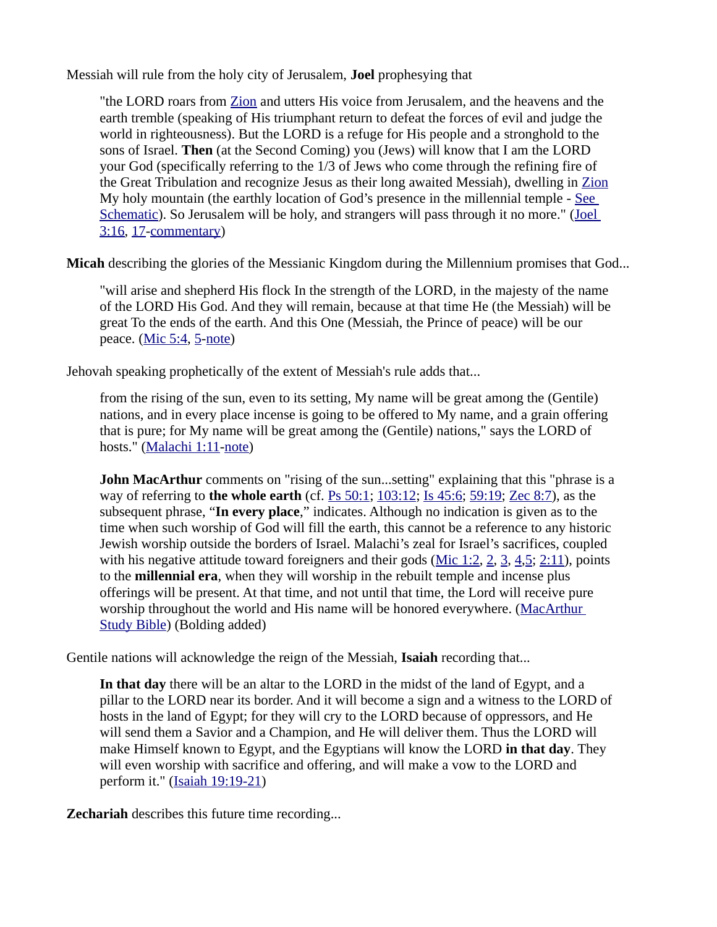Messiah will rule from the holy city of Jerusalem, **Joel** prophesying that

"the LORD roars from [Zion](http://studylight.org/enc/isb/view.cgi?number=T9408) and utters His voice from Jerusalem, and the heavens and the earth tremble (speaking of His triumphant return to defeat the forces of evil and judge the world in righteousness). But the LORD is a refuge for His people and a stronghold to the sons of Israel. **Then** (at the Second Coming) you (Jews) will know that I am the LORD your God (specifically referring to the 1/3 of Jews who come through the refining fire of the Great Tribulation and recognize Jesus as their long awaited Messiah), dwelling in [Zion](http://studylight.org/enc/isb/view.cgi?number=T9408) My holy mountain (the earthly location of God's presence in the millennial temple - [See](https://www.esv.org/resources/esv-global-study-bible/chart-26-temple-plan/)  [Schematic](https://www.esv.org/resources/esv-global-study-bible/chart-26-temple-plan/)). So Jerusalem will be holy, and strangers will pass through it no more." ([Joel](https://biblia.com/bible/niv/Joel%203.16)  [3:16](https://biblia.com/bible/niv/Joel%203.16), [17](https://biblia.com/bible/niv/Joel%203.17)[-commentary](https://www.preceptaustin.org/joel-3-commentary#3:16))

**Micah** describing the glories of the Messianic Kingdom during the Millennium promises that God...

"will arise and shepherd His flock In the strength of the LORD, in the majesty of the name of the LORD His God. And they will remain, because at that time He (the Messiah) will be great To the ends of the earth. And this One (Messiah, the Prince of peace) will be our peace. [\(Mic 5:4](https://biblia.com/bible/niv/Micah%205.4), [5](https://biblia.com/bible/niv/Mic%205.5)[-note\)](https://www.preceptaustin.org/micah_5_commentary#5:4)

Jehovah speaking prophetically of the extent of Messiah's rule adds that...

from the rising of the sun, even to its setting, My name will be great among the (Gentile) nations, and in every place incense is going to be offered to My name, and a grain offering that is pure; for My name will be great among the (Gentile) nations," says the LORD of hosts." ([Malachi 1:11-](https://biblia.com/bible/niv/Mal%201.11)[note\)](https://www.preceptaustin.org/malachi_1_commentary#1:11)

**John MacArthur** comments on "rising of the sun...setting" explaining that this "phrase is a way of referring to **the whole earth** (cf. [Ps 50:1;](https://biblia.com/bible/niv/Ps%2050.1) [103:12;](https://biblia.com/bible/niv/Ps%20103.12) [Is 45:6;](https://biblia.com/bible/niv/Isa%2045.6) [59:19;](https://biblia.com/bible/niv/Is%2059.19) [Zec 8:7](https://biblia.com/bible/niv/Zech%208.7)), as the subsequent phrase, "**In every place**," indicates. Although no indication is given as to the time when such worship of God will fill the earth, this cannot be a reference to any historic Jewish worship outside the borders of Israel. Malachi's zeal for Israel's sacrifices, coupled with his negative attitude toward foreigners and their gods ( $Mic 1:2, 2, 3, 4, 5$  $Mic 1:2, 2, 3, 4, 5$  $Mic 1:2, 2, 3, 4, 5$  $Mic 1:2, 2, 3, 4, 5$  $Mic 1:2, 2, 3, 4, 5$  $Mic 1:2, 2, 3, 4, 5$  $Mic 1:2, 2, 3, 4, 5$  $Mic 1:2, 2, 3, 4, 5$ ; [2:11](https://biblia.com/bible/niv/Mic%202.11)), points to the **millennial era**, when they will worship in the rebuilt temple and incense plus offerings will be present. At that time, and not until that time, the Lord will receive pure worship throughout the world and His name will be honored everywhere. [\(MacArthur](https://www.amazon.com/exec/obidos/tg/detail/-/0849912229?v=glance)  [Study Bible](https://www.amazon.com/exec/obidos/tg/detail/-/0849912229?v=glance)) (Bolding added)

Gentile nations will acknowledge the reign of the Messiah, **Isaiah** recording that...

**In that day** there will be an altar to the LORD in the midst of the land of Egypt, and a pillar to the LORD near its border. And it will become a sign and a witness to the LORD of hosts in the land of Egypt; for they will cry to the LORD because of oppressors, and He will send them a Savior and a Champion, and He will deliver them. Thus the LORD will make Himself known to Egypt, and the Egyptians will know the LORD **in that day**. They will even worship with sacrifice and offering, and will make a vow to the LORD and perform it." [\(Isaiah 19:19-21](https://biblia.com/bible/niv/Isa%2019.19-21))

**Zechariah** describes this future time recording...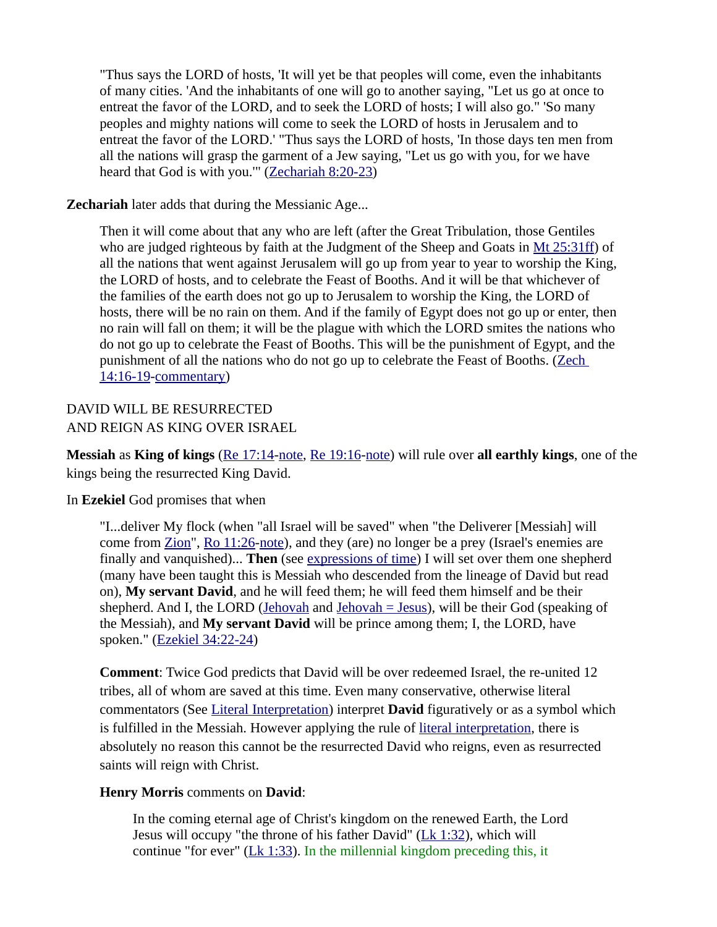"Thus says the LORD of hosts, 'It will yet be that peoples will come, even the inhabitants of many cities. 'And the inhabitants of one will go to another saying, "Let us go at once to entreat the favor of the LORD, and to seek the LORD of hosts; I will also go." 'So many peoples and mighty nations will come to seek the LORD of hosts in Jerusalem and to entreat the favor of the LORD.' "Thus says the LORD of hosts, 'In those days ten men from all the nations will grasp the garment of a Jew saying, "Let us go with you, for we have heard that God is with you.'" ([Zechariah 8:20-23](https://biblia.com/bible/niv/Zech%208.20-23))

#### **Zechariah** later adds that during the Messianic Age...

Then it will come about that any who are left (after the Great Tribulation, those Gentiles who are judged righteous by faith at the Judgment of the Sheep and Goats in [Mt 25:31ff](https://biblia.com/bible/niv/Matt%2025.31ff)) of all the nations that went against Jerusalem will go up from year to year to worship the King, the LORD of hosts, and to celebrate the Feast of Booths. And it will be that whichever of the families of the earth does not go up to Jerusalem to worship the King, the LORD of hosts, there will be no rain on them. And if the family of Egypt does not go up or enter, then no rain will fall on them; it will be the plague with which the LORD smites the nations who do not go up to celebrate the Feast of Booths. This will be the punishment of Egypt, and the punishment of all the nations who do not go up to celebrate the Feast of Booths. (Zech [14:16-19](https://biblia.com/bible/niv/Zech%2014.16-19)[-commentary](https://www.preceptaustin.org/zechariah-14-commentary#14:16))

# DAVID WILL BE RESURRECTED AND REIGN AS KING OVER ISRAEL

**Messiah** as **King of kings** [\(Re 17:14](https://biblia.com/bible/niv/Rev%2017.14)[-note,](http://www.spiritandtruth.org/id/revc.htm?17:14) [Re 19:16](https://biblia.com/bible/niv/Rev%2019.16)[-note](http://www.spiritandtruth.org/id/revc.htm?19:16)) will rule over **all earthly kings**, one of the kings being the resurrected King David.

#### In **Ezekiel** God promises that when

"I...deliver My flock (when "all Israel will be saved" when "the Deliverer [Messiah] will come from [Zion](http://studylight.org/enc/isb/view.cgi?number=T9408)", [Ro 11:26-](https://biblia.com/bible/niv/Rom%2011.26)[note\)](https://www.preceptaustin.org/romans_1117-33#11:26), and they (are) no longer be a prey (Israel's enemies are finally and vanquished)... **Then** (see [expressions of time\)](https://www.preceptaustin.org/observation#expressions%20of%20time) I will set over them one shepherd (many have been taught this is Messiah who descended from the lineage of David but read on), **My servant David**, and he will feed them; he will feed them himself and be their shepherd. And I, the LORD ([Jehovah](https://www.preceptaustin.org/jehovah_-_i_am) and [Jehovah = Jesus\)](https://www.preceptaustin.org/jehovah_-_i_am#w), will be their God (speaking of the Messiah), and **My servant David** will be prince among them; I, the LORD, have spoken." [\(Ezekiel 34:22-24](https://biblia.com/bible/niv/Ezek%2034.22-24))

**Comment**: Twice God predicts that David will be over redeemed Israel, the re-united 12 tribes, all of whom are saved at this time. Even many conservative, otherwise literal commentators (See [Literal Interpretation\)](https://www.preceptaustin.org/the_key_inductive_study_pt2#literal) interpret **David** figuratively or as a symbol which is fulfilled in the Messiah. However applying the rule of [literal interpretation,](https://www.preceptaustin.org/the_key_inductive_study_pt2#literal) there is absolutely no reason this cannot be the resurrected David who reigns, even as resurrected saints will reign with Christ.

#### **Henry Morris** comments on **David**:

In the coming eternal age of Christ's kingdom on the renewed Earth, the Lord Jesus will occupy "the throne of his father David" [\(Lk 1:32](https://biblia.com/bible/niv/Luke%201.32)), which will continue "for ever" ( $Lk$  1:33). In the millennial kingdom preceding this, it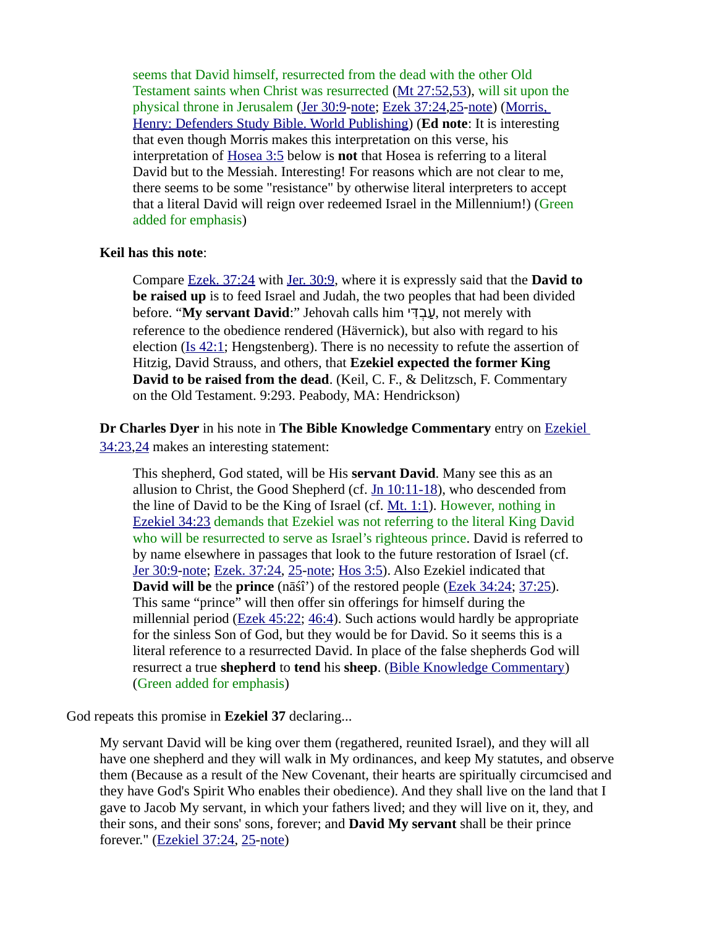seems that David himself, resurrected from the dead with the other Old Testament saints when Christ was resurrected [\(Mt 27:52](https://biblia.com/bible/niv/Matt%2027.52)[,53\)](https://biblia.com/bible/niv/Mt%2027.53), will sit upon the physical throne in Jerusalem [\(Jer 30:9-](https://biblia.com/bible/niv/Jer%2030.9)[note](https://www.preceptaustin.org/jeremiah_30_commentary#30:9); [Ezek 37:24](https://biblia.com/bible/niv/Ezek%2037.24)[,25](https://biblia.com/bible/niv/Ezek%2037.25)[-note\)](https://www.preceptaustin.org/ezekiel_37_commentary#37:24) ([Morris,](https://www.amazon.com/exec/obidos/tg/detail/-/0529121638?v=glance)  [Henry: Defenders Study Bible. World Publishing](https://www.amazon.com/exec/obidos/tg/detail/-/0529121638?v=glance)) (**Ed note**: It is interesting that even though Morris makes this interpretation on this verse, his interpretation of [Hosea 3:5](https://biblia.com/bible/niv/Hos%203.5) below is **not** that Hosea is referring to a literal David but to the Messiah. Interesting! For reasons which are not clear to me, there seems to be some "resistance" by otherwise literal interpreters to accept that a literal David will reign over redeemed Israel in the Millennium!) (Green added for emphasis)

#### **Keil has this note**:

Compare [Ezek. 37:24](https://biblia.com/bible/niv/Ezek.%2037.24) with [Jer. 30:9,](https://biblia.com/bible/niv/Jer.%2030.9) where it is expressly said that the **David to be raised up** is to feed Israel and Judah, the two peoples that had been divided before. "**My servant David**:" Jehovah calls him עבדי, not merely with reference to the obedience rendered (Hävernick), but also with regard to his election [\(Is 42:1](https://biblia.com/bible/niv/Isa%2042.1); Hengstenberg). There is no necessity to refute the assertion of Hitzig, David Strauss, and others, that **Ezekiel expected the former King David to be raised from the dead**. (Keil, C. F., & Delitzsch, F. Commentary on the Old Testament. 9:293. Peabody, MA: Hendrickson)

**Dr Charles Dyer** in his note in **The Bible Knowledge Commentary** entry on [Ezekiel](https://biblia.com/bible/niv/Ezek%2034.23)  [34:23](https://biblia.com/bible/niv/Ezek%2034.23)[,24](https://biblia.com/bible/niv/Ezekiel%2034.24) makes an interesting statement:

This shepherd, God stated, will be His **servant David**. Many see this as an allusion to Christ, the Good Shepherd (cf. [Jn 10:11-18\)](https://biblia.com/bible/niv/John%2010.11-18), who descended from the line of David to be the King of Israel (cf. [Mt. 1:1](https://biblia.com/bible/niv/Matt.%201.1)). However, nothing in [Ezekiel 34:23](https://biblia.com/bible/niv/Ezek%2034.23) demands that Ezekiel was not referring to the literal King David who will be resurrected to serve as Israel's righteous prince. David is referred to by name elsewhere in passages that look to the future restoration of Israel (cf. [Jer 30:9-](https://biblia.com/bible/niv/Jer%2030.9)[note](https://www.preceptaustin.org/jeremiah_30_commentary#30:9); [Ezek. 37:24](https://biblia.com/bible/niv/Ezek.%2037.24), [25](https://biblia.com/bible/niv/Ezek%2037.25)[-note;](https://www.preceptaustin.org/ezekiel_37_commentary#37:24) [Hos 3:5\)](https://biblia.com/bible/niv/Hos%203.5). Also Ezekiel indicated that **David will be** the **prince** (nāśî') of the restored people ([Ezek 34:24](https://biblia.com/bible/niv/Ezek%2034.24); [37:25\)](https://biblia.com/bible/niv/Ezek%2037.25). This same "prince" will then offer sin offerings for himself during the millennial period ([Ezek 45:22](https://biblia.com/bible/niv/Ezek%2045.22); [46:4\)](https://biblia.com/bible/niv/Ezek%2046.4). Such actions would hardly be appropriate for the sinless Son of God, but they would be for David. So it seems this is a literal reference to a resurrected David. In place of the false shepherds God will resurrect a true **shepherd** to **tend** his **sheep**. [\(Bible Knowledge Commentary](https://www.amazon.com/exec/obidos/tg/detail/-/089693800X?v=glance)) (Green added for emphasis)

God repeats this promise in **Ezekiel 37** declaring...

My servant David will be king over them (regathered, reunited Israel), and they will all have one shepherd and they will walk in My ordinances, and keep My statutes, and observe them (Because as a result of the New Covenant, their hearts are spiritually circumcised and they have God's Spirit Who enables their obedience). And they shall live on the land that I gave to Jacob My servant, in which your fathers lived; and they will live on it, they, and their sons, and their sons' sons, forever; and **David My servant** shall be their prince forever." [\(Ezekiel 37:24](https://biblia.com/bible/niv/Ezek%2037.24), [25](https://biblia.com/bible/niv/Ezekiel%2037.25)[-note](https://www.preceptaustin.org/ezekiel_37_commentary#37:24))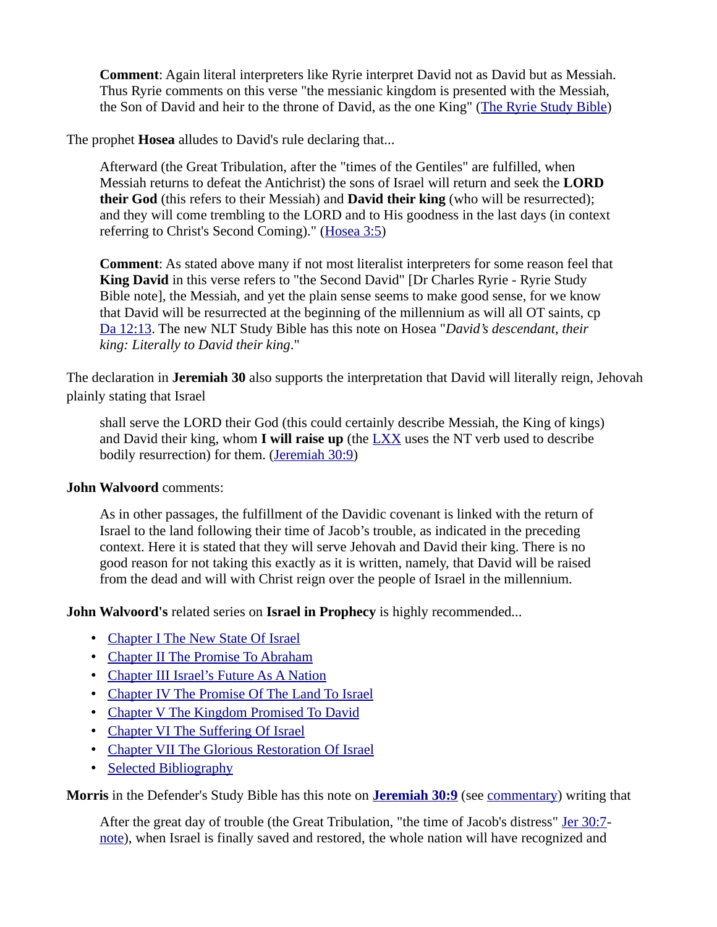**Comment**: Again literal interpreters like Ryrie interpret David not as David but as Messiah. Thus Ryrie comments on this verse "the messianic kingdom is presented with the Messiah, the Son of David and heir to the throne of David, as the one King" ([The Ryrie Study Bible](https://www.amazon.com/exec/obidos/tg/detail/-/0802438660?v=glance))

The prophet **Hosea** alludes to David's rule declaring that...

Afterward (the Great Tribulation, after the "times of the Gentiles" are fulfilled, when Messiah returns to defeat the Antichrist) the sons of Israel will return and seek the **LORD their God** (this refers to their Messiah) and **David their king** (who will be resurrected); and they will come trembling to the LORD and to His goodness in the last days (in context referring to Christ's Second Coming)." [\(Hosea 3:5\)](https://biblia.com/bible/niv/Hos%203.5)

**Comment**: As stated above many if not most literalist interpreters for some reason feel that **King David** in this verse refers to "the Second David" [Dr Charles Ryrie - Ryrie Study Bible note], the Messiah, and yet the plain sense seems to make good sense, for we know that David will be resurrected at the beginning of the millennium as will all OT saints, cp [Da 12:13](https://biblia.com/bible/niv/Dan%2012.13). The new NLT Study Bible has this note on Hosea "*David's descendant, their king: Literally to David their king*."

The declaration in **Jeremiah 30** also supports the interpretation that David will literally reign, Jehovah plainly stating that Israel

shall serve the LORD their God (this could certainly describe Messiah, the King of kings) and David their king, whom **I will raise up** (the [LXX](https://www.preceptaustin.org/greek_to_me#sept) uses the NT verb used to describe bodily resurrection) for them. [\(Jeremiah 30:9\)](https://biblia.com/bible/niv/Jer%2030.9)

#### **John Walvoord** comments:

As in other passages, the fulfillment of the Davidic covenant is linked with the return of Israel to the land following their time of Jacob's trouble, as indicated in the preceding context. Here it is stated that they will serve Jehovah and David their king. There is no good reason for not taking this exactly as it is written, namely, that David will be raised from the dead and will with Christ reign over the people of Israel in the millennium.

**John Walvoord's** related series on **Israel in Prophecy** is highly recommended...

- • [Chapter I The New State Of Israel](http://bible.org/seriespage/chapter-i-new-state-israel)
- [Chapter II The Promise To Abraham](http://bible.org/seriespage/chapter-ii-promise-abraham)
- [Chapter III Israel's Future As A Nation](http://bible.org/seriespage/chapter-iii-israel%E2%80%99s-future-nation)
- [Chapter IV The Promise Of The Land To Israel](http://bible.org/seriespage/chapter-iv-promise-land-israel)
- [Chapter V The Kingdom Promised To David](http://bible.org/seriespage/chapter-v-kingdom-promised-david)
- [Chapter VI The Suffering Of Israel](http://bible.org/seriespage/chapter-vi-suffering-israel)
- [Chapter VII The Glorious Restoration Of Israel](http://bible.org/seriespage/chapter-vii-glorious-restoration-israel)
- • [Selected Bibliography](http://bible.org/seriespage/selected-bibliography)

**Morris** in the Defender's Study Bible has this note on **[Jeremiah 30:9](https://biblia.com/bible/niv/Jer%2030.9)** (see [commentary](https://www.preceptaustin.org/jeremiah_30_commentary#30:9)) writing that

After the great day of trouble (the Great Tribulation, "the time of Jacob's distress" [Jer 30:7](https://biblia.com/bible/niv/Jer%2030.7)[note\)](https://www.preceptaustin.org/jeremiah_30_commentary#30:7), when Israel is finally saved and restored, the whole nation will have recognized and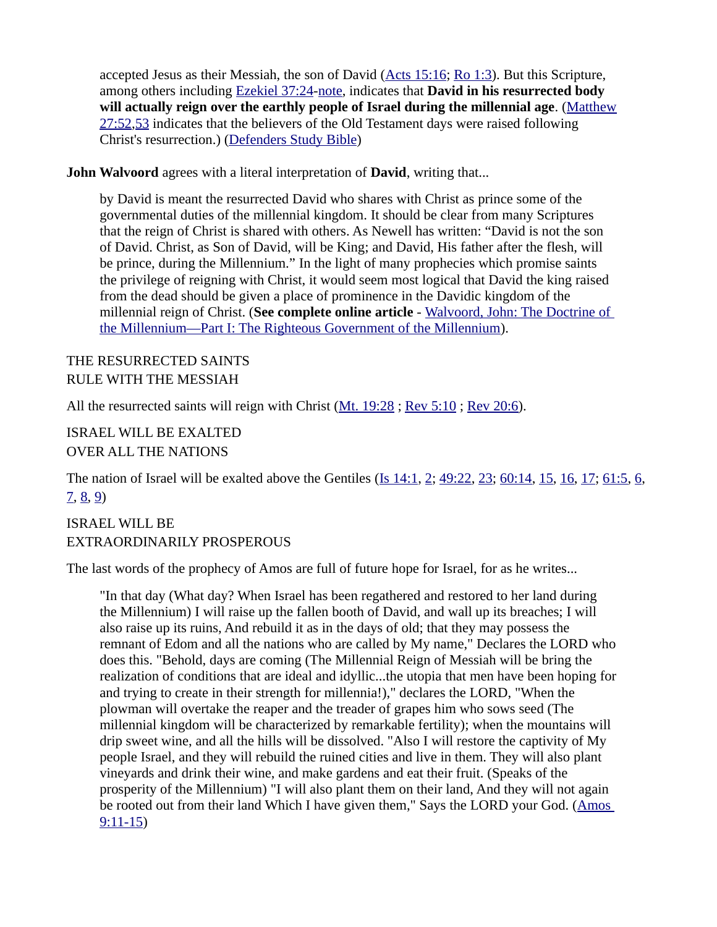accepted Jesus as their Messiah, the son of David ( $\Delta$ cts 15:16; [Ro 1:3](https://biblia.com/bible/niv/Rom%201.3)). But this Scripture, among others including [Ezekiel 37:24-](https://biblia.com/bible/niv/Ezek%2037.24)[note](https://www.preceptaustin.org/ezekiel_37_commentary#37:24), indicates that **David in his resurrected body will actually reign over the earthly people of Israel during the millennial age**. ([Matthew](https://biblia.com/bible/niv/Matt%2027.52) [27:52](https://biblia.com/bible/niv/Matt%2027.52)[,53](https://biblia.com/bible/niv/Matthew%2027.53) indicates that the believers of the Old Testament days were raised following Christ's resurrection.) [\(Defenders Study Bible\)](https://www.amazon.com/exec/obidos/tg/detail/-/0529121638?v=glance)

**John Walvoord** agrees with a literal interpretation of **David**, writing that...

by David is meant the resurrected David who shares with Christ as prince some of the governmental duties of the millennial kingdom. It should be clear from many Scriptures that the reign of Christ is shared with others. As Newell has written: "David is not the son of David. Christ, as Son of David, will be King; and David, His father after the flesh, will be prince, during the Millennium." In the light of many prophecies which promise saints the privilege of reigning with Christ, it would seem most logical that David the king raised from the dead should be given a place of prominence in the Davidic kingdom of the millennial reign of Christ. (**See complete online article** - [Walvoord, John: The Doctrine of](http://walvoord.com/article/73)  [the Millennium—Part I: The Righteous Government of the Millennium\)](http://walvoord.com/article/73).

# THE RESURRECTED SAINTS RULE WITH THE MESSIAH

All the resurrected saints will reign with Christ [\(Mt. 19:28](https://biblia.com/bible/niv/Matt.%2019.28) ; [Rev 5:10](https://biblia.com/bible/niv/Rev%205.10) ; [Rev 20:6\)](https://biblia.com/bible/niv/Rev%2020.6).

ISRAEL WILL BE EXALTED OVER ALL THE NATIONS

The nation of Israel will be exalted above the Gentiles (*[Is 14:1](https://biblia.com/bible/niv/Isa%2014.1), [2](https://biblia.com/bible/niv/Is%2014.2); [49:22,](https://biblia.com/bible/niv/Is%2049.22) [23;](https://biblia.com/bible/niv/Is%2049.23) [60:14](https://biblia.com/bible/niv/Is%2060.14), [15](https://biblia.com/bible/niv/Is%2060.15), [16](https://biblia.com/bible/niv/Is%2060.16), [17](https://biblia.com/bible/niv/Is%2060.17); [61:5](https://biblia.com/bible/niv/Is%2061.5), [6](https://biblia.com/bible/niv/Is%2061.6),* [7,](https://biblia.com/bible/niv/Is%2061.7) [8,](https://biblia.com/bible/niv/Is%2061.8) [9\)](https://biblia.com/bible/niv/Is%2061.9)

ISRAEL WILL BE EXTRAORDINARILY PROSPEROUS

The last words of the prophecy of Amos are full of future hope for Israel, for as he writes...

"In that day (What day? When Israel has been regathered and restored to her land during the Millennium) I will raise up the fallen booth of David, and wall up its breaches; I will also raise up its ruins, And rebuild it as in the days of old; that they may possess the remnant of Edom and all the nations who are called by My name," Declares the LORD who does this. "Behold, days are coming (The Millennial Reign of Messiah will be bring the realization of conditions that are ideal and idyllic...the utopia that men have been hoping for and trying to create in their strength for millennia!)," declares the LORD, "When the plowman will overtake the reaper and the treader of grapes him who sows seed (The millennial kingdom will be characterized by remarkable fertility); when the mountains will drip sweet wine, and all the hills will be dissolved. "Also I will restore the captivity of My people Israel, and they will rebuild the ruined cities and live in them. They will also plant vineyards and drink their wine, and make gardens and eat their fruit. (Speaks of the prosperity of the Millennium) "I will also plant them on their land, And they will not again be rooted out from their land Which I have given them," Says the LORD your God. ([Amos](https://biblia.com/bible/niv/Amos%209.11-15)  [9:11-15](https://biblia.com/bible/niv/Amos%209.11-15))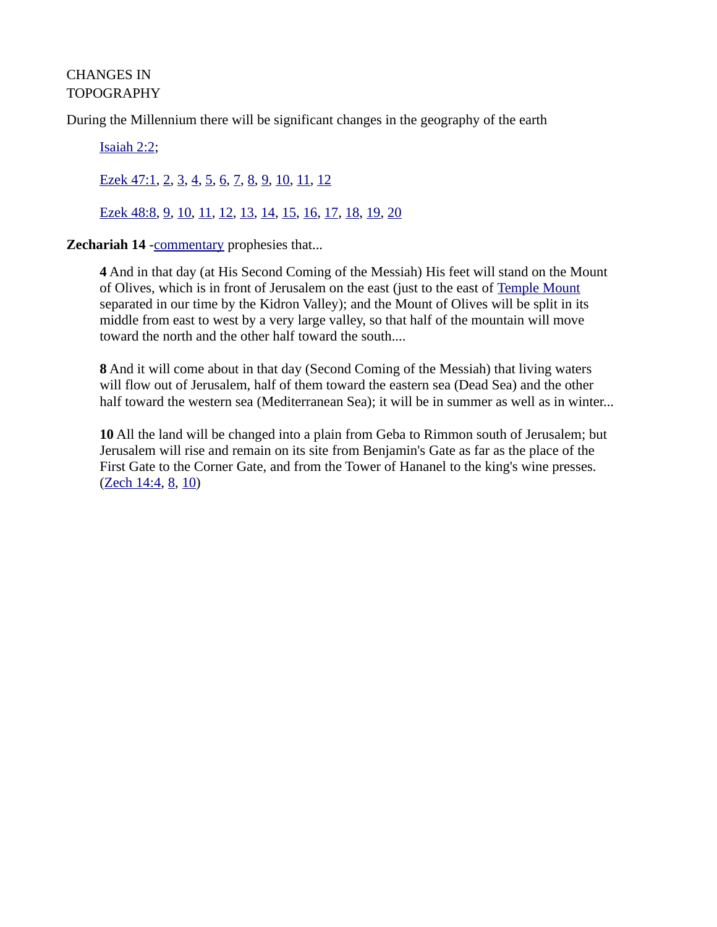# CHANGES IN TOPOGRAPHY

During the Millennium there will be significant changes in the geography of the earth

[Isaiah 2:2](https://biblia.com/bible/niv/Isa%202.2); [Ezek 47:1](https://biblia.com/bible/niv/Ezek%2047.1), [2](https://biblia.com/bible/niv/Ezek%2047.2), [3](https://biblia.com/bible/niv/Ezek%2047.3), [4](https://biblia.com/bible/niv/Ezek%2047.4), [5](https://biblia.com/bible/niv/Ezek%2047.5), [6](https://biblia.com/bible/niv/Ezek%2047.6), [7](https://biblia.com/bible/niv/Ezek%2047.7), [8](https://biblia.com/bible/niv/Ezek%2047.8), [9](https://biblia.com/bible/niv/Ezek%2047.9), [10](https://biblia.com/bible/niv/Ezek%2047.10), [11](https://biblia.com/bible/niv/Ezek%2047.11), [12](https://biblia.com/bible/niv/Ezek%2047.12)

[Ezek 48:8](https://biblia.com/bible/niv/Ezek%2048.8), [9](https://biblia.com/bible/niv/Ezek%2048.9), [10](https://biblia.com/bible/niv/Ezek%2048.10), [11](https://biblia.com/bible/niv/Ezek%2048.11), [12](https://biblia.com/bible/niv/Ezek%2048.12), [13](https://biblia.com/bible/niv/Ezek%2048.13), [14](https://biblia.com/bible/niv/Ezek%2048.14), [15](https://biblia.com/bible/niv/Ezek%2048.15), [16](https://biblia.com/bible/niv/Ezek%2048.16), [17](https://biblia.com/bible/niv/Ezek%2048.17), [18](https://biblia.com/bible/niv/Ezek%2048.18), [19](https://biblia.com/bible/niv/Ezek%2048.19), [20](https://biblia.com/bible/niv/Ezek%2048.20)

#### **Zechariah 14 [-commentary](https://www.preceptaustin.org/zechariah-14-commentary#14:4) prophesies that...**

**4** And in that day (at His Second Coming of the Messiah) His feet will stand on the Mount of Olives, which is in front of Jerusalem on the east (just to the east of [Temple Mount](https://www.preceptaustin.org/zechariah-12-commentary#templemount) separated in our time by the Kidron Valley); and the Mount of Olives will be split in its middle from east to west by a very large valley, so that half of the mountain will move toward the north and the other half toward the south....

**8** And it will come about in that day (Second Coming of the Messiah) that living waters will flow out of Jerusalem, half of them toward the eastern sea (Dead Sea) and the other half toward the western sea (Mediterranean Sea); it will be in summer as well as in winter...

**10** All the land will be changed into a plain from Geba to Rimmon south of Jerusalem; but Jerusalem will rise and remain on its site from Benjamin's Gate as far as the place of the First Gate to the Corner Gate, and from the Tower of Hananel to the king's wine presses. [\(Zech 14:4](https://biblia.com/bible/niv/Zech%2014.4), [8](https://biblia.com/bible/niv/Zech%2014.8), [10](https://biblia.com/bible/niv/Zech%2014.10))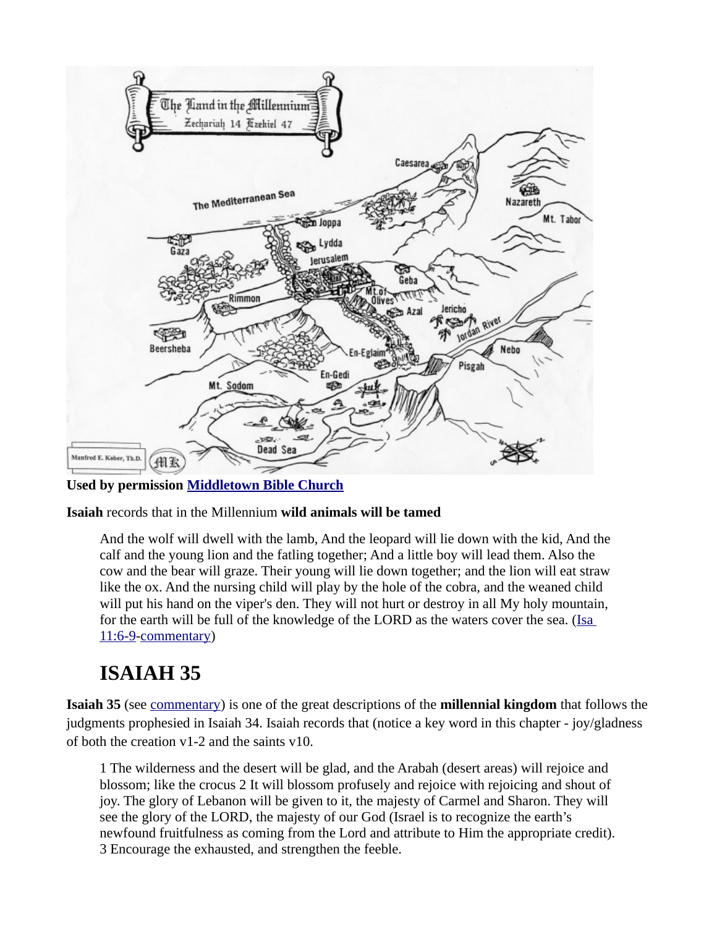

**Used by permission [Middletown Bible Church](http://www.middletownbiblechurch.org/proph/river.htm)**

**Isaiah** records that in the Millennium **wild animals will be tamed**

And the wolf will dwell with the lamb, And the leopard will lie down with the kid, And the calf and the young lion and the fatling together; And a little boy will lead them. Also the cow and the bear will graze. Their young will lie down together; and the lion will eat straw like the ox. And the nursing child will play by the hole of the cobra, and the weaned child will put his hand on the viper's den. They will not hurt or destroy in all My holy mountain, for the earth will be full of the knowledge of the LORD as the waters cover the sea. ([Isa](https://biblia.com/bible/niv/Isa%2011.6-9)  [11:6-9](https://biblia.com/bible/niv/Isa%2011.6-9)[-commentary](https://www.preceptaustin.org/isaiah_11_commentary#11:6))

# **ISAIAH 35**

**Isaiah 35** (see [commentary](https://www.preceptaustin.org/isaiah-35-commentary)) is one of the great descriptions of the **millennial kingdom** that follows the judgments prophesied in Isaiah 34. Isaiah records that (notice a key word in this chapter - joy/gladness of both the creation v1-2 and the saints v10.

1 The wilderness and the desert will be glad, and the Arabah (desert areas) will rejoice and blossom; like the crocus 2 It will blossom profusely and rejoice with rejoicing and shout of joy. The glory of Lebanon will be given to it, the majesty of Carmel and Sharon. They will see the glory of the LORD, the majesty of our God (Israel is to recognize the earth's newfound fruitfulness as coming from the Lord and attribute to Him the appropriate credit). 3 Encourage the exhausted, and strengthen the feeble.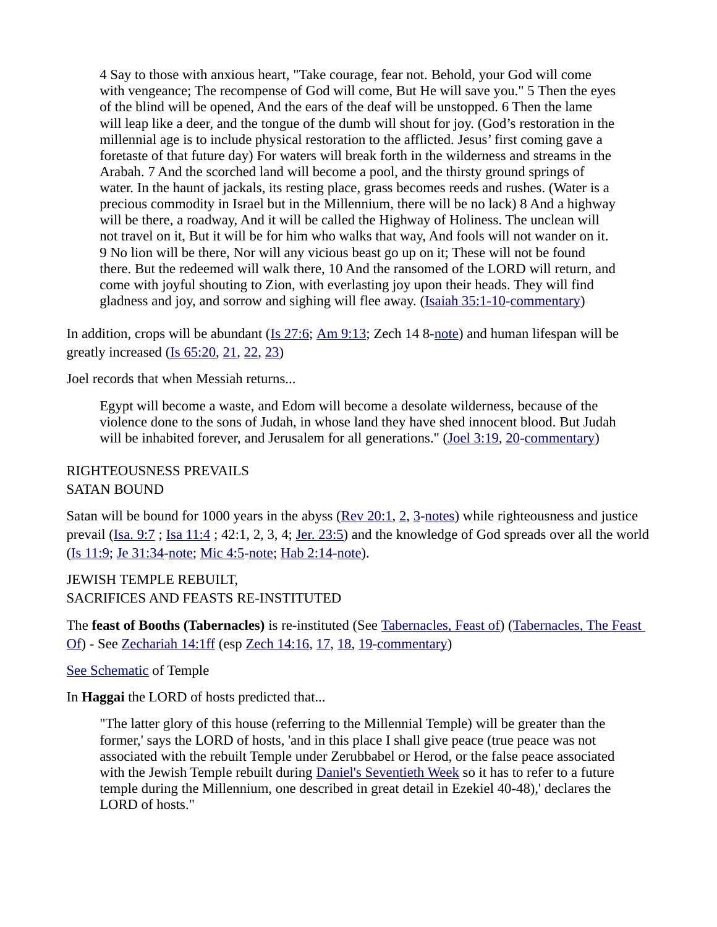4 Say to those with anxious heart, "Take courage, fear not. Behold, your God will come with vengeance; The recompense of God will come, But He will save you." 5 Then the eyes of the blind will be opened, And the ears of the deaf will be unstopped. 6 Then the lame will leap like a deer, and the tongue of the dumb will shout for joy. (God's restoration in the millennial age is to include physical restoration to the afflicted. Jesus' first coming gave a foretaste of that future day) For waters will break forth in the wilderness and streams in the Arabah. 7 And the scorched land will become a pool, and the thirsty ground springs of water. In the haunt of jackals, its resting place, grass becomes reeds and rushes. (Water is a precious commodity in Israel but in the Millennium, there will be no lack) 8 And a highway will be there, a roadway, And it will be called the Highway of Holiness. The unclean will not travel on it, But it will be for him who walks that way, And fools will not wander on it. 9 No lion will be there, Nor will any vicious beast go up on it; These will not be found there. But the redeemed will walk there, 10 And the ransomed of the LORD will return, and come with joyful shouting to Zion, with everlasting joy upon their heads. They will find gladness and joy, and sorrow and sighing will flee away. ([Isaiah 35:1-10-](https://biblia.com/bible/niv/Isa%2035.1-10)[commentary\)](https://www.preceptaustin.org/isaiah-35-commentary)

In addition, crops will be abundant ( $Is$   $27:6$ ; Am  $9:13$ ; Zech 14 8[-note\)](https://www.preceptaustin.org/zechariah-14-commentary#14:8) and human lifespan will be greatly increased [\(Is 65:20](https://biblia.com/bible/niv/Isa%2065.20), [21](https://biblia.com/bible/niv/Is%2065.21), [22](https://biblia.com/bible/niv/Is%2065.22), [23](https://biblia.com/bible/niv/Is%2065.23))

Joel records that when Messiah returns...

Egypt will become a waste, and Edom will become a desolate wilderness, because of the violence done to the sons of Judah, in whose land they have shed innocent blood. But Judah will be inhabited forever, and Jerusalem for all generations." [\(Joel 3:19](https://biblia.com/bible/niv/Joel%203.19), [20](https://biblia.com/bible/niv/Joel%203.20)[-commentary](https://www.preceptaustin.org/joel-3-commentary#3:19))

# RIGHTEOUSNESS PREVAILS SATAN BOUND

Satan will be bound for 1000 years in the abyss [\(Rev 20:1](https://biblia.com/bible/niv/Rev%2020.1), [2](https://biblia.com/bible/niv/Rev%2020.2), [3](https://biblia.com/bible/niv/Rev%2020.3)[-notes](http://www.spiritandtruth.org/id/revc.htm?20:1)) while righteousness and justice prevail [\(Isa. 9:7](https://biblia.com/bible/niv/Isa.%209.7); Isa 11:4; 42:1, 2, 3, 4; [Jer. 23:5](https://biblia.com/bible/niv/Jer.%2023.5)) and the knowledge of God spreads over all the world ([Is 11:9](https://biblia.com/bible/niv/Isa%2011.9); [Je 31:34](https://biblia.com/bible/niv/Jer%2031.34)[-note;](https://www.preceptaustin.org/jeremiah_31_commentary#31:34) [Mic 4:5-](https://biblia.com/bible/niv/Micah%204.5)[note](https://www.preceptaustin.org/micah_4_commentary#4:5); [Hab 2:14](https://biblia.com/bible/niv/Hab%202.14)[-note\)](https://www.preceptaustin.org/habakkuk_2_commentary#2:14).

JEWISH TEMPLE REBUILT, SACRIFICES AND FEASTS RE-INSTITUTED

The **feast of Booths (Tabernacles)** is re-instituted (See [Tabernacles, Feast of](http://classic.net.bible.org/dictionary.php?word=Tabernacles,%20Feast%20of)) [\(Tabernacles, The Feast](http://classic.net.bible.org/dictionary.php?word=Tabernacles,%20The%20Feast%20Of)  [Of](http://classic.net.bible.org/dictionary.php?word=Tabernacles,%20The%20Feast%20Of)) - See [Zechariah 14:1ff](https://biblia.com/bible/niv/Zech%2014.1ff) (esp [Zech 14:16](https://biblia.com/bible/niv/Zech%2014.16), [17](https://biblia.com/bible/niv/Zech%2014.17), [18](https://biblia.com/bible/niv/Zech%2014.18), [19](https://biblia.com/bible/niv/Zech%2014.19)[-commentary](https://www.preceptaustin.org/zechariah-14-commentary#14:16))

#### [See Schematic](https://www.esv.org/resources/esv-global-study-bible/chart-26-temple-plan/) of Temple

In **Haggai** the LORD of hosts predicted that...

"The latter glory of this house (referring to the Millennial Temple) will be greater than the former,' says the LORD of hosts, 'and in this place I shall give peace (true peace was not associated with the rebuilt Temple under Zerubbabel or Herod, or the false peace associated with the Jewish Temple rebuilt during **[Daniel's Seventieth Week](https://www.preceptaustin.org/the_millennium_2#70)** so it has to refer to a future temple during the Millennium, one described in great detail in Ezekiel 40-48),' declares the LORD of hosts."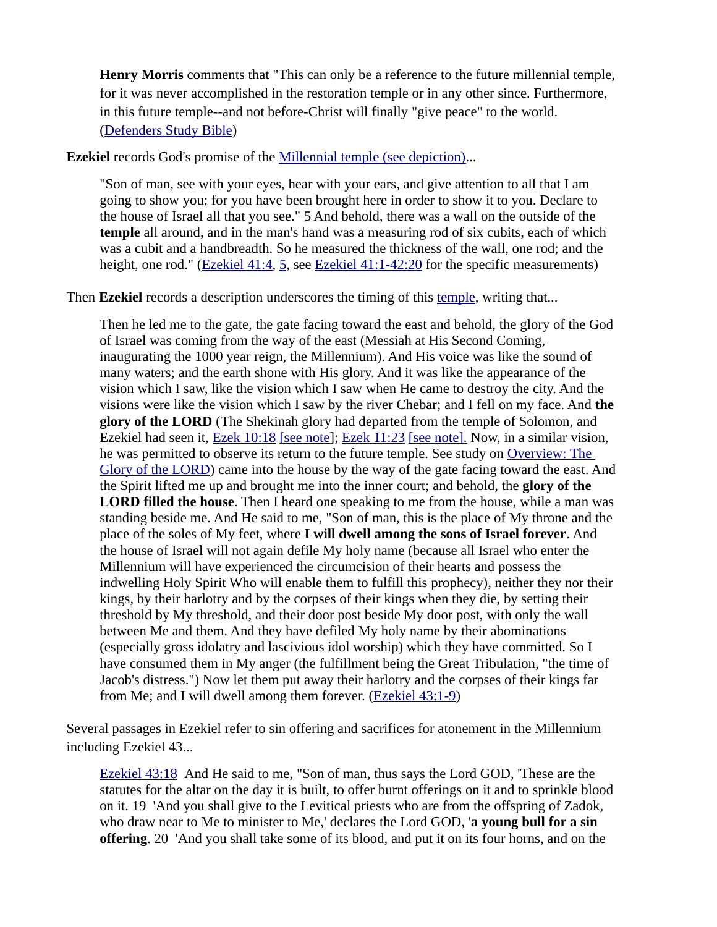**Henry Morris** comments that "This can only be a reference to the future millennial temple, for it was never accomplished in the restoration temple or in any other since. Furthermore, in this future temple--and not before-Christ will finally "give peace" to the world. [\(Defenders Study Bible](https://www.amazon.com/exec/obidos/tg/detail/-/0529121638?v=glance))

**Ezekiel** records God's promise of the [Millennial temple \(see depiction\).](https://www.esv.org/resources/esv-global-study-bible/chart-26-temple-plan/)..

"Son of man, see with your eyes, hear with your ears, and give attention to all that I am going to show you; for you have been brought here in order to show it to you. Declare to the house of Israel all that you see." 5 And behold, there was a wall on the outside of the **temple** all around, and in the man's hand was a measuring rod of six cubits, each of which was a cubit and a handbreadth. So he measured the thickness of the wall, one rod; and the height, one rod." [\(Ezekiel 41:4,](https://biblia.com/bible/niv/Ezek%2041.4) [5,](https://biblia.com/bible/niv/Ezekiel%2041.5) see [Ezekiel 41:1-42:20](https://biblia.com/bible/niv/Ezek%2041.1-42.20) for the specific measurements)

Then **Ezekiel** records a description underscores the timing of this [temple](https://www.esv.org/resources/esv-global-study-bible/chart-26-temple-plan/), writing that...

Then he led me to the gate, the gate facing toward the east and behold, the glory of the God of Israel was coming from the way of the east (Messiah at His Second Coming, inaugurating the 1000 year reign, the Millennium). And His voice was like the sound of many waters; and the earth shone with His glory. And it was like the appearance of the vision which I saw, like the vision which I saw when He came to destroy the city. And the visions were like the vision which I saw by the river Chebar; and I fell on my face. And **the glory of the LORD** (The Shekinah glory had departed from the temple of Solomon, and Ezekiel had seen it, [Ezek 10:18](https://biblia.com/bible/niv/Ezek%2010.18) [\[see note\]](https://www.preceptaustin.org/ezekiel_1015-22#10:18); [Ezek 11:23](https://biblia.com/bible/niv/Ezek%2011.23) [\[see note\].](https://www.preceptaustin.org/ezekiel_1113-25#11:23) Now, in a similar vision, he was permitted to observe its return to the future temple. See study on [Overview: The](https://www.preceptaustin.org/overview_glory_of_the_lord)  [Glory of the LORD](https://www.preceptaustin.org/overview_glory_of_the_lord)) came into the house by the way of the gate facing toward the east. And the Spirit lifted me up and brought me into the inner court; and behold, the **glory of the LORD filled the house**. Then I heard one speaking to me from the house, while a man was standing beside me. And He said to me, "Son of man, this is the place of My throne and the place of the soles of My feet, where **I will dwell among the sons of Israel forever**. And the house of Israel will not again defile My holy name (because all Israel who enter the Millennium will have experienced the circumcision of their hearts and possess the indwelling Holy Spirit Who will enable them to fulfill this prophecy), neither they nor their kings, by their harlotry and by the corpses of their kings when they die, by setting their threshold by My threshold, and their door post beside My door post, with only the wall between Me and them. And they have defiled My holy name by their abominations (especially gross idolatry and lascivious idol worship) which they have committed. So I have consumed them in My anger (the fulfillment being the Great Tribulation, "the time of Jacob's distress.") Now let them put away their harlotry and the corpses of their kings far from Me; and I will dwell among them forever. [\(Ezekiel 43:1-9](https://biblia.com/bible/niv/Ezek%2043.1-9))

Several passages in Ezekiel refer to sin offering and sacrifices for atonement in the Millennium including Ezekiel 43...

[Ezekiel 43:18](https://biblia.com/bible/niv/Ezek%2043.18) And He said to me, "Son of man, thus says the Lord GOD, 'These are the statutes for the altar on the day it is built, to offer burnt offerings on it and to sprinkle blood on it. 19 'And you shall give to the Levitical priests who are from the offspring of Zadok, who draw near to Me to minister to Me,' declares the Lord GOD, '**a young bull for a sin offering**. 20 'And you shall take some of its blood, and put it on its four horns, and on the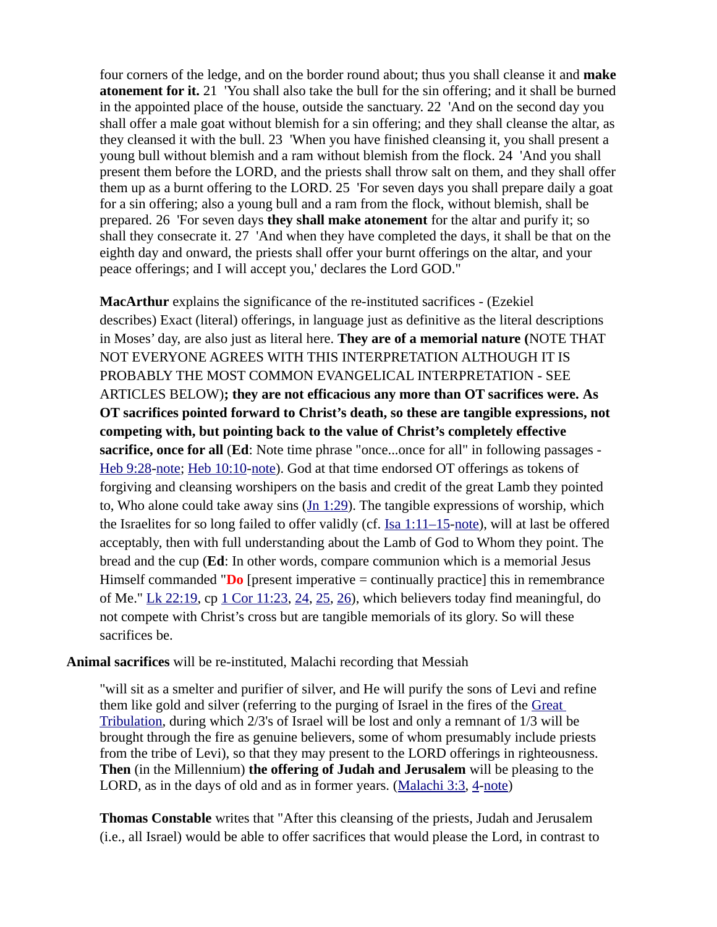four corners of the ledge, and on the border round about; thus you shall cleanse it and **make atonement for it.** 21 'You shall also take the bull for the sin offering; and it shall be burned in the appointed place of the house, outside the sanctuary. 22 'And on the second day you shall offer a male goat without blemish for a sin offering; and they shall cleanse the altar, as they cleansed it with the bull. 23 'When you have finished cleansing it, you shall present a young bull without blemish and a ram without blemish from the flock. 24 'And you shall present them before the LORD, and the priests shall throw salt on them, and they shall offer them up as a burnt offering to the LORD. 25 'For seven days you shall prepare daily a goat for a sin offering; also a young bull and a ram from the flock, without blemish, shall be prepared. 26 'For seven days **they shall make atonement** for the altar and purify it; so shall they consecrate it. 27 'And when they have completed the days, it shall be that on the eighth day and onward, the priests shall offer your burnt offerings on the altar, and your peace offerings; and I will accept you,' declares the Lord GOD."

**MacArthur** explains the significance of the re-instituted sacrifices - (Ezekiel describes) Exact (literal) offerings, in language just as definitive as the literal descriptions in Moses' day, are also just as literal here. **They are of a memorial nature (**NOTE THAT NOT EVERYONE AGREES WITH THIS INTERPRETATION ALTHOUGH IT IS PROBABLY THE MOST COMMON EVANGELICAL INTERPRETATION - SEE ARTICLES BELOW)**; they are not efficacious any more than OT sacrifices were. As OT sacrifices pointed forward to Christ's death, so these are tangible expressions, not competing with, but pointing back to the value of Christ's completely effective sacrifice, once for all** (**Ed**: Note time phrase "once...once for all" in following passages - [Heb 9:28](https://biblia.com/bible/niv/Heb%209.28)[-note](https://www.preceptaustin.org/hebrews_927-28#9:28); [Heb 10:10-](https://biblia.com/bible/niv/Heb%2010.10)[note](https://www.preceptaustin.org/hebrews_108-10#10:10)). God at that time endorsed OT offerings as tokens of forgiving and cleansing worshipers on the basis and credit of the great Lamb they pointed to, Who alone could take away sins  $(Jn 1:29)$  $(Jn 1:29)$ . The tangible expressions of worship, which the Israelites for so long failed to offer validly (cf. [Isa 1:11–15](https://biblia.com/bible/niv/Isa%201.11%E2%80%9315)[-note](https://www.preceptaustin.org/isaiah_110-15_commentary#1:11)), will at last be offered acceptably, then with full understanding about the Lamb of God to Whom they point. The bread and the cup (**Ed**: In other words, compare communion which is a memorial Jesus Himself commanded "**Do** [present imperative = continually practice] this in remembrance of Me." Lk  $22:19$ , cp  $1$  Cor  $11:23$ ,  $24$ ,  $25$ ,  $26$ ), which believers today find meaningful, do not compete with Christ's cross but are tangible memorials of its glory. So will these sacrifices be.

#### **Animal sacrifices** will be re-instituted, Malachi recording that Messiah

"will sit as a smelter and purifier of silver, and He will purify the sons of Levi and refine them like gold and silver (referring to the purging of Israel in the fires of the [Great](https://www.preceptaustin.org/the_great_tribulation)  [Tribulation,](https://www.preceptaustin.org/the_great_tribulation) during which 2/3's of Israel will be lost and only a remnant of 1/3 will be brought through the fire as genuine believers, some of whom presumably include priests from the tribe of Levi), so that they may present to the LORD offerings in righteousness. **Then** (in the Millennium) **the offering of Judah and Jerusalem** will be pleasing to the LORD, as in the days of old and as in former years. ([Malachi 3:3](https://biblia.com/bible/niv/Mal%203.3), [4](https://biblia.com/bible/niv/Malachi%203.4)[-note](https://www.preceptaustin.org/malachi_3_commentary#3:3))

**Thomas Constable** writes that "After this cleansing of the priests, Judah and Jerusalem (i.e., all Israel) would be able to offer sacrifices that would please the Lord, in contrast to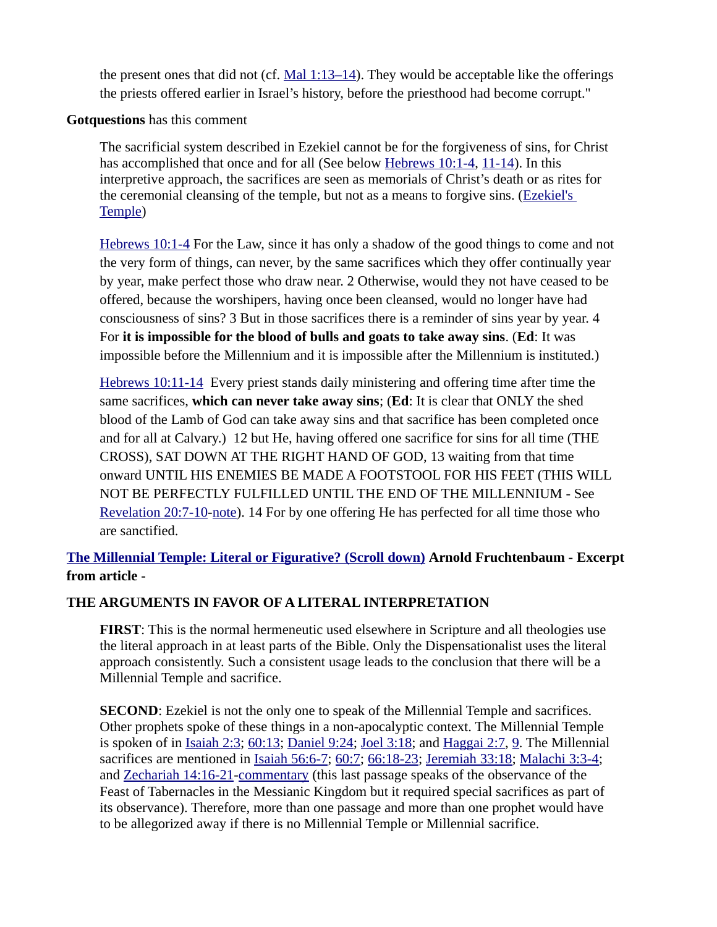the present ones that did not (cf.  $Mal 1:13–14$ ). They would be acceptable like the offerings</u> the priests offered earlier in Israel's history, before the priesthood had become corrupt."

#### **Gotquestions** has this comment

The sacrificial system described in Ezekiel cannot be for the forgiveness of sins, for Christ has accomplished that once and for all (See below [Hebrews 10:1-4,](https://biblia.com/bible/niv/Heb%2010.1-4) [11-14](https://biblia.com/bible/niv/Hebrews%2010.11-14)). In this interpretive approach, the sacrifices are seen as memorials of Christ's death or as rites for the ceremonial cleansing of the temple, but not as a means to forgive sins. ([Ezekiel's](https://www.gotquestions.org/Ezekiel-temple.html)  [Temple](https://www.gotquestions.org/Ezekiel-temple.html))

[Hebrews 10:1-4](https://biblia.com/bible/niv/Heb%2010.1-4) For the Law, since it has only a shadow of the good things to come and not the very form of things, can never, by the same sacrifices which they offer continually year by year, make perfect those who draw near. 2 Otherwise, would they not have ceased to be offered, because the worshipers, having once been cleansed, would no longer have had consciousness of sins? 3 But in those sacrifices there is a reminder of sins year by year. 4 For **it is impossible for the blood of bulls and goats to take away sins**. (**Ed**: It was impossible before the Millennium and it is impossible after the Millennium is instituted.)

[Hebrews 10:11-14](https://biblia.com/bible/niv/Heb%2010.11-14) Every priest stands daily ministering and offering time after time the same sacrifices, **which can never take away sins**; (**Ed**: It is clear that ONLY the shed blood of the Lamb of God can take away sins and that sacrifice has been completed once and for all at Calvary.) 12 but He, having offered one sacrifice for sins for all time (THE CROSS), SAT DOWN AT THE RIGHT HAND OF GOD, 13 waiting from that time onward UNTIL HIS ENEMIES BE MADE A FOOTSTOOL FOR HIS FEET (THIS WILL NOT BE PERFECTLY FULFILLED UNTIL THE END OF THE MILLENNIUM - See [Revelation 20:7-10](https://biblia.com/bible/niv/Rev%2020.7-10)[-note](http://www.spiritandtruth.org/teaching/Book_of_Revelation/commentary/htm/chapters/20.html#Revelation%2020%3A7)). 14 For by one offering He has perfected for all time those who are sanctified.

# **[The Millennial Temple: Literal or Figurative? \(Scroll down\)](https://www.ariel.org/pdfs/magazine/spring-2016.pdf) Arnold Fruchtenbaum - Excerpt from article -**

#### **THE ARGUMENTS IN FAVOR OF A LITERAL INTERPRETATION**

**FIRST**: This is the normal hermeneutic used elsewhere in Scripture and all theologies use the literal approach in at least parts of the Bible. Only the Dispensationalist uses the literal approach consistently. Such a consistent usage leads to the conclusion that there will be a Millennial Temple and sacrifice.

**SECOND**: Ezekiel is not the only one to speak of the Millennial Temple and sacrifices. Other prophets spoke of these things in a non-apocalyptic context. The Millennial Temple is spoken of in [Isaiah 2:3](https://biblia.com/bible/niv/Isa%202.3); [60:13](https://biblia.com/bible/niv/Isaiah%2060.13); [Daniel 9:24;](https://biblia.com/bible/niv/Dan%209.24) [Joel 3:18;](https://biblia.com/bible/niv/Joel%203.18) and [Haggai 2:7](https://biblia.com/bible/niv/Haggai%202.7), [9](https://biblia.com/bible/niv/Haggai%202.9). The Millennial sacrifices are mentioned in *Isaiah 56:6-7; [60:7;](https://biblia.com/bible/niv/Isaiah%2060.7) [66:18-23](https://biblia.com/bible/niv/Isaiah%2066.18-23); [Jeremiah 33:18](https://biblia.com/bible/niv/Jer%2033.18); [Malachi 3:3-4](https://biblia.com/bible/niv/Mal%203.3-4);* and [Zechariah 14:16-21-](https://biblia.com/bible/niv/Zech%2014.16-21)[commentary](https://www.preceptaustin.org/zechariah-14-commentary#14:16) (this last passage speaks of the observance of the Feast of Tabernacles in the Messianic Kingdom but it required special sacrifices as part of its observance). Therefore, more than one passage and more than one prophet would have to be allegorized away if there is no Millennial Temple or Millennial sacrifice.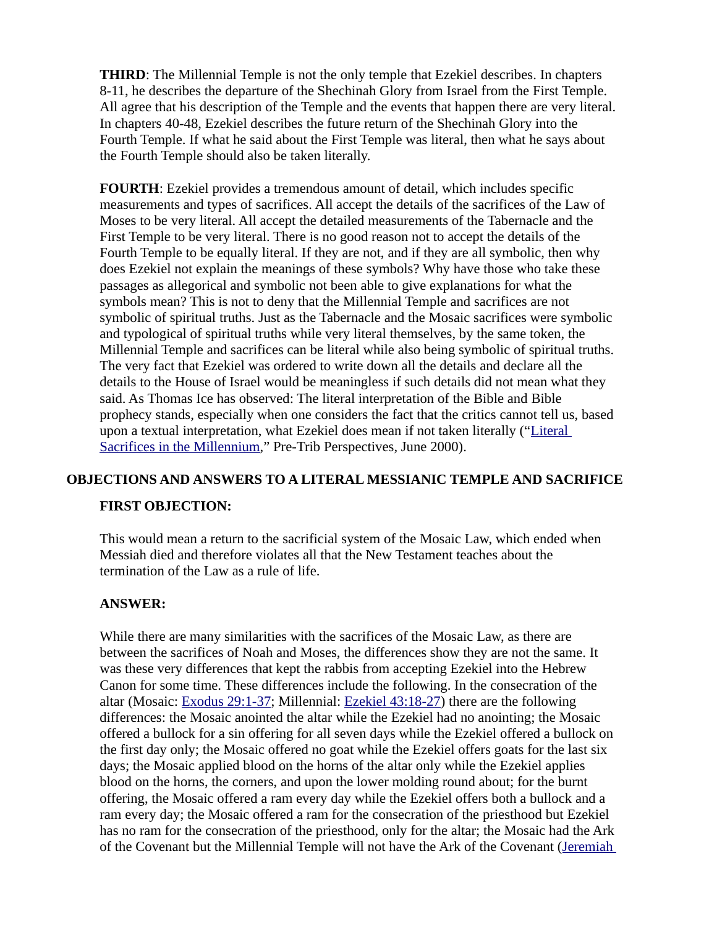**THIRD**: The Millennial Temple is not the only temple that Ezekiel describes. In chapters 8-11, he describes the departure of the Shechinah Glory from Israel from the First Temple. All agree that his description of the Temple and the events that happen there are very literal. In chapters 40-48, Ezekiel describes the future return of the Shechinah Glory into the Fourth Temple. If what he said about the First Temple was literal, then what he says about the Fourth Temple should also be taken literally.

**FOURTH**: Ezekiel provides a tremendous amount of detail, which includes specific measurements and types of sacrifices. All accept the details of the sacrifices of the Law of Moses to be very literal. All accept the detailed measurements of the Tabernacle and the First Temple to be very literal. There is no good reason not to accept the details of the Fourth Temple to be equally literal. If they are not, and if they are all symbolic, then why does Ezekiel not explain the meanings of these symbols? Why have those who take these passages as allegorical and symbolic not been able to give explanations for what the symbols mean? This is not to deny that the Millennial Temple and sacrifices are not symbolic of spiritual truths. Just as the Tabernacle and the Mosaic sacrifices were symbolic and typological of spiritual truths while very literal themselves, by the same token, the Millennial Temple and sacrifices can be literal while also being symbolic of spiritual truths. The very fact that Ezekiel was ordered to write down all the details and declare all the details to the House of Israel would be meaningless if such details did not mean what they said. As Thomas Ice has observed: The literal interpretation of the Bible and Bible prophecy stands, especially when one considers the fact that the critics cannot tell us, based upon a textual interpretation, what Ezekiel does mean if not taken literally (["Literal](https://www.pre-trib.org/other-articles-by-dr-thomas-ice/message/literal-sacrifices-in-the-millennium/read)  [Sacrifices in the Millennium](https://www.pre-trib.org/other-articles-by-dr-thomas-ice/message/literal-sacrifices-in-the-millennium/read)," Pre-Trib Perspectives, June 2000).

#### **OBJECTIONS AND ANSWERS TO A LITERAL MESSIANIC TEMPLE AND SACRIFICE**

#### **FIRST OBJECTION:**

This would mean a return to the sacrificial system of the Mosaic Law, which ended when Messiah died and therefore violates all that the New Testament teaches about the termination of the Law as a rule of life.

#### **ANSWER:**

While there are many similarities with the sacrifices of the Mosaic Law, as there are between the sacrifices of Noah and Moses, the differences show they are not the same. It was these very differences that kept the rabbis from accepting Ezekiel into the Hebrew Canon for some time. These differences include the following. In the consecration of the altar (Mosaic: [Exodus 29:1-37](https://biblia.com/bible/niv/Exod%2029.1-37); Millennial: [Ezekiel 43:18-27](https://biblia.com/bible/niv/Ezek%2043.18-27)) there are the following differences: the Mosaic anointed the altar while the Ezekiel had no anointing; the Mosaic offered a bullock for a sin offering for all seven days while the Ezekiel offered a bullock on the first day only; the Mosaic offered no goat while the Ezekiel offers goats for the last six days; the Mosaic applied blood on the horns of the altar only while the Ezekiel applies blood on the horns, the corners, and upon the lower molding round about; for the burnt offering, the Mosaic offered a ram every day while the Ezekiel offers both a bullock and a ram every day; the Mosaic offered a ram for the consecration of the priesthood but Ezekiel has no ram for the consecration of the priesthood, only for the altar; the Mosaic had the Ark of the Covenant but the Millennial Temple will not have the Ark of the Covenant [\(Jeremiah](https://biblia.com/bible/niv/Jer%203.16)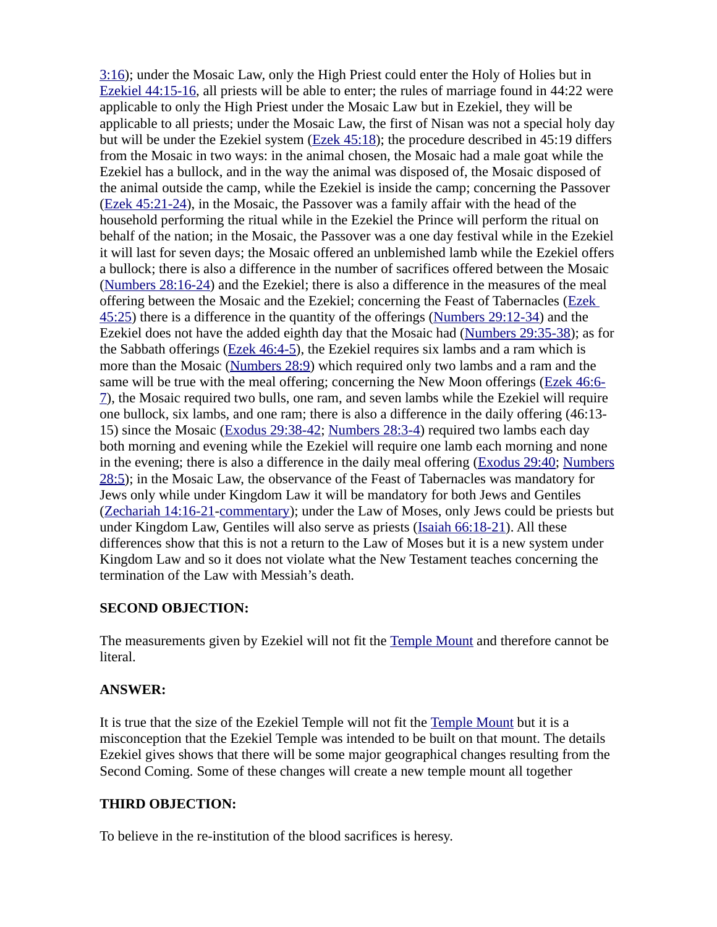[3:16](https://biblia.com/bible/niv/Jer%203.16)); under the Mosaic Law, only the High Priest could enter the Holy of Holies but in [Ezekiel 44:15-16](https://biblia.com/bible/niv/Ezek%2044.15-16), all priests will be able to enter; the rules of marriage found in 44:22 were applicable to only the High Priest under the Mosaic Law but in Ezekiel, they will be applicable to all priests; under the Mosaic Law, the first of Nisan was not a special holy day but will be under the Ezekiel system ([Ezek 45:18](https://biblia.com/bible/niv/Ezek%2045.18)); the procedure described in 45:19 differs from the Mosaic in two ways: in the animal chosen, the Mosaic had a male goat while the Ezekiel has a bullock, and in the way the animal was disposed of, the Mosaic disposed of the animal outside the camp, while the Ezekiel is inside the camp; concerning the Passover [\(Ezek 45:21-24](https://biblia.com/bible/niv/Ezek%2045.21-24)), in the Mosaic, the Passover was a family affair with the head of the household performing the ritual while in the Ezekiel the Prince will perform the ritual on behalf of the nation; in the Mosaic, the Passover was a one day festival while in the Ezekiel it will last for seven days; the Mosaic offered an unblemished lamb while the Ezekiel offers a bullock; there is also a difference in the number of sacrifices offered between the Mosaic [\(Numbers 28:16-24](https://biblia.com/bible/niv/Num%2028.16-24)) and the Ezekiel; there is also a difference in the measures of the meal offering between the Mosaic and the Ezekiel; concerning the Feast of Tabernacles (Ezek [45:25](https://biblia.com/bible/niv/Ezek%2045.25)) there is a difference in the quantity of the offerings [\(Numbers 29:12-34\)](https://biblia.com/bible/niv/Num%2029.12-34) and the Ezekiel does not have the added eighth day that the Mosaic had ([Numbers 29:35-38](https://biblia.com/bible/niv/Num%2029.35-38)); as for the Sabbath offerings [\(Ezek 46:4-5\)](https://biblia.com/bible/niv/Ezek%2046.4-5), the Ezekiel requires six lambs and a ram which is more than the Mosaic [\(Numbers 28:9\)](https://biblia.com/bible/niv/Num%2028.9) which required only two lambs and a ram and the same will be true with the meal offering; concerning the New Moon offerings ([Ezek 46:6-](https://biblia.com/bible/niv/Ezek%2046.6-7) [7](https://biblia.com/bible/niv/Ezek%2046.6-7)), the Mosaic required two bulls, one ram, and seven lambs while the Ezekiel will require one bullock, six lambs, and one ram; there is also a difference in the daily offering (46:13- 15) since the Mosaic ([Exodus 29:38-42](https://biblia.com/bible/niv/Exod%2029.38-42); [Numbers 28:3-4\)](https://biblia.com/bible/niv/Num%2028.3-4) required two lambs each day both morning and evening while the Ezekiel will require one lamb each morning and none in the evening; there is also a difference in the daily meal offering [\(Exodus 29:40;](https://biblia.com/bible/niv/Exod%2029.40) [Numbers](https://biblia.com/bible/niv/Num%2028.5) [28:5](https://biblia.com/bible/niv/Num%2028.5)); in the Mosaic Law, the observance of the Feast of Tabernacles was mandatory for Jews only while under Kingdom Law it will be mandatory for both Jews and Gentiles [\(Zechariah 14:16-21](https://biblia.com/bible/niv/Zech%2014.16-21)[-commentary](https://www.preceptaustin.org/zechariah-14-commentary#14:16)); under the Law of Moses, only Jews could be priests but under Kingdom Law, Gentiles will also serve as priests ([Isaiah 66:18-21](https://biblia.com/bible/niv/Isa%2066.18-21)). All these differences show that this is not a return to the Law of Moses but it is a new system under Kingdom Law and so it does not violate what the New Testament teaches concerning the termination of the Law with Messiah's death.

#### **SECOND OBJECTION:**

The measurements given by Ezekiel will not fit the [Temple Mount](https://www.preceptaustin.org/zechariah-12-commentary#templemount) and therefore cannot be literal.

#### **ANSWER:**

It is true that the size of the Ezekiel Temple will not fit the [Temple Mount](https://www.preceptaustin.org/zechariah-12-commentary#templemount) but it is a misconception that the Ezekiel Temple was intended to be built on that mount. The details Ezekiel gives shows that there will be some major geographical changes resulting from the Second Coming. Some of these changes will create a new temple mount all together

#### **THIRD OBJECTION:**

To believe in the re-institution of the blood sacrifices is heresy.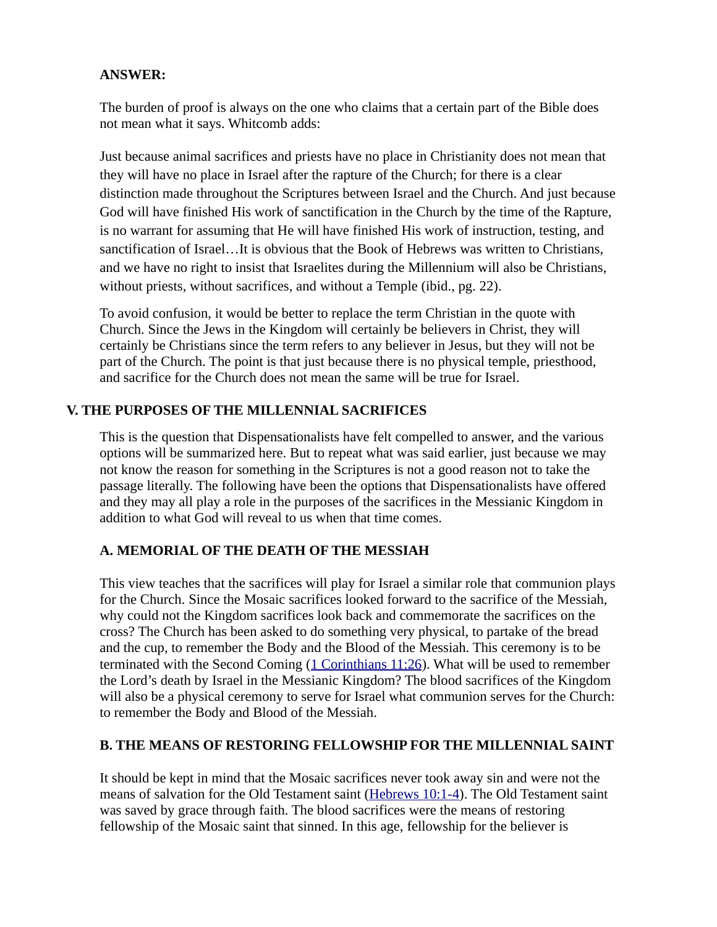#### **ANSWER:**

The burden of proof is always on the one who claims that a certain part of the Bible does not mean what it says. Whitcomb adds:

Just because animal sacrifices and priests have no place in Christianity does not mean that they will have no place in Israel after the rapture of the Church; for there is a clear distinction made throughout the Scriptures between Israel and the Church. And just because God will have finished His work of sanctification in the Church by the time of the Rapture, is no warrant for assuming that He will have finished His work of instruction, testing, and sanctification of Israel…It is obvious that the Book of Hebrews was written to Christians, and we have no right to insist that Israelites during the Millennium will also be Christians, without priests, without sacrifices, and without a Temple (ibid., pg. 22).

To avoid confusion, it would be better to replace the term Christian in the quote with Church. Since the Jews in the Kingdom will certainly be believers in Christ, they will certainly be Christians since the term refers to any believer in Jesus, but they will not be part of the Church. The point is that just because there is no physical temple, priesthood, and sacrifice for the Church does not mean the same will be true for Israel.

#### **V. THE PURPOSES OF THE MILLENNIAL SACRIFICES**

This is the question that Dispensationalists have felt compelled to answer, and the various options will be summarized here. But to repeat what was said earlier, just because we may not know the reason for something in the Scriptures is not a good reason not to take the passage literally. The following have been the options that Dispensationalists have offered and they may all play a role in the purposes of the sacrifices in the Messianic Kingdom in addition to what God will reveal to us when that time comes.

#### **A. MEMORIAL OF THE DEATH OF THE MESSIAH**

This view teaches that the sacrifices will play for Israel a similar role that communion plays for the Church. Since the Mosaic sacrifices looked forward to the sacrifice of the Messiah, why could not the Kingdom sacrifices look back and commemorate the sacrifices on the cross? The Church has been asked to do something very physical, to partake of the bread and the cup, to remember the Body and the Blood of the Messiah. This ceremony is to be terminated with the Second Coming  $(1$  Corinthians 11:26). What will be used to remember the Lord's death by Israel in the Messianic Kingdom? The blood sacrifices of the Kingdom will also be a physical ceremony to serve for Israel what communion serves for the Church: to remember the Body and Blood of the Messiah.

#### **B. THE MEANS OF RESTORING FELLOWSHIP FOR THE MILLENNIAL SAINT**

It should be kept in mind that the Mosaic sacrifices never took away sin and were not the means of salvation for the Old Testament saint [\(Hebrews 10:1-4](https://biblia.com/bible/niv/Heb%2010.1-4)). The Old Testament saint was saved by grace through faith. The blood sacrifices were the means of restoring fellowship of the Mosaic saint that sinned. In this age, fellowship for the believer is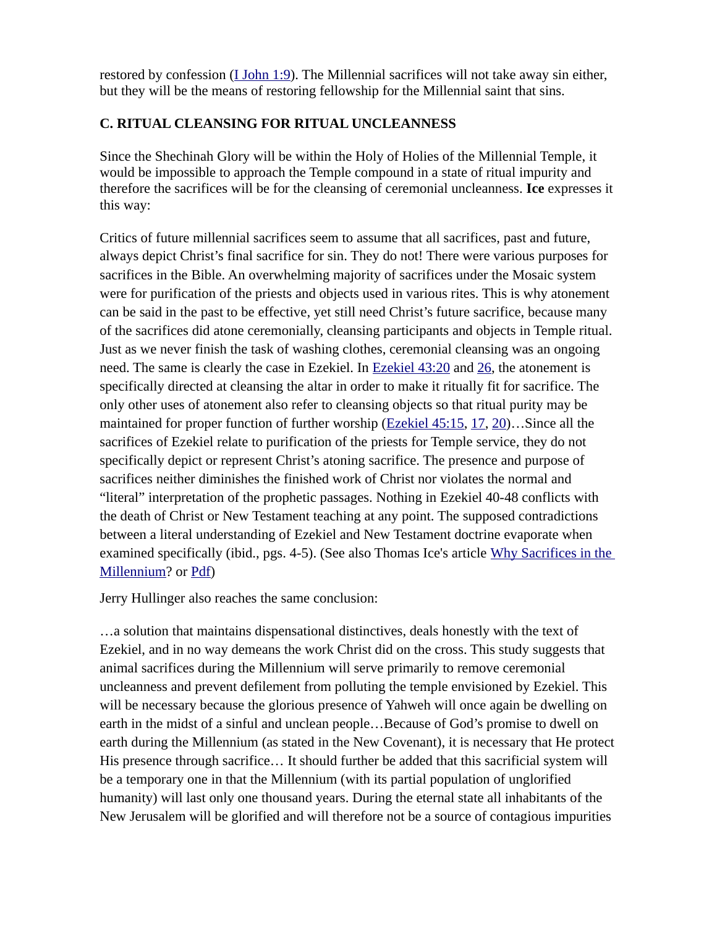restored by confession  $(I_1I_2I_3I_1)$ . The Millennial sacrifices will not take away sin either, but they will be the means of restoring fellowship for the Millennial saint that sins.

# **C. RITUAL CLEANSING FOR RITUAL UNCLEANNESS**

Since the Shechinah Glory will be within the Holy of Holies of the Millennial Temple, it would be impossible to approach the Temple compound in a state of ritual impurity and therefore the sacrifices will be for the cleansing of ceremonial uncleanness. **Ice** expresses it this way:

Critics of future millennial sacrifices seem to assume that all sacrifices, past and future, always depict Christ's final sacrifice for sin. They do not! There were various purposes for sacrifices in the Bible. An overwhelming majority of sacrifices under the Mosaic system were for purification of the priests and objects used in various rites. This is why atonement can be said in the past to be effective, yet still need Christ's future sacrifice, because many of the sacrifices did atone ceremonially, cleansing participants and objects in Temple ritual. Just as we never finish the task of washing clothes, ceremonial cleansing was an ongoing need. The same is clearly the case in Ezekiel. In [Ezekiel 43:20](https://biblia.com/bible/niv/Ezek%2043.20) and [26,](https://biblia.com/bible/niv/Ezekiel%2043.26) the atonement is specifically directed at cleansing the altar in order to make it ritually fit for sacrifice. The only other uses of atonement also refer to cleansing objects so that ritual purity may be maintained for proper function of further worship [\(Ezekiel 45:15](https://biblia.com/bible/niv/Ezek%2045.15), [17](https://biblia.com/bible/niv/Ezekiel%2045.17), [20](https://biblia.com/bible/niv/Ezekiel%2045.20))...Since all the sacrifices of Ezekiel relate to purification of the priests for Temple service, they do not specifically depict or represent Christ's atoning sacrifice. The presence and purpose of sacrifices neither diminishes the finished work of Christ nor violates the normal and "literal" interpretation of the prophetic passages. Nothing in Ezekiel 40-48 conflicts with the death of Christ or New Testament teaching at any point. The supposed contradictions between a literal understanding of Ezekiel and New Testament doctrine evaporate when examined specifically (ibid., pgs. 4-5). (See also Thomas Ice's article Why Sacrifices in the [Millennium?](https://digitalcommons.liberty.edu/cgi/viewcontent.cgi?article=1059&context=pretrib_arch) or [Pdf\)](http://www.pre-trib.org/data/pdf/Ice-WhySacrificesinTheMi.pdf)

Jerry Hullinger also reaches the same conclusion:

…a solution that maintains dispensational distinctives, deals honestly with the text of Ezekiel, and in no way demeans the work Christ did on the cross. This study suggests that animal sacrifices during the Millennium will serve primarily to remove ceremonial uncleanness and prevent defilement from polluting the temple envisioned by Ezekiel. This will be necessary because the glorious presence of Yahweh will once again be dwelling on earth in the midst of a sinful and unclean people…Because of God's promise to dwell on earth during the Millennium (as stated in the New Covenant), it is necessary that He protect His presence through sacrifice… It should further be added that this sacrificial system will be a temporary one in that the Millennium (with its partial population of unglorified humanity) will last only one thousand years. During the eternal state all inhabitants of the New Jerusalem will be glorified and will therefore not be a source of contagious impurities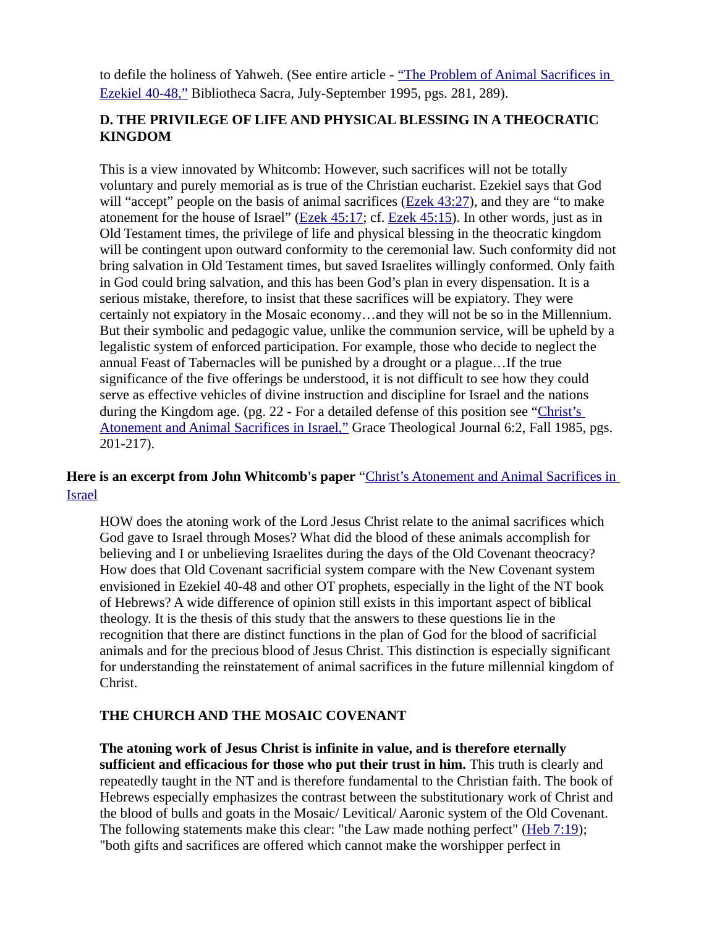to defile the holiness of Yahweh. (See entire article - "The Problem of Animal Sacrifices in [Ezekiel 40-48,"](https://www.joelstrumpet.com/wp-content/uploads/2013/01/Problem-of-Sacrifices-PDF.pdf) Bibliotheca Sacra, July-September 1995, pgs. 281, 289).

# **D. THE PRIVILEGE OF LIFE AND PHYSICAL BLESSING IN A THEOCRATIC KINGDOM**

This is a view innovated by Whitcomb: However, such sacrifices will not be totally voluntary and purely memorial as is true of the Christian eucharist. Ezekiel says that God will "accept" people on the basis of animal sacrifices ( $Ezek$   $43:27$ ), and they are "to make atonement for the house of Israel" ([Ezek 45:17](https://biblia.com/bible/niv/Ezek%2045.17); cf. [Ezek 45:15](https://biblia.com/bible/niv/Ezek%2045.15)). In other words, just as in Old Testament times, the privilege of life and physical blessing in the theocratic kingdom will be contingent upon outward conformity to the ceremonial law. Such conformity did not bring salvation in Old Testament times, but saved Israelites willingly conformed. Only faith in God could bring salvation, and this has been God's plan in every dispensation. It is a serious mistake, therefore, to insist that these sacrifices will be expiatory. They were certainly not expiatory in the Mosaic economy…and they will not be so in the Millennium. But their symbolic and pedagogic value, unlike the communion service, will be upheld by a legalistic system of enforced participation. For example, those who decide to neglect the annual Feast of Tabernacles will be punished by a drought or a plague…If the true significance of the five offerings be understood, it is not difficult to see how they could serve as effective vehicles of divine instruction and discipline for Israel and the nations during the Kingdom age. (pg. 22 - For a detailed defense of this position see "Christ's [Atonement and Animal Sacrifices in Israel,"](https://biblicalstudies.org.uk/pdf/gtj/06-2_201.pdf) Grace Theological Journal 6:2, Fall 1985, pgs. 201-217).

# **Here is an excerpt from John Whitcomb's paper** ["Christ's Atonement and Animal Sacrifices in](https://biblicalstudies.org.uk/pdf/gtj/06-2_201.pdf)  [Israel](https://biblicalstudies.org.uk/pdf/gtj/06-2_201.pdf)

HOW does the atoning work of the Lord Jesus Christ relate to the animal sacrifices which God gave to Israel through Moses? What did the blood of these animals accomplish for believing and I or unbelieving Israelites during the days of the Old Covenant theocracy? How does that Old Covenant sacrificial system compare with the New Covenant system envisioned in Ezekiel 40-48 and other OT prophets, especially in the light of the NT book of Hebrews? A wide difference of opinion still exists in this important aspect of biblical theology. It is the thesis of this study that the answers to these questions lie in the recognition that there are distinct functions in the plan of God for the blood of sacrificial animals and for the precious blood of Jesus Christ. This distinction is especially significant for understanding the reinstatement of animal sacrifices in the future millennial kingdom of Christ.

#### **THE CHURCH AND THE MOSAIC COVENANT**

**The atoning work of Jesus Christ is infinite in value, and is therefore eternally sufficient and efficacious for those who put their trust in him.** This truth is clearly and repeatedly taught in the NT and is therefore fundamental to the Christian faith. The book of Hebrews especially emphasizes the contrast between the substitutionary work of Christ and the blood of bulls and goats in the Mosaic/ Levitical/ Aaronic system of the Old Covenant. The following statements make this clear: "the Law made nothing perfect" ([Heb 7:19](https://biblia.com/bible/niv/Heb%207.19)); "both gifts and sacrifices are offered which cannot make the worshipper perfect in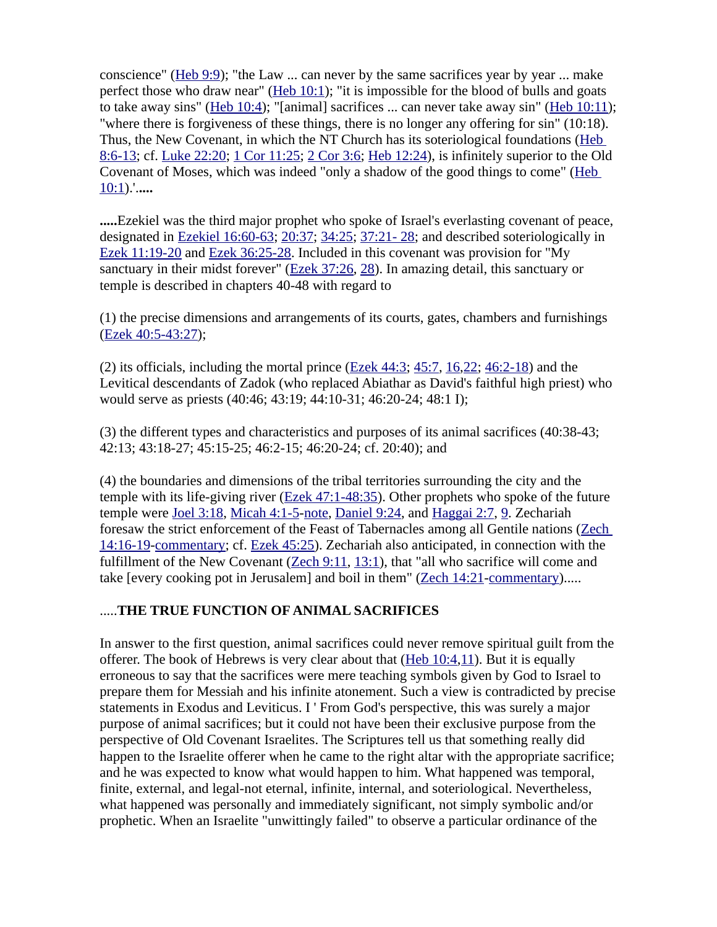conscience" (Heb  $9:9$ ); "the Law ... can never by the same sacrifices year by year ... make perfect those who draw near" ( $Heb 10:1$ ); "it is impossible for the blood of bulls and goats to take away sins" (Heb  $10:4$ ); "[animal] sacrifices ... can never take away sin" (Heb  $10:11$ ); "where there is forgiveness of these things, there is no longer any offering for sin" (10:18). Thus, the New Covenant, in which the NT Church has its soteriological foundations (Heb [8:6-13](https://biblia.com/bible/niv/Heb%208.6-13); cf. [Luke 22:20](https://biblia.com/bible/niv/Luke%2022.20); [1 Cor 11:25](https://biblia.com/bible/niv/1%20Cor%2011.25); [2 Cor 3:6](https://biblia.com/bible/niv/2%20Cor%203.6); [Heb 12:24\)](https://biblia.com/bible/niv/Heb%2012.24), is infinitely superior to the Old Covenant of Moses, which was indeed "only a shadow of the good things to come" ([Heb](https://biblia.com/bible/niv/Heb%2010.1)  [10:1](https://biblia.com/bible/niv/Heb%2010.1)).'.**....**

**.....**Ezekiel was the third major prophet who spoke of Israel's everlasting covenant of peace, designated in [Ezekiel 16:60-63](https://biblia.com/bible/niv/Ezek%2016.60-63); [20:37;](https://biblia.com/bible/niv/Ezekiel%2020.37) [34:25](https://biblia.com/bible/niv/Ezekiel%2034.25); [37:21- 28](https://biblia.com/bible/niv/Ezekiel%2037.21-%2028); and described soteriologically in [Ezek 11:19-20](https://biblia.com/bible/niv/Ezek%2011.19-20) and [Ezek 36:25-28.](https://biblia.com/bible/niv/Ezek%2036.25-28) Included in this covenant was provision for "My sanctuary in their midst forever" ( $Ezek$   $37:26$ ,  $28$ ). In amazing detail, this sanctuary or temple is described in chapters 40-48 with regard to

(1) the precise dimensions and arrangements of its courts, gates, chambers and furnishings [\(Ezek 40:5-43:27\)](https://biblia.com/bible/niv/Ezek%2040.5-43.27);

(2) its officials, including the mortal prince  $(Ezek 44:3; 45:7, 16,22; 46:2-18)$  $(Ezek 44:3; 45:7, 16,22; 46:2-18)$  $(Ezek 44:3; 45:7, 16,22; 46:2-18)$  $(Ezek 44:3; 45:7, 16,22; 46:2-18)$  $(Ezek 44:3; 45:7, 16,22; 46:2-18)$  $(Ezek 44:3; 45:7, 16,22; 46:2-18)$  $(Ezek 44:3; 45:7, 16,22; 46:2-18)$  $(Ezek 44:3; 45:7, 16,22; 46:2-18)$  and the Levitical descendants of Zadok (who replaced Abiathar as David's faithful high priest) who would serve as priests (40:46; 43:19; 44:10-31; 46:20-24; 48:1 I);

(3) the different types and characteristics and purposes of its animal sacrifices (40:38-43; 42:13; 43:18-27; 45:15-25; 46:2-15; 46:20-24; cf. 20:40); and

(4) the boundaries and dimensions of the tribal territories surrounding the city and the temple with its life-giving river ([Ezek 47:1-48:35](https://biblia.com/bible/niv/Ezek%2047.1-48.35)). Other prophets who spoke of the future temple were [Joel 3:18,](https://biblia.com/bible/niv/Joel%203.18) [Micah 4:1-5-](https://biblia.com/bible/niv/Micah%204.1-5)[note](https://www.preceptaustin.org/micah_4_commentary#4:1), [Daniel 9:24,](https://biblia.com/bible/niv/Dan%209.24) and [Haggai 2:7](https://biblia.com/bible/niv/Haggai%202.7), [9](https://biblia.com/bible/niv/Haggai%202.9). Zechariah foresaw the strict enforcement of the Feast of Tabernacles among all Gentile nations [\(Zech](https://biblia.com/bible/niv/Zech%2014.16-19)  [14:16-19](https://biblia.com/bible/niv/Zech%2014.16-19)[-commentary](https://www.preceptaustin.org/zechariah-14-commentary#14:16); cf. [Ezek 45:25](https://biblia.com/bible/niv/Ezek%2045.25)). Zechariah also anticipated, in connection with the fulfillment of the New Covenant ( $\overline{Zech 9:11, 13:1}$  $\overline{Zech 9:11, 13:1}$  $\overline{Zech 9:11, 13:1}$  $\overline{Zech 9:11, 13:1}$  $\overline{Zech 9:11, 13:1}$ ), that "all who sacrifice will come and take [every cooking pot in Jerusalem] and boil in them" [\(Zech 14:21](https://biblia.com/bible/niv/Zech%2014.21)[-commentary\)](https://www.preceptaustin.org/zechariah-14-commentary#14:21).....

#### .....**THE TRUE FUNCTION OF ANIMAL SACRIFICES**

In answer to the first question, animal sacrifices could never remove spiritual guilt from the offerer. The book of Hebrews is very clear about that  $(Heb 10:4,11)$  $(Heb 10:4,11)$  $(Heb 10:4,11)$ . But it is equally erroneous to say that the sacrifices were mere teaching symbols given by God to Israel to prepare them for Messiah and his infinite atonement. Such a view is contradicted by precise statements in Exodus and Leviticus. I ' From God's perspective, this was surely a major purpose of animal sacrifices; but it could not have been their exclusive purpose from the perspective of Old Covenant Israelites. The Scriptures tell us that something really did happen to the Israelite offerer when he came to the right altar with the appropriate sacrifice; and he was expected to know what would happen to him. What happened was temporal, finite, external, and legal-not eternal, infinite, internal, and soteriological. Nevertheless, what happened was personally and immediately significant, not simply symbolic and/or prophetic. When an Israelite "unwittingly failed" to observe a particular ordinance of the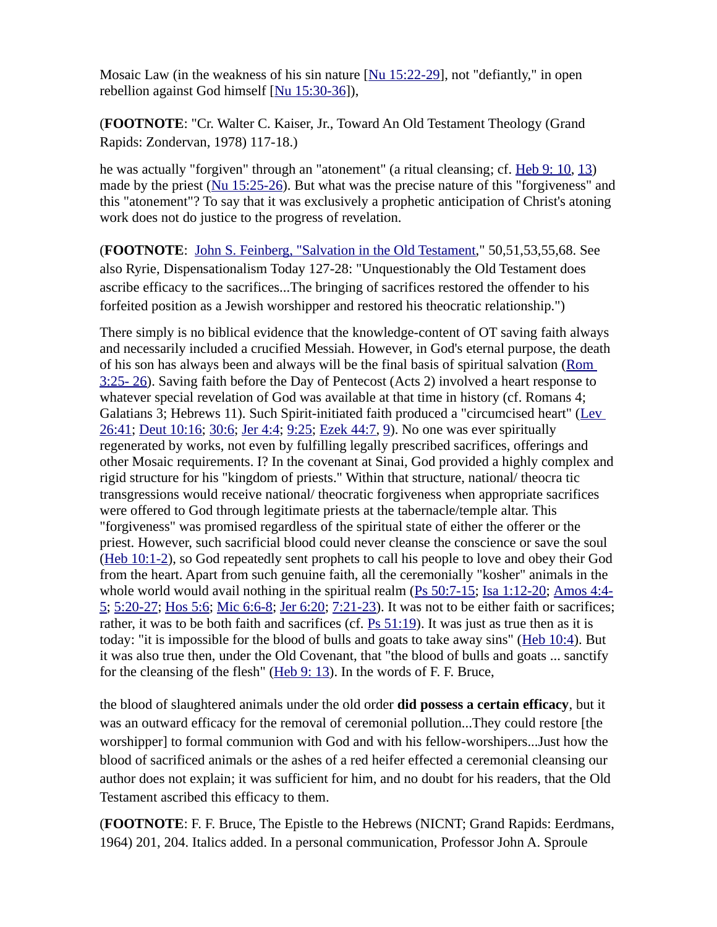Mosaic Law (in the weakness of his sin nature  $[Nu 15:22-29]$ , not "defiantly," in open rebellion against God himself [\[ Nu 15:30-36](https://biblia.com/bible/niv/Num%2015.30-36)]),

(**FOOTNOTE**: "Cr. Walter C. Kaiser, Jr., Toward An Old Testament Theology (Grand Rapids: Zondervan, 1978) 117-18.)

he was actually "forgiven" through an "atonement" (a ritual cleansing; cf. [Heb 9: 10,](https://biblia.com/bible/niv/Heb%209.%2010) [13\)](https://biblia.com/bible/niv/Heb%209.13) made by the priest (Nu 15:25-26). But what was the precise nature of this "forgiveness" and this "atonement"? To say that it was exclusively a prophetic anticipation of Christ's atoning work does not do justice to the progress of revelation.

(**FOOTNOTE**: [John S. Feinberg, "Salvation in the Old Testament](http://www.ntslibrary.com/Salvation%20in%20the%20Old%20Testament.pdf)," 50,51,53,55,68. See also Ryrie, Dispensationalism Today 127-28: "Unquestionably the Old Testament does ascribe efficacy to the sacrifices...The bringing of sacrifices restored the offender to his forfeited position as a Jewish worshipper and restored his theocratic relationship.")

There simply is no biblical evidence that the knowledge-content of OT saving faith always and necessarily included a crucified Messiah. However, in God's eternal purpose, the death of his son has always been and always will be the final basis of spiritual salvation (Rom [3:25- 26](https://biblia.com/bible/niv/Rom%203.25-%2026)). Saving faith before the Day of Pentecost (Acts 2) involved a heart response to whatever special revelation of God was available at that time in history (cf. Romans 4; Galatians 3; Hebrews 11). Such Spirit-initiated faith produced a "circumcised heart" ([Lev](https://biblia.com/bible/niv/Lev%2026.41)  [26:41](https://biblia.com/bible/niv/Lev%2026.41); [Deut 10:16](https://biblia.com/bible/niv/Deut%2010.16); [30:6](https://biblia.com/bible/niv/Deut%2030.6); [Jer 4:4;](https://biblia.com/bible/niv/Jer%204.4) [9:25;](https://biblia.com/bible/niv/Jer%209.25) [Ezek 44:7](https://biblia.com/bible/niv/Ezek%2044.7), [9](https://biblia.com/bible/niv/Ezek%2044.9)). No one was ever spiritually regenerated by works, not even by fulfilling legally prescribed sacrifices, offerings and other Mosaic requirements. I? In the covenant at Sinai, God provided a highly complex and rigid structure for his "kingdom of priests." Within that structure, national/ theocra tic transgressions would receive national/ theocratic forgiveness when appropriate sacrifices were offered to God through legitimate priests at the tabernacle/temple altar. This "forgiveness" was promised regardless of the spiritual state of either the offerer or the priest. However, such sacrificial blood could never cleanse the conscience or save the soul [\(Heb 10:1-2](https://biblia.com/bible/niv/Heb%2010.1-2)), so God repeatedly sent prophets to call his people to love and obey their God from the heart. Apart from such genuine faith, all the ceremonially "kosher" animals in the whole world would avail nothing in the spiritual realm ([Ps 50:7-15;](https://biblia.com/bible/niv/Ps%2050.7-15) [Isa 1:12-20](https://biblia.com/bible/niv/Isa%201.12-20); [Amos 4:4-](https://biblia.com/bible/niv/Amos%204.4-5) [5](https://biblia.com/bible/niv/Amos%204.4-5); [5:20-27;](https://biblia.com/bible/niv/Amos%205.20-27) [Hos 5:6;](https://biblia.com/bible/niv/Hos%205.6) [Mic 6:6-8;](https://biblia.com/bible/niv/Micah%206.6-8) [Jer 6:20;](https://biblia.com/bible/niv/Jer%206.20) [7:21-23](https://biblia.com/bible/niv/Jer%207.21-23)). It was not to be either faith or sacrifices; rather, it was to be both faith and sacrifices (cf. [Ps 51:19\)](https://biblia.com/bible/niv/Ps%2051.19). It was just as true then as it is today: "it is impossible for the blood of bulls and goats to take away sins" ([Heb 10:4](https://biblia.com/bible/niv/Heb%2010.4)). But it was also true then, under the Old Covenant, that "the blood of bulls and goats ... sanctify for the cleansing of the flesh" ([Heb 9: 13](https://biblia.com/bible/niv/Heb%209.%2013)). In the words of F. F. Bruce,

the blood of slaughtered animals under the old order **did possess a certain efficacy**, but it was an outward efficacy for the removal of ceremonial pollution...They could restore [the worshipper] to formal communion with God and with his fellow-worshipers...Just how the blood of sacrificed animals or the ashes of a red heifer effected a ceremonial cleansing our author does not explain; it was sufficient for him, and no doubt for his readers, that the Old Testament ascribed this efficacy to them.

(**FOOTNOTE**: F. F. Bruce, The Epistle to the Hebrews (NICNT; Grand Rapids: Eerdmans, 1964) 201, 204. Italics added. In a personal communication, Professor John A. Sproule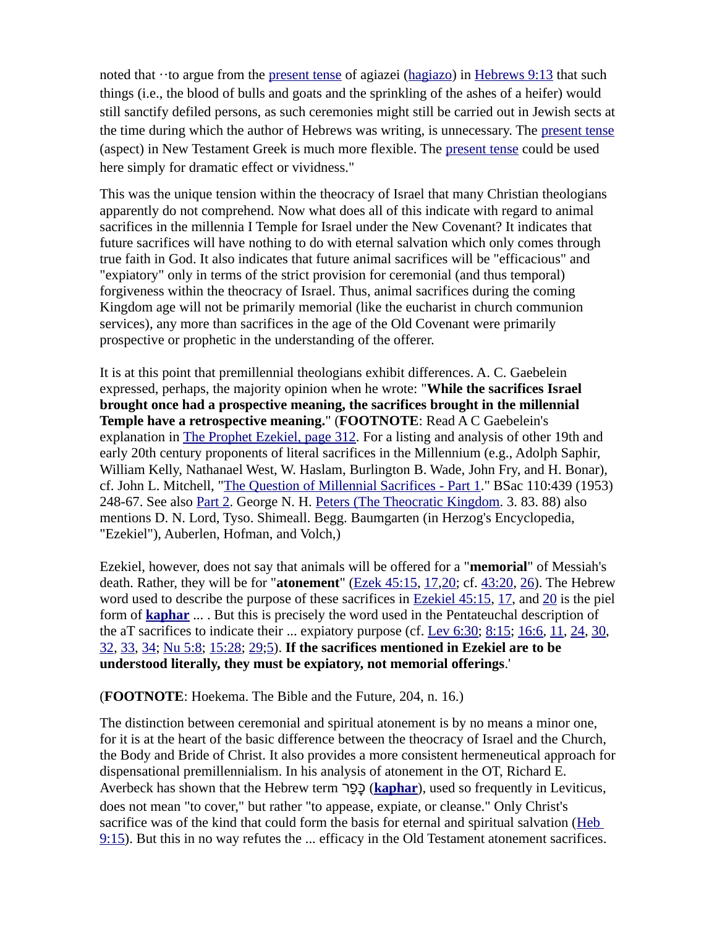noted that  $\cdot$ to argue from the [present tense](https://www.preceptaustin.org/greek_quick_reference_guide#present) of agiazei ([hagiazo](https://www.preceptaustin.org/1thessalonians_523-24#sanctify)) in [Hebrews 9:13](https://biblia.com/bible/niv/Heb%209.13) that such things (i.e., the blood of bulls and goats and the sprinkling of the ashes of a heifer) would still sanctify defiled persons, as such ceremonies might still be carried out in Jewish sects at the time during which the author of Hebrews was writing, is unnecessary. The [present tense](https://www.preceptaustin.org/greek_quick_reference_guide#present) (aspect) in New Testament Greek is much more flexible. The [present tense](https://www.preceptaustin.org/greek_quick_reference_guide#present) could be used here simply for dramatic effect or vividness."

This was the unique tension within the theocracy of Israel that many Christian theologians apparently do not comprehend. Now what does all of this indicate with regard to animal sacrifices in the millennia I Temple for Israel under the New Covenant? It indicates that future sacrifices will have nothing to do with eternal salvation which only comes through true faith in God. It also indicates that future animal sacrifices will be "efficacious" and "expiatory" only in terms of the strict provision for ceremonial (and thus temporal) forgiveness within the theocracy of Israel. Thus, animal sacrifices during the coming Kingdom age will not be primarily memorial (like the eucharist in church communion services), any more than sacrifices in the age of the Old Covenant were primarily prospective or prophetic in the understanding of the offerer.

It is at this point that premillennial theologians exhibit differences. A. C. Gaebelein expressed, perhaps, the majority opinion when he wrote: "**While the sacrifices Israel brought once had a prospective meaning, the sacrifices brought in the millennial Temple have a retrospective meaning.**" (**FOOTNOTE**: Read A C Gaebelein's explanation in [The Prophet Ezekiel, page 312](https://archive.org/stream/prophetezekielan00gaeb#page/312/mode/1up). For a listing and analysis of other 19th and early 20th century proponents of literal sacrifices in the Millennium (e.g., Adolph Saphir, William Kelly, Nathanael West, W. Haslam, Burlington B. Wade, John Fry, and H. Bonar), cf. John L. Mitchell, ["The Question of Millennial Sacrifices - Part 1.](https://www.galaxie.com/article/bsac110-439-07)" BSac 110:439 (1953) 248-67. See also [Part 2](https://www.galaxie.com/article/bsac110-440-07). George N. H. [Peters \(The Theocratic Kingdom](https://archive.org/details/TheTheocraticKingdomPetersVols1-3). 3. 83. 88) also mentions D. N. Lord, Tyso. Shimeall. Begg. Baumgarten (in Herzog's Encyclopedia, "Ezekiel"), Auberlen, Hofman, and Volch,)

Ezekiel, however, does not say that animals will be offered for a "**memorial**" of Messiah's death. Rather, they will be for "**atonement**" [\(Ezek 45:15](https://biblia.com/bible/niv/Ezek%2045.15), [17](https://biblia.com/bible/niv/Ezek%2045.17)[,20](https://biblia.com/bible/niv/Ezek%2045.20); cf. [43:20](https://biblia.com/bible/niv/Ezek%2043.20), [26](https://biblia.com/bible/niv/Ezek%2043.26)). The Hebrew word used to describe the purpose of these sacrifices in [Ezekiel 45:15](https://biblia.com/bible/niv/Ezek%2045.15), [17](https://biblia.com/bible/niv/Ezekiel%2045.17), and [20](https://biblia.com/bible/niv/Ezekiel%2045.20) is the piel form of **[kaphar](https://www.preceptaustin.org/leviticus_23_commentary#k)** ... . But this is precisely the word used in the Pentateuchal description of the aT sacrifices to indicate their ... expiatory purpose (cf. Lev  $6:30$ ;  $8:15$ ;  $16:6$ ,  $11$ ,  $24$ ,  $30$ , [32](https://biblia.com/bible/niv/Lev%2016.32), [33](https://biblia.com/bible/niv/Lev%2016.33), [34](https://biblia.com/bible/niv/Lev%2016.34); [Nu 5:8](https://biblia.com/bible/niv/Num%205.8); [15:28](https://biblia.com/bible/niv/Nu%2015.28); [29;](https://biblia.com/bible/niv/Nu%2015.29)[5\)](https://biblia.com/bible/niv/Nu%2015.5). **If the sacrifices mentioned in Ezekiel are to be understood literally, they must be expiatory, not memorial offerings**.'

(**FOOTNOTE**: Hoekema. The Bible and the Future, 204, n. 16.)

The distinction between ceremonial and spiritual atonement is by no means a minor one, for it is at the heart of the basic difference between the theocracy of Israel and the Church, the Body and Bride of Christ. It also provides a more consistent hermeneutical approach for dispensational premillennialism. In his analysis of atonement in the OT, Richard E. Averbeck has shown that the Hebrew term רַפָּכ) **[kaphar](https://www.preceptaustin.org/leviticus_23_commentary#k)**), used so frequently in Leviticus, does not mean "to cover," but rather "to appease, expiate, or cleanse." Only Christ's sacrifice was of the kind that could form the basis for eternal and spiritual salvation (Heb [9:15](https://biblia.com/bible/niv/Heb%209.15)). But this in no way refutes the ... efficacy in the Old Testament atonement sacrifices.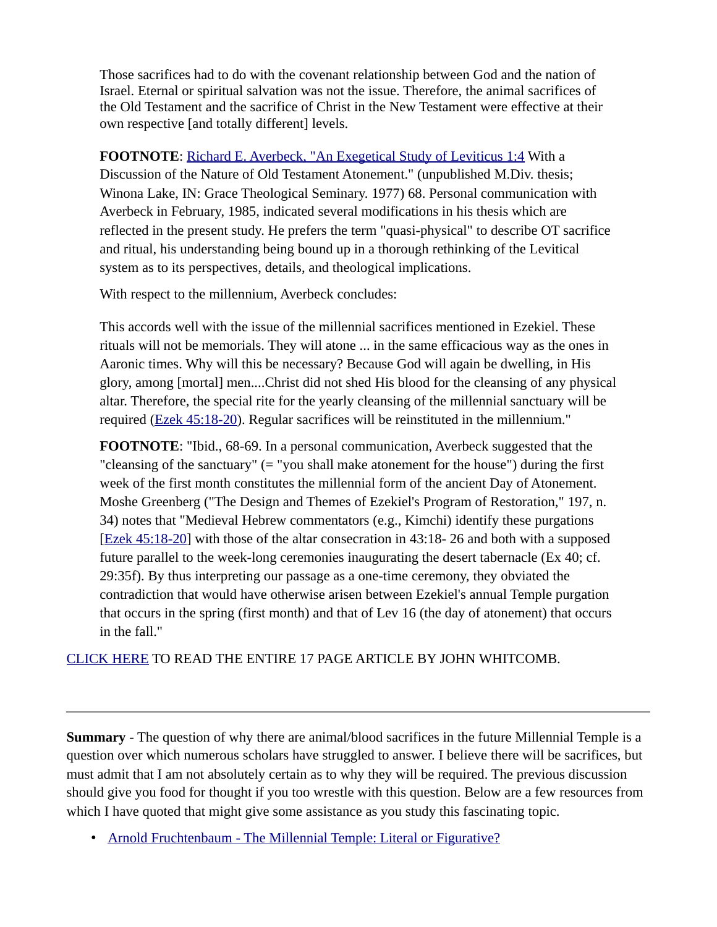Those sacrifices had to do with the covenant relationship between God and the nation of Israel. Eternal or spiritual salvation was not the issue. Therefore, the animal sacrifices of the Old Testament and the sacrifice of Christ in the New Testament were effective at their own respective [and totally different] levels.

**FOOTNOTE**: [Richard E. Averbeck, "An Exegetical Study of Leviticus 1:4](https://books.google.com/books/about/An_Exegetical_Study_of_Leviticus_1_4_wit.html?id=ZJ1NNwAACAAJ) With a Discussion of the Nature of Old Testament Atonement." (unpublished M.Div. thesis; Winona Lake, IN: Grace Theological Seminary. 1977) 68. Personal communication with Averbeck in February, 1985, indicated several modifications in his thesis which are reflected in the present study. He prefers the term "quasi-physical" to describe OT sacrifice and ritual, his understanding being bound up in a thorough rethinking of the Levitical system as to its perspectives, details, and theological implications.

With respect to the millennium, Averbeck concludes:

This accords well with the issue of the millennial sacrifices mentioned in Ezekiel. These rituals will not be memorials. They will atone ... in the same efficacious way as the ones in Aaronic times. Why will this be necessary? Because God will again be dwelling, in His glory, among [mortal] men....Christ did not shed His blood for the cleansing of any physical altar. Therefore, the special rite for the yearly cleansing of the millennial sanctuary will be required [\(Ezek 45:18-20](https://biblia.com/bible/niv/Ezek%2045.18-20)). Regular sacrifices will be reinstituted in the millennium."

**FOOTNOTE**: "Ibid., 68-69. In a personal communication, Averbeck suggested that the "cleansing of the sanctuary" (= "you shall make atonement for the house") during the first week of the first month constitutes the millennial form of the ancient Day of Atonement. Moshe Greenberg ("The Design and Themes of Ezekiel's Program of Restoration," 197, n. 34) notes that "Medieval Hebrew commentators (e.g., Kimchi) identify these purgations [\[Ezek 45:18-20](https://biblia.com/bible/niv/Ezek%2045.18-20)] with those of the altar consecration in 43:18- 26 and both with a supposed future parallel to the week-long ceremonies inaugurating the desert tabernacle (Ex 40; cf. 29:35f). By thus interpreting our passage as a one-time ceremony, they obviated the contradiction that would have otherwise arisen between Ezekiel's annual Temple purgation that occurs in the spring (first month) and that of Lev 16 (the day of atonement) that occurs in the fall."

[CLICK HERE](https://biblicalstudies.org.uk/pdf/gtj/06-2_201.pdf) TO READ THE ENTIRE 17 PAGE ARTICLE BY JOHN WHITCOMB.

**Summary** - The question of why there are animal/blood sacrifices in the future Millennial Temple is a question over which numerous scholars have struggled to answer. I believe there will be sacrifices, but must admit that I am not absolutely certain as to why they will be required. The previous discussion should give you food for thought if you too wrestle with this question. Below are a few resources from which I have quoted that might give some assistance as you study this fascinating topic.

• [Arnold Fruchtenbaum - The Millennial Temple: Literal or Figurative?](https://www.ariel.org/pdfs/magazine/spring-2016.pdf)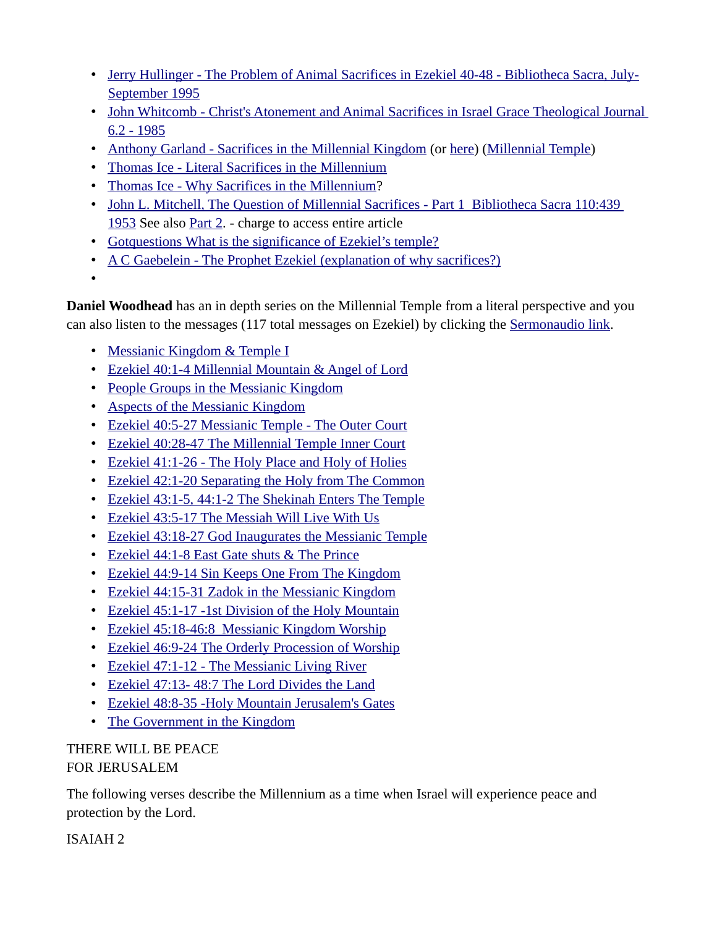- • [Jerry Hullinger The Problem of Animal Sacrifices in Ezekiel 40-48 Bibliotheca Sacra, July-](https://www.joelstrumpet.com/wp-content/uploads/2013/01/Problem-of-Sacrifices-PDF.pdf)[September 1995](https://www.joelstrumpet.com/wp-content/uploads/2013/01/Problem-of-Sacrifices-PDF.pdf)
- John Whitcomb Christ's Atonement and Animal Sacrifices in Israel Grace Theological Journal [6.2 - 1985](https://biblicalstudies.org.uk/pdf/gtj/06-2_201.pdf)
- [Anthony Garland Sacrifices in the Millennial Kingdom](http://www.spiritandtruth.org/questions/207.htm?x=x#below1) (or [here](https://www.biblestudytools.com/commentaries/revelation/related-topics/millennial-sacrifices.html)) [\(Millennial Temple\)](https://www.biblestudytools.com/commentaries/revelation/related-topics/millennial-temple.html)
- • [Thomas Ice Literal Sacrifices in the Millennium](https://www.pre-trib.org/other-articles-by-dr-thomas-ice/message/literal-sacrifices-in-the-millennium)
- [Thomas Ice Why Sacrifices in the Millennium?](https://www.pre-trib.org/articles/all-articles/message/why-literal-sacrifices-in-the-millennium)
- John L. Mitchell, The Question of Millennial Sacrifices Part 1 Bibliotheca Sacra 110:439 [1953](https://www.galaxie.com/article/bsac110-439-07) See also [Part 2](http://www.galaxie.com/article/bsac110-440-07). - charge to access entire article
- • [Gotquestions What is the significance of Ezekiel's temple?](https://www.gotquestions.org/Ezekiel-temple.html)
- [A C Gaebelein The Prophet Ezekiel \(explanation of why sacrifices?\)](https://archive.org/stream/prophetezekielan00gaeb#page/312/mode/1up)

•

**Daniel Woodhead** has an in depth series on the Millennial Temple from a literal perspective and you can also listen to the messages (117 total messages on Ezekiel) by clicking the [Sermonaudio link](https://www.sermonaudio.com/search.asp?speakerWithinSource=&subsetCat=&subsetItem=&mediatype=&includekeywords=&exactverse=&keyword=Daniel_E_Woodhead&keyworddesc=Daniel+E+Woodhead&currsection=&AudioOnly=false&SpeakerOnly=true&keywordwithin=ezekiel&x=0&y=0).

- • [Messianic Kingdom & Temple I](https://media-cloud.sermonaudio.com/text/618171316103.pdf)
- • [Ezekiel 40:1-4 Millennial Mountain & Angel of Lord](https://media-cloud.sermonaudio.com/text/625171420419.pdf)
- • [People Groups in the Messianic Kingdom](https://media-cloud.sermonaudio.com/text/72172016116.pdf)
- [Aspects of the Messianic Kingdom](https://media-cloud.sermonaudio.com/text/79171358446.pdf)
- [Ezekiel 40:5-27 Messianic Temple The Outer Court](https://media-cloud.sermonaudio.com/text/71617143982.pdf)
- • [Ezekiel 40:28-47 The Millennial Temple Inner Court](https://media-cloud.sermonaudio.com/text/72317133467.pdf)
- • [Ezekiel 41:1-26 The Holy Place and Holy of Holies](https://media-cloud.sermonaudio.com/text/7301714962.pdf)
- • [Ezekiel 42:1-20 Separating the Holy from The Common](https://media-cloud.sermonaudio.com/text/86171426536.pdf)
- • [Ezekiel 43:1-5, 44:1-2 The Shekinah Enters The Temple](https://media-cloud.sermonaudio.com/text/813171628293.pdf)
- • [Ezekiel 43:5-17 The Messiah Will Live With Us](https://media-cloud.sermonaudio.com/text/82017181344.pdf)
- [Ezekiel 43:18-27 God Inaugurates the Messianic Temple](https://media-cloud.sermonaudio.com/text/827171543347.pdf)
- • [Ezekiel 44:1-8 East Gate shuts & The Prince](https://media-cloud.sermonaudio.com/text/93171420246.pdf)
- • [Ezekiel 44:9-14 Sin Keeps One From The Kingdom](https://media-cloud.sermonaudio.com/text/910171421169.pdf)
- • [Ezekiel 44:15-31 Zadok in the Messianic Kingdom](https://media-cloud.sermonaudio.com/text/917171415492.pdf)
- • [Ezekiel 45:1-17 -1st Division of the Holy Mountain](https://media-cloud.sermonaudio.com/text/924171345435.pdf)
- • [Ezekiel 45:18-46:8 Messianic Kingdom Worship](https://media-cloud.sermonaudio.com/text/101171518121.pdf)
- • [Ezekiel 46:9-24 The Orderly Procession of Worship](https://media-cloud.sermonaudio.com/text/108171334214.pdf)
- • [Ezekiel 47:1-12 The Messianic Living River](https://media-cloud.sermonaudio.com/text/10151715323910.pdf)
- • [Ezekiel 47:13- 48:7 The Lord Divides the Land](https://media-cloud.sermonaudio.com/text/1022171613180.pdf)
- • [Ezekiel 48:8-35 -Holy Mountain Jerusalem's Gates](https://media-cloud.sermonaudio.com/text/102917148403.pdf)
- • [The Government in the Kingdom](https://media-cloud.sermonaudio.com/text/1151715465.pdf)

# THERE WILL BE PEACE FOR JERUSALEM

The following verses describe the Millennium as a time when Israel will experience peace and protection by the Lord.

ISAIAH 2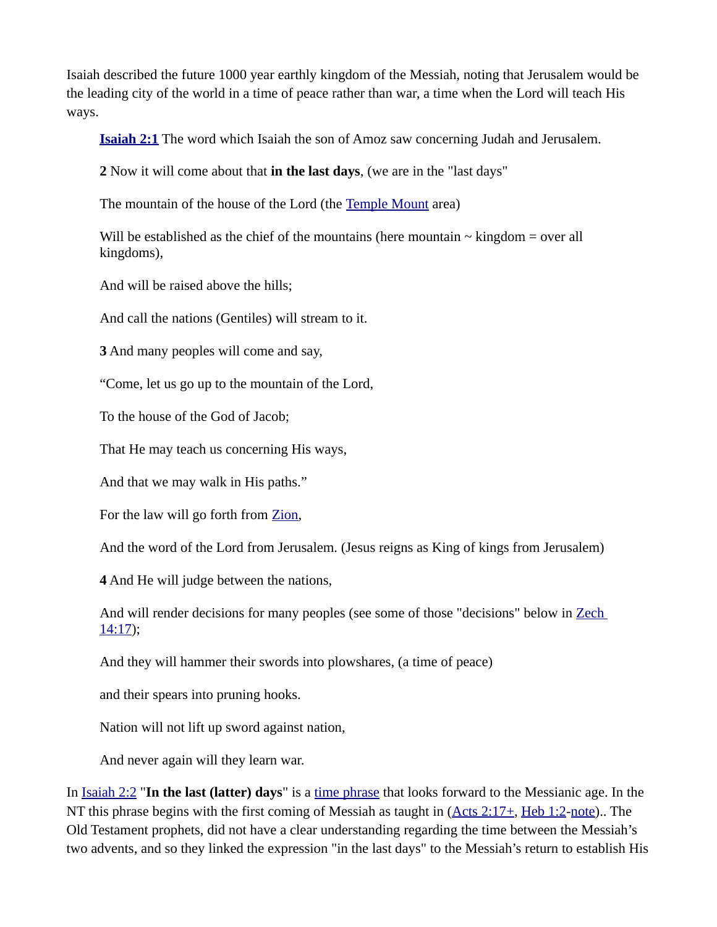Isaiah described the future 1000 year earthly kingdom of the Messiah, noting that Jerusalem would be the leading city of the world in a time of peace rather than war, a time when the Lord will teach His ways.

**[Isaiah 2:1](https://biblia.com/bible/niv/Isa%202.1)** The word which Isaiah the son of Amoz saw concerning Judah and Jerusalem.

**2** Now it will come about that **in the last days**, (we are in the "last days"

The mountain of the house of the Lord (the [Temple Mount](https://www.preceptaustin.org/zechariah-12-commentary#templemount) area)

Will be established as the chief of the mountains (here mountain  $\sim$  kingdom = over all kingdoms),

And will be raised above the hills;

And call the nations (Gentiles) will stream to it.

**3** And many peoples will come and say,

"Come, let us go up to the mountain of the Lord,

To the house of the God of Jacob;

That He may teach us concerning His ways,

And that we may walk in His paths."

For the law will go forth from [Zion,](http://studylight.org/enc/isb/view.cgi?number=T9408)

And the word of the Lord from Jerusalem. (Jesus reigns as King of kings from Jerusalem)

**4** And He will judge between the nations,

And will render decisions for many peoples (see some of those "decisions" below in [Zech](https://biblia.com/bible/niv/Zech%2014.17)  [14:17](https://biblia.com/bible/niv/Zech%2014.17));

And they will hammer their swords into plowshares, (a time of peace)

and their spears into pruning hooks.

Nation will not lift up sword against nation,

And never again will they learn war.

In [Isaiah 2:2](https://biblia.com/bible/niv/Isa%202.2) "**In the last (latter) days**" is a [time phrase](https://www.preceptaustin.org/observation#expressions%20of%20time) that looks forward to the Messianic age. In the NT this phrase begins with the first coming of Messiah as taught in (Acts 2:17+, [Heb 1:2-](https://biblia.com/bible/niv/Heb%201.2)[note](https://www.preceptaustin.org/hebrews_11-4)).. The Old Testament prophets, did not have a clear understanding regarding the time between the Messiah's two advents, and so they linked the expression "in the last days" to the Messiah's return to establish His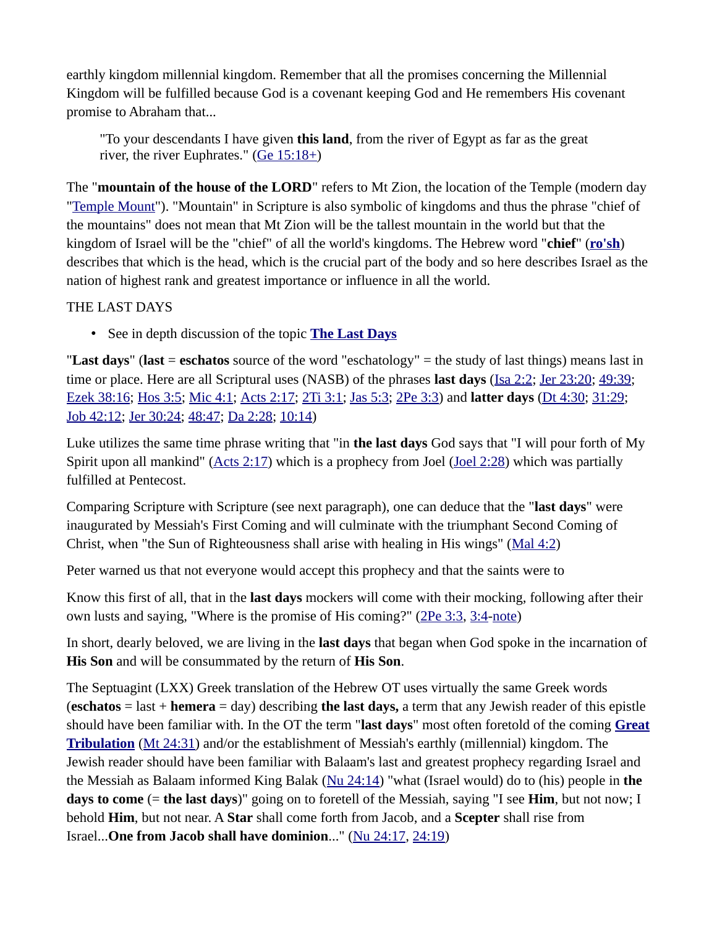earthly kingdom millennial kingdom. Remember that all the promises concerning the Millennial Kingdom will be fulfilled because God is a covenant keeping God and He remembers His covenant promise to Abraham that...

"To your descendants I have given **this land**, from the river of Egypt as far as the great river, the river Euphrates."  $(Ge 15:18+)$ 

The "**mountain of the house of the LORD**" refers to Mt Zion, the location of the Temple (modern day "[Temple Mount](https://www.preceptaustin.org/zechariah-12-commentary#templemount)"). "Mountain" in Scripture is also symbolic of kingdoms and thus the phrase "chief of the mountains" does not mean that Mt Zion will be the tallest mountain in the world but that the kingdom of Israel will be the "chief" of all the world's kingdoms. The Hebrew word "**chief**" (**[ro'sh](http://studylight.org/lex/heb/view.cgi?number=07218)**) describes that which is the head, which is the crucial part of the body and so here describes Israel as the nation of highest rank and greatest importance or influence in all the world.

#### THE LAST DAYS

• See in depth discussion of the topic **[The Last Days](https://www.preceptaustin.org/the-last-days)**

"**Last days**" (**last** = **eschatos** source of the word "eschatology" = the study of last things) means last in time or place. Here are all Scriptural uses (NASB) of the phrases **last days** [\(Isa 2:2;](https://biblia.com/bible/niv/Isa%202.2) [Jer 23:20](https://biblia.com/bible/niv/Jer%2023.20); [49:39](https://biblia.com/bible/niv/Jer%2049.39); [Ezek 38:16](https://biblia.com/bible/niv/Ezek%2038.16); [Hos 3:5](https://biblia.com/bible/niv/Hos%203.5); [Mic 4:1](https://biblia.com/bible/niv/Micah%204.1); [Acts 2:17;](https://biblia.com/bible/niv/Acts%202.17) [2Ti 3:1;](https://biblia.com/bible/niv/2%20Tim%203.1) [Jas 5:3](https://biblia.com/bible/niv/James%205.3); [2Pe 3:3\)](https://biblia.com/bible/niv/2%20Pet%203.3) and **latter days** [\(Dt 4:30;](https://biblia.com/bible/niv/Deut%204.30) [31:29](https://biblia.com/bible/niv/Dt%2031.29); [Job 42:12;](https://biblia.com/bible/niv/Job%2042.12) [Jer 30:24](https://biblia.com/bible/niv/Jer%2030.24); [48:47](https://biblia.com/bible/niv/Jer%2048.47); [Da 2:28;](https://biblia.com/bible/niv/Dan%202.28) [10:14\)](https://biblia.com/bible/niv/Da%2010.14)

Luke utilizes the same time phrase writing that "in **the last days** God says that "I will pour forth of My Spirit upon all mankind" [\(Acts 2:17\)](https://biblia.com/bible/niv/Acts%202.17) which is a prophecy from Joel ([Joel 2:28](https://biblia.com/bible/niv/Joel%202.28)) which was partially fulfilled at Pentecost.

Comparing Scripture with Scripture (see next paragraph), one can deduce that the "**last days**" were inaugurated by Messiah's First Coming and will culminate with the triumphant Second Coming of Christ, when "the Sun of Righteousness shall arise with healing in His wings" [\(Mal 4:2\)](https://biblia.com/bible/niv/Mal%204.2)

Peter warned us that not everyone would accept this prophecy and that the saints were to

Know this first of all, that in the **last days** mockers will come with their mocking, following after their own lusts and saying, "Where is the promise of His coming?" [\(2Pe 3:3,](https://biblia.com/bible/niv/2%20Pet%203.3) [3:4-](https://biblia.com/bible/niv/2Pe%203.4)[note\)](https://www.preceptaustin.org/2_peter_31-7#3:3)

In short, dearly beloved, we are living in the **last days** that began when God spoke in the incarnation of **His Son** and will be consummated by the return of **His Son**.

The Septuagint (LXX) Greek translation of the Hebrew OT uses virtually the same Greek words (**eschatos** = last + **hemera** = day) describing **the last days,** a term that any Jewish reader of this epistle should have been familiar with. In the OT the term "**last days**" most often foretold of the coming **[Great](https://www.preceptaustin.org/the_great_tribulation) [Tribulation](https://www.preceptaustin.org/the_great_tribulation)** [\(Mt 24:31\)](https://biblia.com/bible/niv/Matt%2024.31) and/or the establishment of Messiah's earthly (millennial) kingdom. The Jewish reader should have been familiar with Balaam's last and greatest prophecy regarding Israel and the Messiah as Balaam informed King Balak ([Nu 24:14](https://biblia.com/bible/niv/Num%2024.14)) "what (Israel would) do to (his) people in **the days to come** (= **the last days**)" going on to foretell of the Messiah, saying "I see **Him**, but not now; I behold **Him**, but not near. A **Star** shall come forth from Jacob, and a **Scepter** shall rise from Israel...**One from Jacob shall have dominion**..." [\(Nu 24:17](https://biblia.com/bible/niv/Num%2024.17), [24:19\)](https://biblia.com/bible/niv/Nu%2024.19)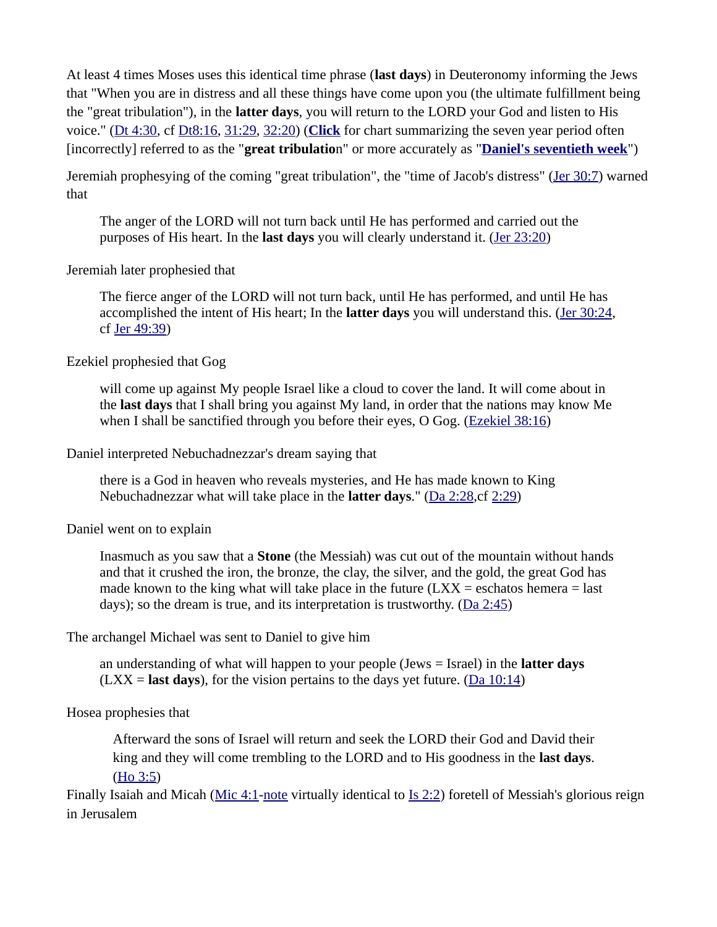At least 4 times Moses uses this identical time phrase (**last days**) in Deuteronomy informing the Jews that "When you are in distress and all these things have come upon you (the ultimate fulfillment being the "great tribulation"), in the **latter days**, you will return to the LORD your God and listen to His voice." ([Dt 4:30](https://biblia.com/bible/niv/Deut%204.30), cf [Dt8:16,](https://biblia.com/bible/niv/Deut8.16) [31:29](https://biblia.com/bible/niv/Dt%2031.29), [32:20](https://biblia.com/bible/niv/Dt%2032.20)) (**[Click](https://www.preceptaustin.org/daniels_seventieth_week)** for chart summarizing the seven year period often [incorrectly] referred to as the "**great tribulatio**n" or more accurately as "**[Daniel's seventieth week](https://www.preceptaustin.org/daniels_seventieth_week)**")

Jeremiah prophesying of the coming "great tribulation", the "time of Jacob's distress" ([Jer 30:7](https://biblia.com/bible/niv/Jer%2030.7)) warned that

The anger of the LORD will not turn back until He has performed and carried out the purposes of His heart. In the **last days** you will clearly understand it. [\(Jer 23:20](https://biblia.com/bible/niv/Jer%2023.20))

Jeremiah later prophesied that

The fierce anger of the LORD will not turn back, until He has performed, and until He has accomplished the intent of His heart; In the **latter days** you will understand this. [\(Jer 30:24,](https://biblia.com/bible/niv/Jer%2030.24) cf [Jer 49:39\)](https://biblia.com/bible/niv/Jer%2049.39)

Ezekiel prophesied that Gog

will come up against My people Israel like a cloud to cover the land. It will come about in the **last days** that I shall bring you against My land, in order that the nations may know Me when I shall be sanctified through you before their eyes, O Gog. [\(Ezekiel 38:16\)](https://biblia.com/bible/niv/Ezek%2038.16)

Daniel interpreted Nebuchadnezzar's dream saying that

there is a God in heaven who reveals mysteries, and He has made known to King Nebuchadnezzar what will take place in the **latter days**." [\(Da 2:28,](https://biblia.com/bible/niv/Dan%202.28)cf [2:29](https://biblia.com/bible/niv/Da%202.29))

Daniel went on to explain

Inasmuch as you saw that a **Stone** (the Messiah) was cut out of the mountain without hands and that it crushed the iron, the bronze, the clay, the silver, and the gold, the great God has made known to the king what will take place in the future  $(LXX =$  eschatos hemera  $=$  last days); so the dream is true, and its interpretation is trustworthy.  $(Da 2:45)$ 

The archangel Michael was sent to Daniel to give him

an understanding of what will happen to your people (Jews = Israel) in the **latter days**  $(LXX =$ **last days**), for the vision pertains to the days yet future. ( $\overline{Da 10:14}$ )

Hosea prophesies that

Afterward the sons of Israel will return and seek the LORD their God and David their king and they will come trembling to the LORD and to His goodness in the **last days**. [\(Ho 3:5](https://biblia.com/bible/niv/Hos%203.5))

Finally Isaiah and Micah [\(Mic 4:1](https://biblia.com/bible/niv/Micah%204.1)[-note](https://www.preceptaustin.org/micah_4_commentary#4:1) virtually identical to [Is 2:2](https://biblia.com/bible/niv/Isa%202.2)) foretell of Messiah's glorious reign in Jerusalem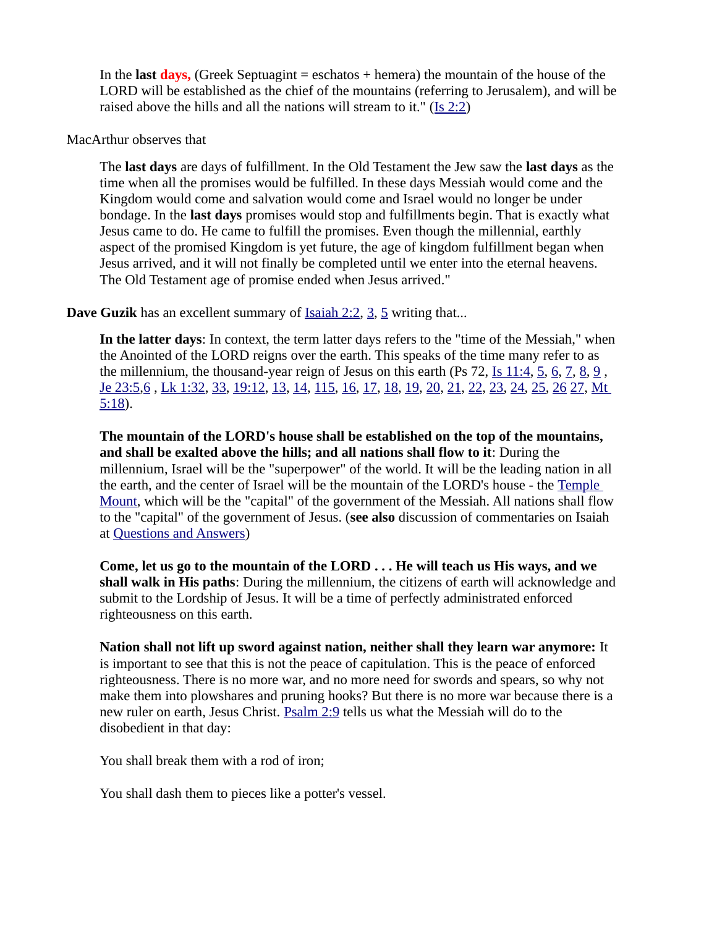In the **last days,** (Greek Septuagint = eschatos + hemera) the mountain of the house of the LORD will be established as the chief of the mountains (referring to Jerusalem), and will be raised above the hills and all the nations will stream to it." ([Is 2:2](https://biblia.com/bible/niv/Isa%202.2))

#### MacArthur observes that

The **last days** are days of fulfillment. In the Old Testament the Jew saw the **last days** as the time when all the promises would be fulfilled. In these days Messiah would come and the Kingdom would come and salvation would come and Israel would no longer be under bondage. In the **last days** promises would stop and fulfillments begin. That is exactly what Jesus came to do. He came to fulfill the promises. Even though the millennial, earthly aspect of the promised Kingdom is yet future, the age of kingdom fulfillment began when Jesus arrived, and it will not finally be completed until we enter into the eternal heavens. The Old Testament age of promise ended when Jesus arrived."

**Dave Guzik** has an excellent summary of **Isaiah 2:2, [3](https://biblia.com/bible/niv/Isaiah%202.3), [5](https://biblia.com/bible/niv/Isaiah%202.5)** writing that...

**In the latter days**: In context, the term latter days refers to the "time of the Messiah," when the Anointed of the LORD reigns over the earth. This speaks of the time many refer to as the millennium, the thousand-year reign of Jesus on this earth (Ps [7](https://biblia.com/bible/niv/Is%2011.7)2,  $\underline{I}$  s 11:4,  $\underline{5}$  $\underline{5}$  $\underline{5}$ ,  $\underline{6}$  $\underline{6}$  $\underline{6}$ ,  $\underline{7}$ ,  $\underline{8}$  $\underline{8}$  $\underline{8}$ ,  $\underline{9}$  $\underline{9}$  $\underline{9}$ , [Je 23:5](https://biblia.com/bible/niv/Jer%2023.5)[,6](https://biblia.com/bible/niv/Je%2023.6) , [Lk 1:32](https://biblia.com/bible/niv/Luke%201.32), [33](https://biblia.com/bible/niv/Lk%201.33), [19:12](https://biblia.com/bible/niv/Lk%2019.12), [13](https://biblia.com/bible/niv/Lk%2019.13), [14](https://biblia.com/bible/niv/Lk%2019.14), [115](https://biblia.com/bible/niv/Lk%2019.115), [16](https://biblia.com/bible/niv/Lk%2019.16), [17](https://biblia.com/bible/niv/Lk%2019.17), [18](https://biblia.com/bible/niv/Lk%2019.18), [19](https://biblia.com/bible/niv/Lk%2019.19), [20](https://biblia.com/bible/niv/Lk%2019.20), [21](https://biblia.com/bible/niv/Lk%2019.21), [22](https://biblia.com/bible/niv/Lk%2019.22), [23](https://biblia.com/bible/niv/Lk%2019.23), [24](https://biblia.com/bible/niv/Lk%2019.24), [25](https://biblia.com/bible/niv/Lk%2019.25), [26](https://biblia.com/bible/niv/Lk%2019.26) [27](https://biblia.com/bible/niv/Lk%2019.27), [Mt](https://biblia.com/bible/niv/Matt%205.18)  [5:18](https://biblia.com/bible/niv/Matt%205.18)).

**The mountain of the LORD's house shall be established on the top of the mountains, and shall be exalted above the hills; and all nations shall flow to it**: During the millennium, Israel will be the "superpower" of the world. It will be the leading nation in all the earth, and the center of Israel will be the mountain of the LORD's house - the [Temple](https://www.preceptaustin.org/zechariah-12-commentary#templemount)  [Mount](https://www.preceptaustin.org/zechariah-12-commentary#templemount), which will be the "capital" of the government of the Messiah. All nations shall flow to the "capital" of the government of Jesus. (**see also** discussion of commentaries on Isaiah at [Questions and Answers](https://www.preceptaustin.org/questions_and_answers))

**Come, let us go to the mountain of the LORD . . . He will teach us His ways, and we shall walk in His paths**: During the millennium, the citizens of earth will acknowledge and submit to the Lordship of Jesus. It will be a time of perfectly administrated enforced righteousness on this earth.

**Nation shall not lift up sword against nation, neither shall they learn war anymore:** It is important to see that this is not the peace of capitulation. This is the peace of enforced righteousness. There is no more war, and no more need for swords and spears, so why not make them into plowshares and pruning hooks? But there is no more war because there is a new ruler on earth, Jesus Christ. **Psalm 2:9** tells us what the Messiah will do to the disobedient in that day:

You shall break them with a rod of iron;

You shall dash them to pieces like a potter's vessel.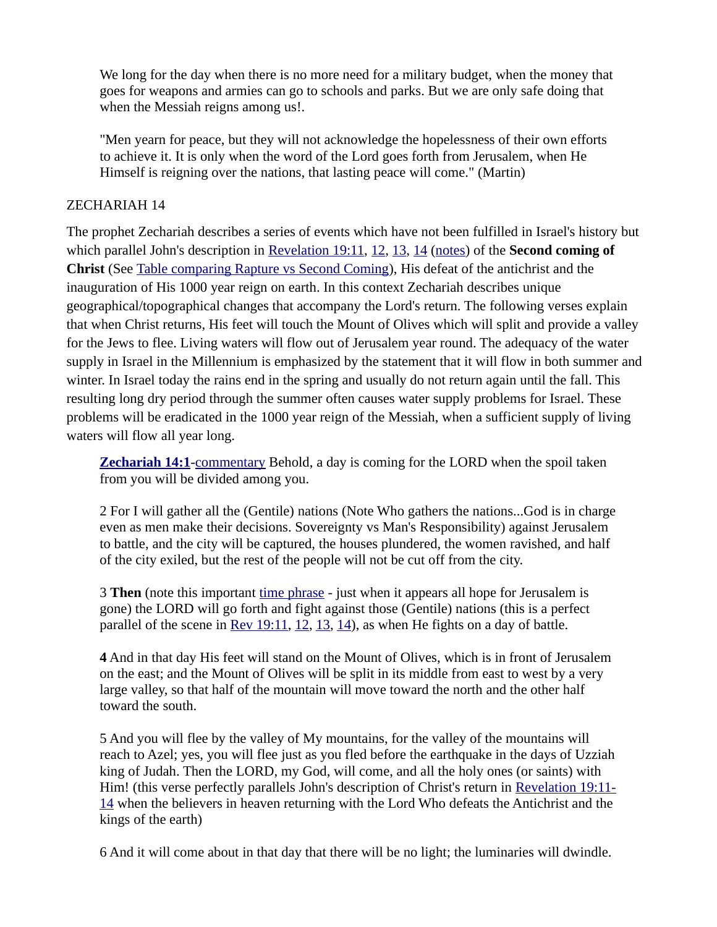We long for the day when there is no more need for a military budget, when the money that goes for weapons and armies can go to schools and parks. But we are only safe doing that when the Messiah reigns among us!.

"Men yearn for peace, but they will not acknowledge the hopelessness of their own efforts to achieve it. It is only when the word of the Lord goes forth from Jerusalem, when He Himself is reigning over the nations, that lasting peace will come." (Martin)

#### ZECHARIAH 14

The prophet Zechariah describes a series of events which have not been fulfilled in Israel's history but which parallel John's description in [Revelation 19:11](https://biblia.com/bible/niv/Rev%2019.11), [12](https://biblia.com/bible/niv/Revelation%2019.12), [13](https://biblia.com/bible/niv/Revelation%2019.13), [14](https://biblia.com/bible/niv/Revelation%2019.14) [\(notes](http://www.spiritandtruth.org/id/revc.htm?19:11)) of the **Second coming of Christ** (See [Table comparing Rapture vs Second Coming](https://www.preceptaustin.org/the_second_coming_of_christ)), His defeat of the antichrist and the inauguration of His 1000 year reign on earth. In this context Zechariah describes unique geographical/topographical changes that accompany the Lord's return. The following verses explain that when Christ returns, His feet will touch the Mount of Olives which will split and provide a valley for the Jews to flee. Living waters will flow out of Jerusalem year round. The adequacy of the water supply in Israel in the Millennium is emphasized by the statement that it will flow in both summer and winter. In Israel today the rains end in the spring and usually do not return again until the fall. This resulting long dry period through the summer often causes water supply problems for Israel. These problems will be eradicated in the 1000 year reign of the Messiah, when a sufficient supply of living waters will flow all year long.

**[Zechariah 14:1](https://biblia.com/bible/niv/Zech%2014.1)-** [commentary](https://www.preceptaustin.org/zechariah-14-commentary#14:1) Behold, a day is coming for the LORD when the spoil taken from you will be divided among you.

2 For I will gather all the (Gentile) nations (Note Who gathers the nations...God is in charge even as men make their decisions. Sovereignty vs Man's Responsibility) against Jerusalem to battle, and the city will be captured, the houses plundered, the women ravished, and half of the city exiled, but the rest of the people will not be cut off from the city.

3 **Then** (note this important [time phrase](https://www.preceptaustin.org/observation#expressions%20of%20time) - just when it appears all hope for Jerusalem is gone) the LORD will go forth and fight against those (Gentile) nations (this is a perfect parallel of the scene in  $Rev 19:11$ ,  $12$ ,  $13$ ,  $14$ ), as when He fights on a day of battle.

**4** And in that day His feet will stand on the Mount of Olives, which is in front of Jerusalem on the east; and the Mount of Olives will be split in its middle from east to west by a very large valley, so that half of the mountain will move toward the north and the other half toward the south.

5 And you will flee by the valley of My mountains, for the valley of the mountains will reach to Azel; yes, you will flee just as you fled before the earthquake in the days of Uzziah king of Judah. Then the LORD, my God, will come, and all the holy ones (or saints) with Him! (this verse perfectly parallels John's description of Christ's return in [Revelation 19:11-](http://studylight.org/desk/?l=en&query=rev+19-21) [14](http://studylight.org/desk/?l=en&query=rev+19-21) when the believers in heaven returning with the Lord Who defeats the Antichrist and the kings of the earth)

6 And it will come about in that day that there will be no light; the luminaries will dwindle.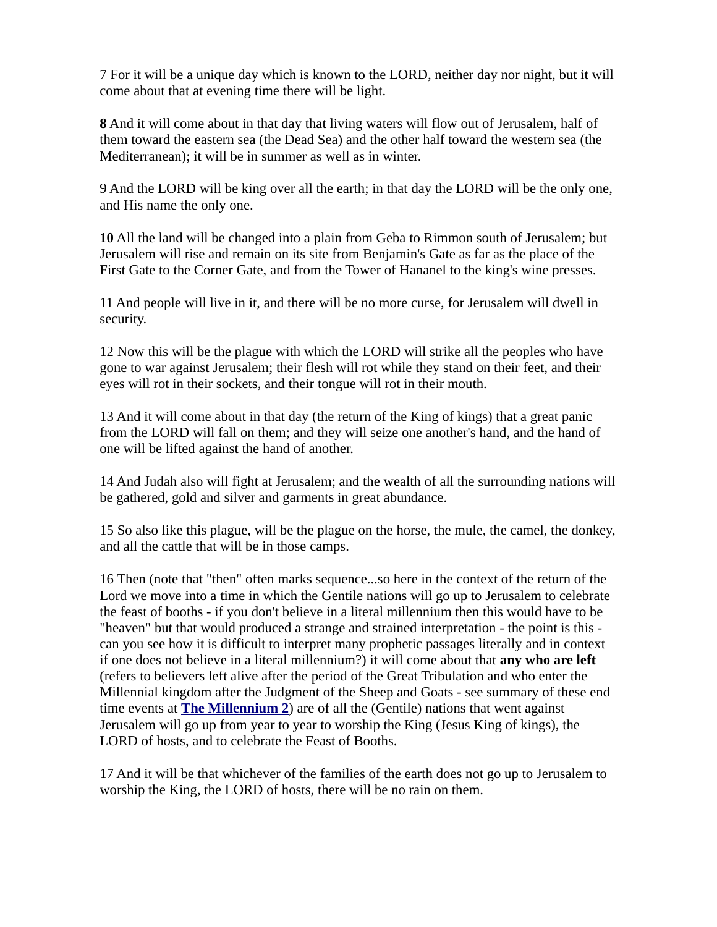7 For it will be a unique day which is known to the LORD, neither day nor night, but it will come about that at evening time there will be light.

**8** And it will come about in that day that living waters will flow out of Jerusalem, half of them toward the eastern sea (the Dead Sea) and the other half toward the western sea (the Mediterranean); it will be in summer as well as in winter.

9 And the LORD will be king over all the earth; in that day the LORD will be the only one, and His name the only one.

**10** All the land will be changed into a plain from Geba to Rimmon south of Jerusalem; but Jerusalem will rise and remain on its site from Benjamin's Gate as far as the place of the First Gate to the Corner Gate, and from the Tower of Hananel to the king's wine presses.

11 And people will live in it, and there will be no more curse, for Jerusalem will dwell in security.

12 Now this will be the plague with which the LORD will strike all the peoples who have gone to war against Jerusalem; their flesh will rot while they stand on their feet, and their eyes will rot in their sockets, and their tongue will rot in their mouth.

13 And it will come about in that day (the return of the King of kings) that a great panic from the LORD will fall on them; and they will seize one another's hand, and the hand of one will be lifted against the hand of another.

14 And Judah also will fight at Jerusalem; and the wealth of all the surrounding nations will be gathered, gold and silver and garments in great abundance.

15 So also like this plague, will be the plague on the horse, the mule, the camel, the donkey, and all the cattle that will be in those camps.

16 Then (note that "then" often marks sequence...so here in the context of the return of the Lord we move into a time in which the Gentile nations will go up to Jerusalem to celebrate the feast of booths - if you don't believe in a literal millennium then this would have to be "heaven" but that would produced a strange and strained interpretation - the point is this can you see how it is difficult to interpret many prophetic passages literally and in context if one does not believe in a literal millennium?) it will come about that **any who are left** (refers to believers left alive after the period of the Great Tribulation and who enter the Millennial kingdom after the Judgment of the Sheep and Goats - see summary of these end time events at **[The Millennium 2](https://www.preceptaustin.org/the_millennium_2)**) are of all the (Gentile) nations that went against Jerusalem will go up from year to year to worship the King (Jesus King of kings), the LORD of hosts, and to celebrate the Feast of Booths.

17 And it will be that whichever of the families of the earth does not go up to Jerusalem to worship the King, the LORD of hosts, there will be no rain on them.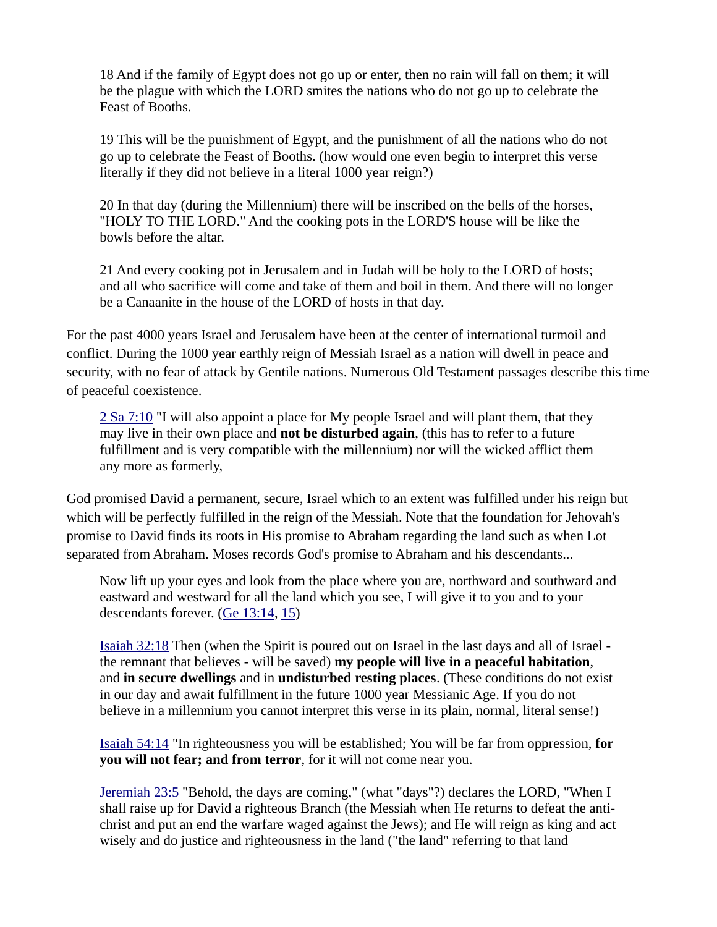18 And if the family of Egypt does not go up or enter, then no rain will fall on them; it will be the plague with which the LORD smites the nations who do not go up to celebrate the Feast of Booths.

19 This will be the punishment of Egypt, and the punishment of all the nations who do not go up to celebrate the Feast of Booths. (how would one even begin to interpret this verse literally if they did not believe in a literal 1000 year reign?)

20 In that day (during the Millennium) there will be inscribed on the bells of the horses, "HOLY TO THE LORD." And the cooking pots in the LORD'S house will be like the bowls before the altar.

21 And every cooking pot in Jerusalem and in Judah will be holy to the LORD of hosts; and all who sacrifice will come and take of them and boil in them. And there will no longer be a Canaanite in the house of the LORD of hosts in that day.

For the past 4000 years Israel and Jerusalem have been at the center of international turmoil and conflict. During the 1000 year earthly reign of Messiah Israel as a nation will dwell in peace and security, with no fear of attack by Gentile nations. Numerous Old Testament passages describe this time of peaceful coexistence.

[2 Sa 7:10](https://biblia.com/bible/niv/2%20Sam%207.10) "I will also appoint a place for My people Israel and will plant them, that they may live in their own place and **not be disturbed again**, (this has to refer to a future fulfillment and is very compatible with the millennium) nor will the wicked afflict them any more as formerly,

God promised David a permanent, secure, Israel which to an extent was fulfilled under his reign but which will be perfectly fulfilled in the reign of the Messiah. Note that the foundation for Jehovah's promise to David finds its roots in His promise to Abraham regarding the land such as when Lot separated from Abraham. Moses records God's promise to Abraham and his descendants...

Now lift up your eyes and look from the place where you are, northward and southward and eastward and westward for all the land which you see, I will give it to you and to your descendants forever. [\(Ge 13:14](https://biblia.com/bible/niv/Gen%2013.14), [15](https://biblia.com/bible/niv/Ge%2013.15))

[Isaiah 32:18](https://biblia.com/bible/niv/Isa%2032.18) Then (when the Spirit is poured out on Israel in the last days and all of Israel the remnant that believes - will be saved) **my people will live in a peaceful habitation**, and **in secure dwellings** and in **undisturbed resting places**. (These conditions do not exist in our day and await fulfillment in the future 1000 year Messianic Age. If you do not believe in a millennium you cannot interpret this verse in its plain, normal, literal sense!)

[Isaiah 54:14](https://biblia.com/bible/niv/Isa%2054.14) "In righteousness you will be established; You will be far from oppression, **for you will not fear; and from terror**, for it will not come near you.

[Jeremiah 23:5](https://biblia.com/bible/niv/Jer%2023.5) "Behold, the days are coming," (what "days"?) declares the LORD, "When I shall raise up for David a righteous Branch (the Messiah when He returns to defeat the antichrist and put an end the warfare waged against the Jews); and He will reign as king and act wisely and do justice and righteousness in the land ("the land" referring to that land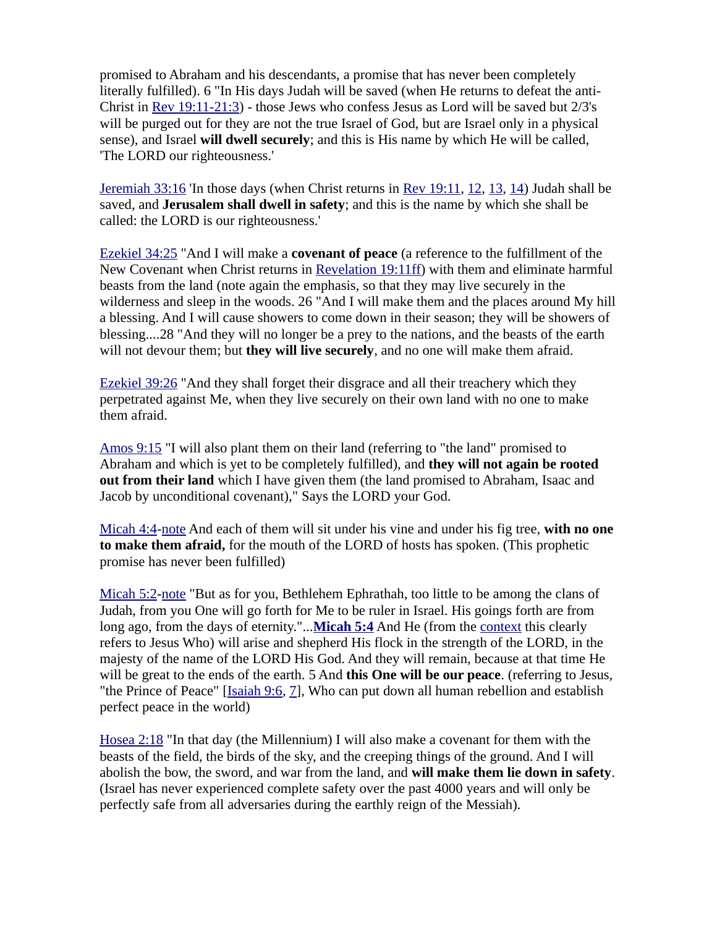promised to Abraham and his descendants, a promise that has never been completely literally fulfilled). 6 "In His days Judah will be saved (when He returns to defeat the anti-Christ in [Rev 19:11-21:3](https://biblia.com/bible/niv/Rev%2019.11-21.3)) - those Jews who confess Jesus as Lord will be saved but 2/3's will be purged out for they are not the true Israel of God, but are Israel only in a physical sense), and Israel **will dwell securely**; and this is His name by which He will be called, 'The LORD our righteousness.'

[Jeremiah 33:16](https://biblia.com/bible/niv/Jer%2033.16) 'In those days (when Christ returns in [Rev 19:11](https://biblia.com/bible/niv/Rev%2019.11), [12](https://biblia.com/bible/niv/Rev%2019.12), [13](https://biblia.com/bible/niv/Rev%2019.13), [14](https://biblia.com/bible/niv/Rev%2019.14)) Judah shall be saved, and **Jerusalem shall dwell in safety**; and this is the name by which she shall be called: the LORD is our righteousness.'

[Ezekiel 34:25](https://biblia.com/bible/niv/Ezek%2034.25) "And I will make a **covenant of peace** (a reference to the fulfillment of the New Covenant when Christ returns in [Revelation 19:11ff](http://studylight.org/desk/?l=en&query=rev+19-21)) with them and eliminate harmful beasts from the land (note again the emphasis, so that they may live securely in the wilderness and sleep in the woods. 26 "And I will make them and the places around My hill a blessing. And I will cause showers to come down in their season; they will be showers of blessing....28 "And they will no longer be a prey to the nations, and the beasts of the earth will not devour them; but **they will live securely**, and no one will make them afraid.

[Ezekiel 39:26](https://biblia.com/bible/niv/Ezek%2039.26) "And they shall forget their disgrace and all their treachery which they perpetrated against Me, when they live securely on their own land with no one to make them afraid.

[Amos 9:15](https://biblia.com/bible/niv/Amos%209.15) "I will also plant them on their land (referring to "the land" promised to Abraham and which is yet to be completely fulfilled), and **they will not again be rooted out from their land** which I have given them (the land promised to Abraham, Isaac and Jacob by unconditional covenant)," Says the LORD your God.

[Micah 4:4](https://biblia.com/bible/niv/Micah%204.4)[-note](https://www.preceptaustin.org/micah_4_commentary#4:4) And each of them will sit under his vine and under his fig tree, **with no one to make them afraid,** for the mouth of the LORD of hosts has spoken. (This prophetic promise has never been fulfilled)

[Micah 5:2](https://biblia.com/bible/niv/Micah%205.2)[-note](https://www.preceptaustin.org/micah_5_commentary#5:2) "But as for you, Bethlehem Ephrathah, too little to be among the clans of Judah, from you One will go forth for Me to be ruler in Israel. His goings forth are from long ago, from the days of eternity."...**[Micah 5:4](https://biblia.com/bible/niv/Micah%205.4)** And He (from the [context](https://www.preceptaustin.org/observation#establish%20the%20context) this clearly refers to Jesus Who) will arise and shepherd His flock in the strength of the LORD, in the majesty of the name of the LORD His God. And they will remain, because at that time He will be great to the ends of the earth. 5 And **this One will be our peace**. (referring to Jesus, "the Prince of Peace" [\[Isaiah 9:6](https://biblia.com/bible/niv/Isa%209.6), [7](https://biblia.com/bible/niv/Isaiah%209.7)], Who can put down all human rebellion and establish perfect peace in the world)

[Hosea 2:18](https://biblia.com/bible/niv/Hos%202.18) "In that day (the Millennium) I will also make a covenant for them with the beasts of the field, the birds of the sky, and the creeping things of the ground. And I will abolish the bow, the sword, and war from the land, and **will make them lie down in safety**. (Israel has never experienced complete safety over the past 4000 years and will only be perfectly safe from all adversaries during the earthly reign of the Messiah).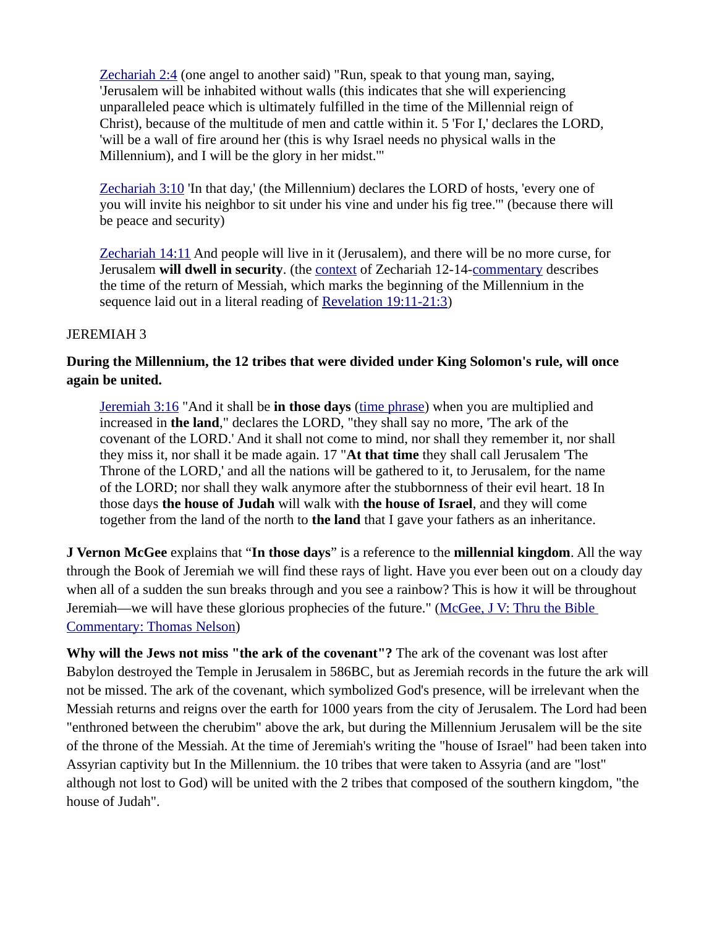[Zechariah 2:4](https://biblia.com/bible/niv/Zech%202.4) (one angel to another said) "Run, speak to that young man, saying, 'Jerusalem will be inhabited without walls (this indicates that she will experiencing unparalleled peace which is ultimately fulfilled in the time of the Millennial reign of Christ), because of the multitude of men and cattle within it. 5 'For I,' declares the LORD, 'will be a wall of fire around her (this is why Israel needs no physical walls in the Millennium), and I will be the glory in her midst.'"

[Zechariah 3:10](https://biblia.com/bible/niv/Zech%203.10) 'In that day,' (the Millennium) declares the LORD of hosts, 'every one of you will invite his neighbor to sit under his vine and under his fig tree.'" (because there will be peace and security)

[Zechariah 14:11](https://biblia.com/bible/niv/Zech%2014.11) And people will live in it (Jerusalem), and there will be no more curse, for Jerusalem **will dwell in security**. (the [context](https://www.preceptaustin.org/observation#establish%20the%20context) of Zechariah 12-14-[commentary](https://www.preceptaustin.org/zechariah-12-commentary) describes the time of the return of Messiah, which marks the beginning of the Millennium in the sequence laid out in a literal reading of [Revelation 19:11-21:3](https://biblia.com/bible/niv/Rev%2019.11-21.3))

#### JEREMIAH 3

# **During the Millennium, the 12 tribes that were divided under King Solomon's rule, will once again be united.**

[Jeremiah 3:16](https://biblia.com/bible/niv/Jer%203.16) "And it shall be **in those days** ([time phrase\)](https://www.preceptaustin.org/observation#expressions%20of%20time) when you are multiplied and increased in **the land**," declares the LORD, "they shall say no more, 'The ark of the covenant of the LORD.' And it shall not come to mind, nor shall they remember it, nor shall they miss it, nor shall it be made again. 17 "**At that time** they shall call Jerusalem 'The Throne of the LORD,' and all the nations will be gathered to it, to Jerusalem, for the name of the LORD; nor shall they walk anymore after the stubbornness of their evil heart. 18 In those days **the house of Judah** will walk with **the house of Israel**, and they will come together from the land of the north to **the land** that I gave your fathers as an inheritance.

**J Vernon McGee** explains that "**In those days**" is a reference to the **millennial kingdom**. All the way through the Book of Jeremiah we will find these rays of light. Have you ever been out on a cloudy day when all of a sudden the sun breaks through and you see a rainbow? This is how it will be throughout Jeremiah—we will have these glorious prophecies of the future." [\(McGee, J V: Thru the Bible](https://www.amazon.com/exec/obidos/tg/detail/-/0840749570?v=glance)  [Commentary: Thomas Nelson](https://www.amazon.com/exec/obidos/tg/detail/-/0840749570?v=glance))

**Why will the Jews not miss "the ark of the covenant"?** The ark of the covenant was lost after Babylon destroyed the Temple in Jerusalem in 586BC, but as Jeremiah records in the future the ark will not be missed. The ark of the covenant, which symbolized God's presence, will be irrelevant when the Messiah returns and reigns over the earth for 1000 years from the city of Jerusalem. The Lord had been "enthroned between the cherubim" above the ark, but during the Millennium Jerusalem will be the site of the throne of the Messiah. At the time of Jeremiah's writing the "house of Israel" had been taken into Assyrian captivity but In the Millennium. the 10 tribes that were taken to Assyria (and are "lost" although not lost to God) will be united with the 2 tribes that composed of the southern kingdom, "the house of Judah".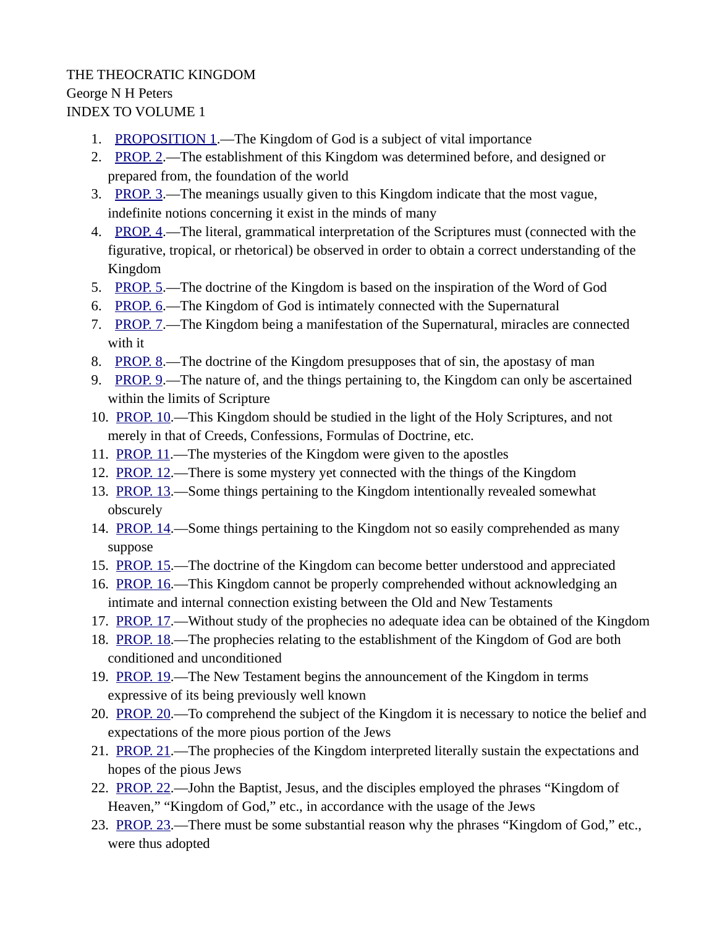# THE THEOCRATIC KINGDOM George N H Peters INDEX TO VOLUME 1

- 1. [PROPOSITION 1](https://www.preceptaustin.org/the-theocratic-kingdom-1-george-peters#1).—The Kingdom of God is a subject of vital importance
- 2. [PROP. 2.](https://www.preceptaustin.org/the-theocratic-kingdom-1-george-peters#2)—The establishment of this Kingdom was determined before, and designed or prepared from, the foundation of the world
- 3. [PROP. 3.](https://www.preceptaustin.org/the-theocratic-kingdom-1-george-peters#3)—The meanings usually given to this Kingdom indicate that the most vague, indefinite notions concerning it exist in the minds of many
- 4. [PROP. 4.](https://www.preceptaustin.org/the-theocratic-kingdom-1-george-peters#4)—The literal, grammatical interpretation of the Scriptures must (connected with the figurative, tropical, or rhetorical) be observed in order to obtain a correct understanding of the Kingdom
- 5. [PROP. 5.](https://www.preceptaustin.org/the-theocratic-kingdom-1-george-peters#5)—The doctrine of the Kingdom is based on the inspiration of the Word of God
- 6. [PROP. 6.](https://www.preceptaustin.org/the-theocratic-kingdom-1-george-peters#6)—The Kingdom of God is intimately connected with the Supernatural
- 7. [PROP. 7.](https://www.preceptaustin.org/the-theocratic-kingdom-1-george-peters#7)—The Kingdom being a manifestation of the Supernatural, miracles are connected with it
- 8. [PROP. 8.](https://www.preceptaustin.org/the-theocratic-kingdom-1-george-peters#8)—The doctrine of the Kingdom presupposes that of sin, the apostasy of man
- 9. [PROP. 9.](https://www.preceptaustin.org/the-theocratic-kingdom-1-george-peters#9)—The nature of, and the things pertaining to, the Kingdom can only be ascertained within the limits of Scripture
- 10. [PROP. 10.](https://www.preceptaustin.org/the-theocratic-kingdom-1-george-peters#10)—This Kingdom should be studied in the light of the Holy Scriptures, and not merely in that of Creeds, Confessions, Formulas of Doctrine, etc.
- 11. [PROP. 11](https://www.preceptaustin.org/the-theocratic-kingdom-1-george-peters#11).—The mysteries of the Kingdom were given to the apostles
- 12. [PROP. 12.](https://www.preceptaustin.org/the-theocratic-kingdom-1-george-peters#12)—There is some mystery yet connected with the things of the Kingdom
- 13. [PROP. 13.](https://www.preceptaustin.org/the-theocratic-kingdom-1-george-peters#13)—Some things pertaining to the Kingdom intentionally revealed somewhat obscurely
- 14. [PROP. 14.](https://www.preceptaustin.org/the-theocratic-kingdom-1-george-peters#14)—Some things pertaining to the Kingdom not so easily comprehended as many suppose
- 15. [PROP. 15.](https://www.preceptaustin.org/the-theocratic-kingdom-1-george-peters#15)—The doctrine of the Kingdom can become better understood and appreciated
- 16. [PROP. 16.](https://www.preceptaustin.org/the-theocratic-kingdom-1-george-peters#16)—This Kingdom cannot be properly comprehended without acknowledging an intimate and internal connection existing between the Old and New Testaments
- 17. [PROP. 17.](https://www.preceptaustin.org/the-theocratic-kingdom-1-george-peters#17)—Without study of the prophecies no adequate idea can be obtained of the Kingdom
- 18. [PROP. 18.](https://www.preceptaustin.org/the-theocratic-kingdom-1-george-peters#18)—The prophecies relating to the establishment of the Kingdom of God are both conditioned and unconditioned
- 19. [PROP. 19.](https://www.preceptaustin.org/the-theocratic-kingdom-1-george-peters#19)—The New Testament begins the announcement of the Kingdom in terms expressive of its being previously well known
- 20. [PROP. 20.](https://www.preceptaustin.org/the-theocratic-kingdom-1-george-peters#20)—To comprehend the subject of the Kingdom it is necessary to notice the belief and expectations of the more pious portion of the Jews
- 21. [PROP. 21.](https://www.preceptaustin.org/the-theocratic-kingdom-1-george-peters#21)—The prophecies of the Kingdom interpreted literally sustain the expectations and hopes of the pious Jews
- 22. [PROP. 22.](https://www.preceptaustin.org/the-theocratic-kingdom-1-george-peters#22)—John the Baptist, Jesus, and the disciples employed the phrases "Kingdom of Heaven," "Kingdom of God," etc., in accordance with the usage of the Jews
- 23. [PROP. 23.](https://www.preceptaustin.org/the-theocratic-kingdom-1-george-peters#23)—There must be some substantial reason why the phrases "Kingdom of God," etc., were thus adopted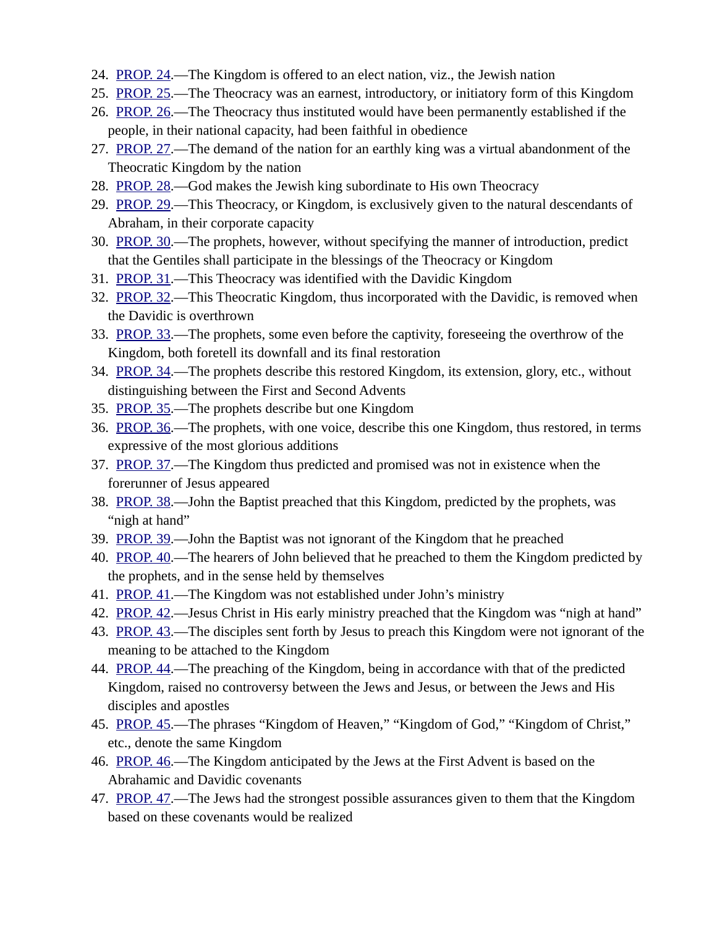- 24. [PROP. 24.](https://www.preceptaustin.org/the-theocratic-kingdom-1-george-peters#24)—The Kingdom is offered to an elect nation, viz., the Jewish nation
- 25. [PROP. 25.](https://www.preceptaustin.org/the-theocratic-kingdom-1-george-peters#25)—The Theocracy was an earnest, introductory, or initiatory form of this Kingdom
- 26. [PROP. 26.](https://www.preceptaustin.org/the-theocratic-kingdom-1-george-peters#26)—The Theocracy thus instituted would have been permanently established if the people, in their national capacity, had been faithful in obedience
- 27. [PROP. 27.](https://www.preceptaustin.org/the-theocratic-kingdom-1-george-peters#27)—The demand of the nation for an earthly king was a virtual abandonment of the Theocratic Kingdom by the nation
- 28. [PROP. 28.](https://www.preceptaustin.org/the-theocratic-kingdom-1-george-peters#28)—God makes the Jewish king subordinate to His own Theocracy
- 29. [PROP. 29.](https://www.preceptaustin.org/the-theocratic-kingdom-1-george-peters#29)—This Theocracy, or Kingdom, is exclusively given to the natural descendants of Abraham, in their corporate capacity
- 30. [PROP. 30.](https://www.preceptaustin.org/the-theocratic-kingdom-1-george-peters#30)—The prophets, however, without specifying the manner of introduction, predict that the Gentiles shall participate in the blessings of the Theocracy or Kingdom
- 31. [PROP. 31.](https://www.preceptaustin.org/the-theocratic-kingdom-1-george-peters#31)—This Theocracy was identified with the Davidic Kingdom
- 32. [PROP. 32.](https://www.preceptaustin.org/the-theocratic-kingdom-1-george-peters#32)—This Theocratic Kingdom, thus incorporated with the Davidic, is removed when the Davidic is overthrown
- 33. [PROP. 33.](https://www.preceptaustin.org/the-theocratic-kingdom-1-george-peters#33)—The prophets, some even before the captivity, foreseeing the overthrow of the Kingdom, both foretell its downfall and its final restoration
- 34. [PROP. 34.](https://www.preceptaustin.org/the-theocratic-kingdom-1-george-peters#34)—The prophets describe this restored Kingdom, its extension, glory, etc., without distinguishing between the First and Second Advents
- 35. [PROP. 35.](https://www.preceptaustin.org/the-theocratic-kingdom-1-george-peters#35)—The prophets describe but one Kingdom
- 36. [PROP. 36.](https://www.preceptaustin.org/the-theocratic-kingdom-1-george-peters#36)—The prophets, with one voice, describe this one Kingdom, thus restored, in terms expressive of the most glorious additions
- 37. [PROP. 37.](https://www.preceptaustin.org/the-theocratic-kingdom-1-george-peters#37)—The Kingdom thus predicted and promised was not in existence when the forerunner of Jesus appeared
- 38. [PROP. 38.](https://www.preceptaustin.org/the-theocratic-kingdom-1-george-peters#38)—John the Baptist preached that this Kingdom, predicted by the prophets, was "nigh at hand"
- 39. [PROP. 39.](https://www.preceptaustin.org/the-theocratic-kingdom-1-george-peters#39)—John the Baptist was not ignorant of the Kingdom that he preached
- 40. [PROP. 40.](https://www.preceptaustin.org/the-theocratic-kingdom-1-george-peters#40)—The hearers of John believed that he preached to them the Kingdom predicted by the prophets, and in the sense held by themselves
- 41. [PROP. 41.](https://www.preceptaustin.org/the-theocratic-kingdom-1-george-peters#41)—The Kingdom was not established under John's ministry
- 42. [PROP. 42.](https://www.preceptaustin.org/the-theocratic-kingdom-1-george-peters#42)—Jesus Christ in His early ministry preached that the Kingdom was "nigh at hand"
- 43. [PROP. 43.](https://www.preceptaustin.org/the-theocratic-kingdom-1-george-peters#43)—The disciples sent forth by Jesus to preach this Kingdom were not ignorant of the meaning to be attached to the Kingdom
- 44. [PROP. 44.](https://www.preceptaustin.org/the-theocratic-kingdom-1-george-peters#44)—The preaching of the Kingdom, being in accordance with that of the predicted Kingdom, raised no controversy between the Jews and Jesus, or between the Jews and His disciples and apostles
- 45. [PROP. 45.](https://www.preceptaustin.org/the-theocratic-kingdom-1-george-peters#45)—The phrases "Kingdom of Heaven," "Kingdom of God," "Kingdom of Christ," etc., denote the same Kingdom
- 46. [PROP. 46.](https://www.preceptaustin.org/the-theocratic-kingdom-1-george-peters#46)—The Kingdom anticipated by the Jews at the First Advent is based on the Abrahamic and Davidic covenants
- 47. [PROP. 47.](https://www.preceptaustin.org/the-theocratic-kingdom-1-george-peters#47)—The Jews had the strongest possible assurances given to them that the Kingdom based on these covenants would be realized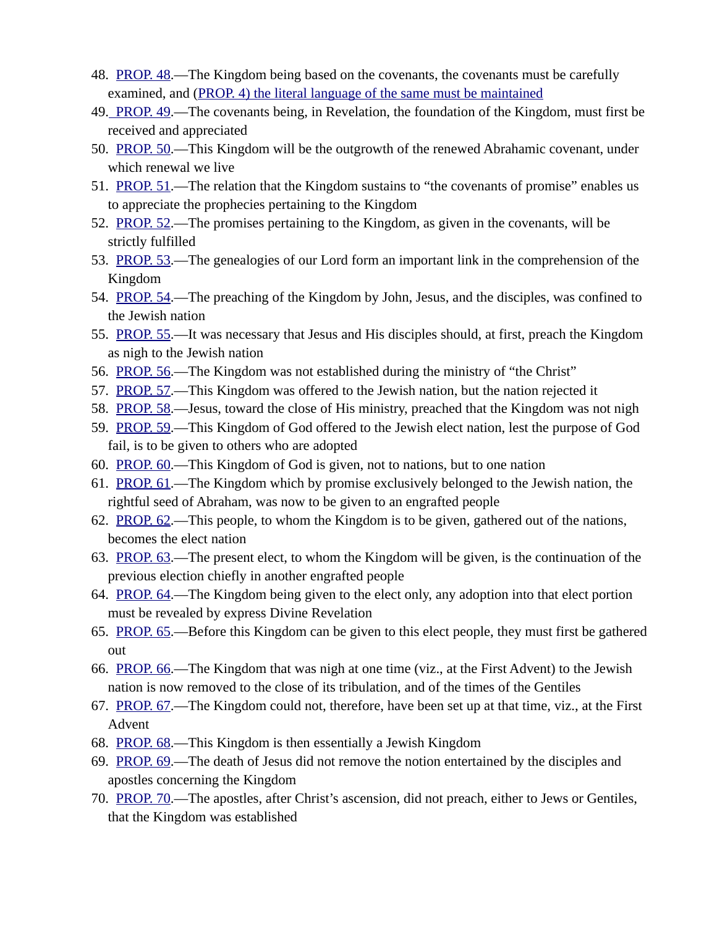- 48. [PROP. 48.](https://www.preceptaustin.org/the-theocratic-kingdom-1-george-peters#48)—The Kingdom being based on the covenants, the covenants must be carefully examined, and [\(PROP. 4\) the literal language of the same must be maintained](https://www.preceptaustin.org/the-theocratic-kingdom-1-george-peters#)
- 49. [PROP. 49.](https://www.preceptaustin.org/the-theocratic-kingdom-1-george-peters#49)—The covenants being, in Revelation, the foundation of the Kingdom, must first be received and appreciated
- 50. [PROP. 50.](https://www.preceptaustin.org/the-theocratic-kingdom-1-george-peters#50)—This Kingdom will be the outgrowth of the renewed Abrahamic covenant, under which renewal we live
- 51. [PROP. 51.](https://www.preceptaustin.org/the-theocratic-kingdom-1-george-peters#51)—The relation that the Kingdom sustains to "the covenants of promise" enables us to appreciate the prophecies pertaining to the Kingdom
- 52. [PROP. 52.](https://www.preceptaustin.org/the-theocratic-kingdom-1-george-peters#52)—The promises pertaining to the Kingdom, as given in the covenants, will be strictly fulfilled
- 53. [PROP. 53.](https://www.preceptaustin.org/the-theocratic-kingdom-1-george-peters#53)—The genealogies of our Lord form an important link in the comprehension of the Kingdom
- 54. [PROP. 54.](https://www.preceptaustin.org/the-theocratic-kingdom-1-george-peters#54)—The preaching of the Kingdom by John, Jesus, and the disciples, was confined to the Jewish nation
- 55. [PROP. 55.](https://www.preceptaustin.org/the-theocratic-kingdom-1-george-peters#56)—It was necessary that Jesus and His disciples should, at first, preach the Kingdom as nigh to the Jewish nation
- 56. [PROP. 56.](https://www.preceptaustin.org/the-theocratic-kingdom-1-george-peters#56)—The Kingdom was not established during the ministry of "the Christ"
- 57. [PROP. 57.](https://www.preceptaustin.org/the-theocratic-kingdom-1-george-peters#57)—This Kingdom was offered to the Jewish nation, but the nation rejected it
- 58. [PROP. 58.](https://www.preceptaustin.org/the-theocratic-kingdom-1-george-peters#58)—Jesus, toward the close of His ministry, preached that the Kingdom was not nigh
- 59. [PROP. 59.](https://www.preceptaustin.org/the-theocratic-kingdom-1-george-peters#59)—This Kingdom of God offered to the Jewish elect nation, lest the purpose of God fail, is to be given to others who are adopted
- 60. [PROP. 60.](https://www.preceptaustin.org/the-theocratic-kingdom-1-george-peters#60)—This Kingdom of God is given, not to nations, but to one nation
- 61. [PROP. 61.](https://www.preceptaustin.org/the-theocratic-kingdom-1-george-peters#61)—The Kingdom which by promise exclusively belonged to the Jewish nation, the rightful seed of Abraham, was now to be given to an engrafted people
- 62. [PROP. 62.](https://www.preceptaustin.org/the-theocratic-kingdom-1-george-peters#62)—This people, to whom the Kingdom is to be given, gathered out of the nations, becomes the elect nation
- 63. [PROP. 63.](https://www.preceptaustin.org/the-theocratic-kingdom-1-george-peters#63)—The present elect, to whom the Kingdom will be given, is the continuation of the previous election chiefly in another engrafted people
- 64. [PROP. 64.](https://www.preceptaustin.org/the-theocratic-kingdom-1-george-peters#64) —The Kingdom being given to the elect only, any adoption into that elect portion must be revealed by express Divine Revelation
- 65. [PROP. 65.](https://www.preceptaustin.org/the-theocratic-kingdom-1-george-peters#65)—Before this Kingdom can be given to this elect people, they must first be gathered out
- 66. [PROP. 66.](https://www.preceptaustin.org/the-theocratic-kingdom-1-george-peters#66)—The Kingdom that was nigh at one time (viz., at the First Advent) to the Jewish nation is now removed to the close of its tribulation, and of the times of the Gentiles
- 67. [PROP. 67.](https://www.preceptaustin.org/the-theocratic-kingdom-1-george-peters#67)—The Kingdom could not, therefore, have been set up at that time, viz., at the First Advent
- 68. [PROP. 68.](https://www.preceptaustin.org/the-theocratic-kingdom-1-george-peters#68)—This Kingdom is then essentially a Jewish Kingdom
- 69. [PROP. 69.](https://www.preceptaustin.org/the-theocratic-kingdom-1-george-peters#69)—The death of Jesus did not remove the notion entertained by the disciples and apostles concerning the Kingdom
- 70. [PROP. 70.](https://www.preceptaustin.org/the-theocratic-kingdom-1-george-peters#70)—The apostles, after Christ's ascension, did not preach, either to Jews or Gentiles, that the Kingdom was established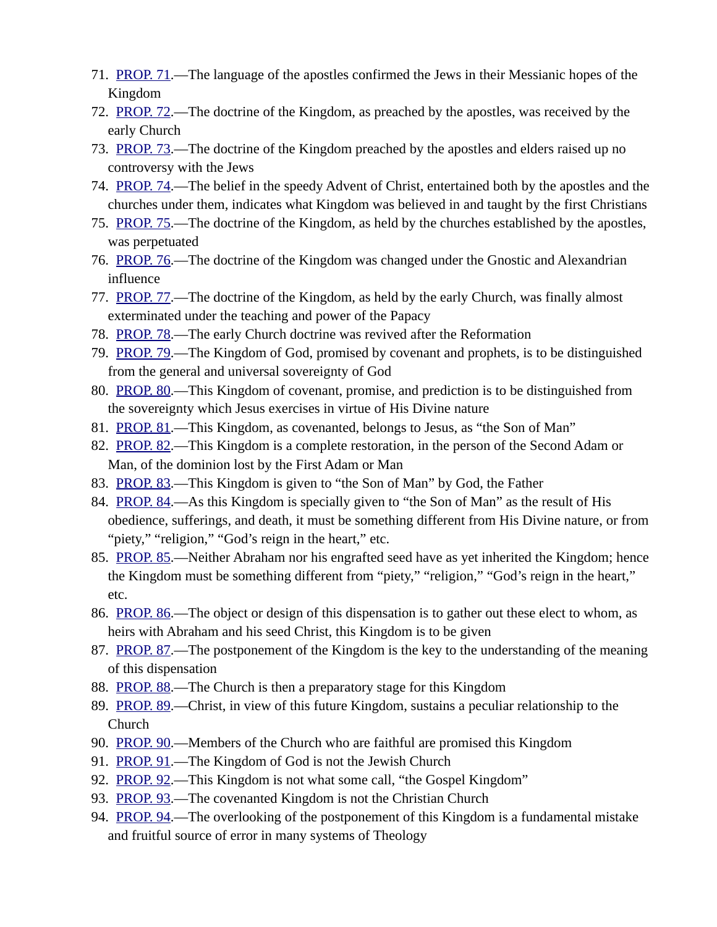- 71. [PROP. 71.](https://www.preceptaustin.org/the-theocratic-kingdom-1-george-peters#71)—The language of the apostles confirmed the Jews in their Messianic hopes of the Kingdom
- 72. [PROP. 72.](https://www.preceptaustin.org/the-theocratic-kingdom-1-george-peters#72)—The doctrine of the Kingdom, as preached by the apostles, was received by the early Church
- 73. [PROP. 73.](https://www.preceptaustin.org/the-theocratic-kingdom-1-george-peters#73)—The doctrine of the Kingdom preached by the apostles and elders raised up no controversy with the Jews
- 74. [PROP. 74.](https://www.preceptaustin.org/the-theocratic-kingdom-1-george-peters#74)—The belief in the speedy Advent of Christ, entertained both by the apostles and the churches under them, indicates what Kingdom was believed in and taught by the first Christians
- 75. [PROP. 75.](https://www.preceptaustin.org/the-theocratic-kingdom-1-george-peters#75)—The doctrine of the Kingdom, as held by the churches established by the apostles, was perpetuated
- 76. [PROP. 76.](https://www.preceptaustin.org/the-theocratic-kingdom-1-george-peters#76)—The doctrine of the Kingdom was changed under the Gnostic and Alexandrian influence
- 77. [PROP. 77.](https://www.preceptaustin.org/the-theocratic-kingdom-1-george-peters#77)—The doctrine of the Kingdom, as held by the early Church, was finally almost exterminated under the teaching and power of the Papacy
- 78. [PROP. 78.](https://www.preceptaustin.org/the-theocratic-kingdom-1-george-peters#78)—The early Church doctrine was revived after the Reformation
- 79. [PROP. 79.](https://www.preceptaustin.org/the-theocratic-kingdom-1-george-peters#79)—The Kingdom of God, promised by covenant and prophets, is to be distinguished from the general and universal sovereignty of God
- 80. [PROP. 80.](https://www.preceptaustin.org/the-theocratic-kingdom-1-george-peters#80)—This Kingdom of covenant, promise, and prediction is to be distinguished from the sovereignty which Jesus exercises in virtue of His Divine nature
- 81. [PROP. 81.](https://www.preceptaustin.org/the-theocratic-kingdom-1-george-peters#81)—This Kingdom, as covenanted, belongs to Jesus, as "the Son of Man"
- 82. [PROP. 82.](https://www.preceptaustin.org/the-theocratic-kingdom-1-george-peters#82)—This Kingdom is a complete restoration, in the person of the Second Adam or Man, of the dominion lost by the First Adam or Man
- 83. [PROP. 83.](https://www.preceptaustin.org/the-theocratic-kingdom-1-george-peters#83)—This Kingdom is given to "the Son of Man" by God, the Father
- 84. [PROP. 84.](https://www.preceptaustin.org/the-theocratic-kingdom-1-george-peters#84)—As this Kingdom is specially given to "the Son of Man" as the result of His obedience, sufferings, and death, it must be something different from His Divine nature, or from "piety," "religion," "God's reign in the heart," etc.
- 85. [PROP. 85.](https://www.preceptaustin.org/the-theocratic-kingdom-1-george-peters#85)—Neither Abraham nor his engrafted seed have as yet inherited the Kingdom; hence the Kingdom must be something different from "piety," "religion," "God's reign in the heart," etc.
- 86. [PROP. 86.](https://www.preceptaustin.org/the-theocratic-kingdom-1-george-peters#86)—The object or design of this dispensation is to gather out these elect to whom, as heirs with Abraham and his seed Christ, this Kingdom is to be given
- 87. [PROP. 87.](https://www.preceptaustin.org/the-theocratic-kingdom-1-george-peters#87)—The postponement of the Kingdom is the key to the understanding of the meaning of this dispensation
- 88. [PROP. 88.](https://www.preceptaustin.org/the-theocratic-kingdom-1-george-peters#88)—The Church is then a preparatory stage for this Kingdom
- 89. [PROP. 89.](https://www.preceptaustin.org/the-theocratic-kingdom-1-george-peters#89)—Christ, in view of this future Kingdom, sustains a peculiar relationship to the Church
- 90. [PROP. 90.](https://www.preceptaustin.org/the-theocratic-kingdom-1-george-peters#90)—Members of the Church who are faithful are promised this Kingdom
- 91. [PROP. 91.](https://www.preceptaustin.org/the-theocratic-kingdom-1-george-peters#91) The Kingdom of God is not the Jewish Church
- 92. [PROP. 92.](https://www.preceptaustin.org/the-theocratic-kingdom-1-george-peters#92)—This Kingdom is not what some call, "the Gospel Kingdom"
- 93. [PROP. 93.](https://www.preceptaustin.org/the-theocratic-kingdom-1-george-peters#93)—The covenanted Kingdom is not the Christian Church
- 94. [PROP. 94.](https://www.preceptaustin.org/the-theocratic-kingdom-1-george-peters#94)—The overlooking of the postponement of this Kingdom is a fundamental mistake and fruitful source of error in many systems of Theology